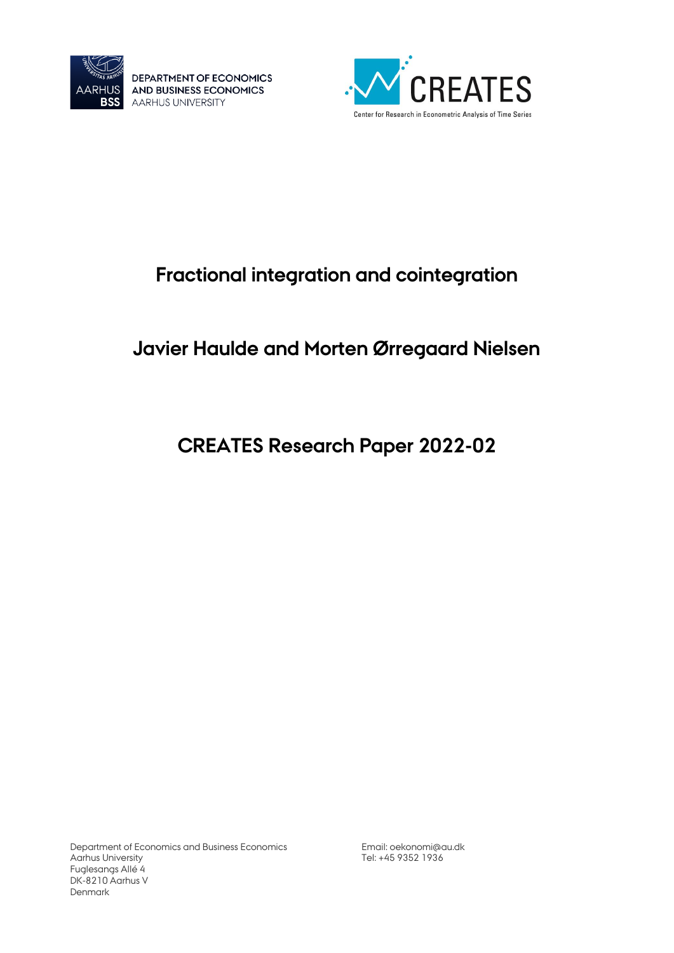

DEPARTMENT OF ECONOMICS AND BUSINESS ECONOMICS **AARHUS UNIVERSITY** 



# **Fractional integration and cointegration**

# **Javier Haulde and Morten Ørregaard Nielsen**

# **CREATES Research Paper 2022-02**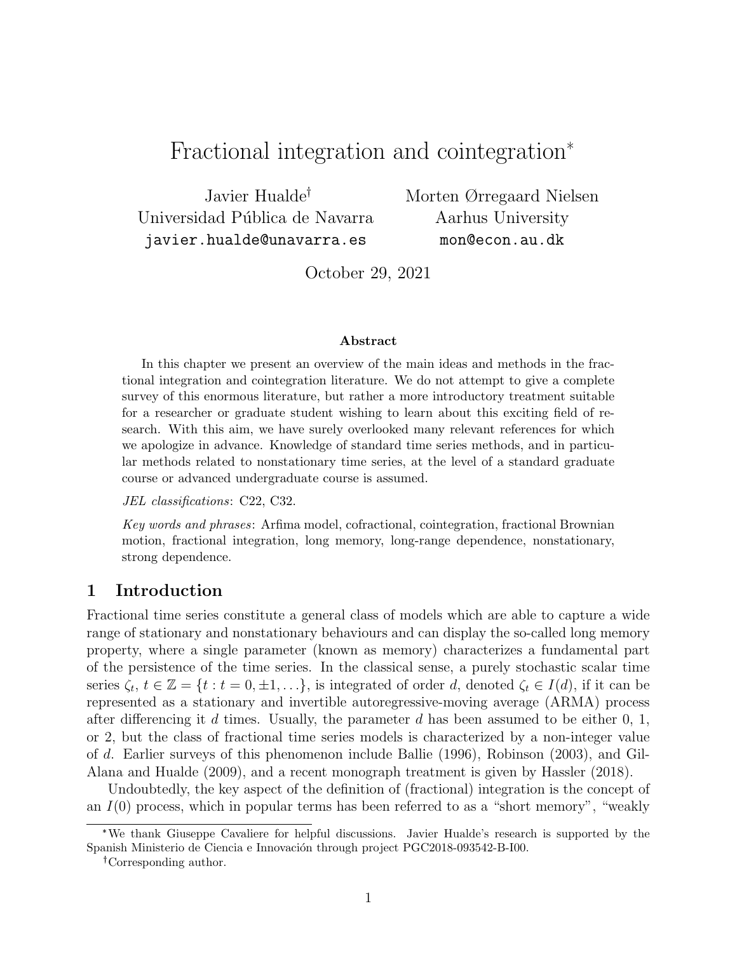# Fractional integration and cointegration\*

Javier Hualde Universidad Pública de Navarra javier.hualde@unavarra.es

Morten Ørregaard Nielsen Aarhus University mon@econ.au.dk

October 29, 2021

#### Abstract

In this chapter we present an overview of the main ideas and methods in the fractional integration and cointegration literature. We do not attempt to give a complete survey of this enormous literature, but rather a more introductory treatment suitable for a researcher or graduate student wishing to learn about this exciting field of research. With this aim, we have surely overlooked many relevant references for which we apologize in advance. Knowledge of standard time series methods, and in particular methods related to nonstationary time series, at the level of a standard graduate course or advanced undergraduate course is assumed.

JEL classifications: C22, C32.

Key words and phrases: Arfima model, cofractional, cointegration, fractional Brownian motion, fractional integration, long memory, long-range dependence, nonstationary, strong dependence.

# 1 Introduction

Fractional time series constitute a general class of models which are able to capture a wide range of stationary and nonstationary behaviours and can display the so-called long memory property, where a single parameter (known as memory) characterizes a fundamental part of the persistence of the time series. In the classical sense, a purely stochastic scalar time series  $\zeta_t, t \in \mathbb{Z} = \{t : t = 0, \pm 1, \ldots\},\$ is integrated of order d, denoted  $\zeta_t \in I(d)$ , if it can be represented as a stationary and invertible autoregressive-moving average (ARMA) process after differencing it d times. Usually, the parameter d has been assumed to be either  $0, 1$ , or 2, but the class of fractional time series models is characterized by a non-integer value of d. Earlier surveys of this phenomenon include Ballie (1996), Robinson (2003), and Gil-Alana and Hualde (2009), and a recent monograph treatment is given by Hassler (2018).

Undoubtedly, the key aspect of the definition of (fractional) integration is the concept of an  $I(0)$  process, which in popular terms has been referred to as a "short memory", "weakly

<sup>\*</sup>We thank Giuseppe Cavaliere for helpful discussions. Javier Hualde's research is supported by the Spanish Ministerio de Ciencia e Innovación through project PGC2018-093542-B-I00.

Corresponding author.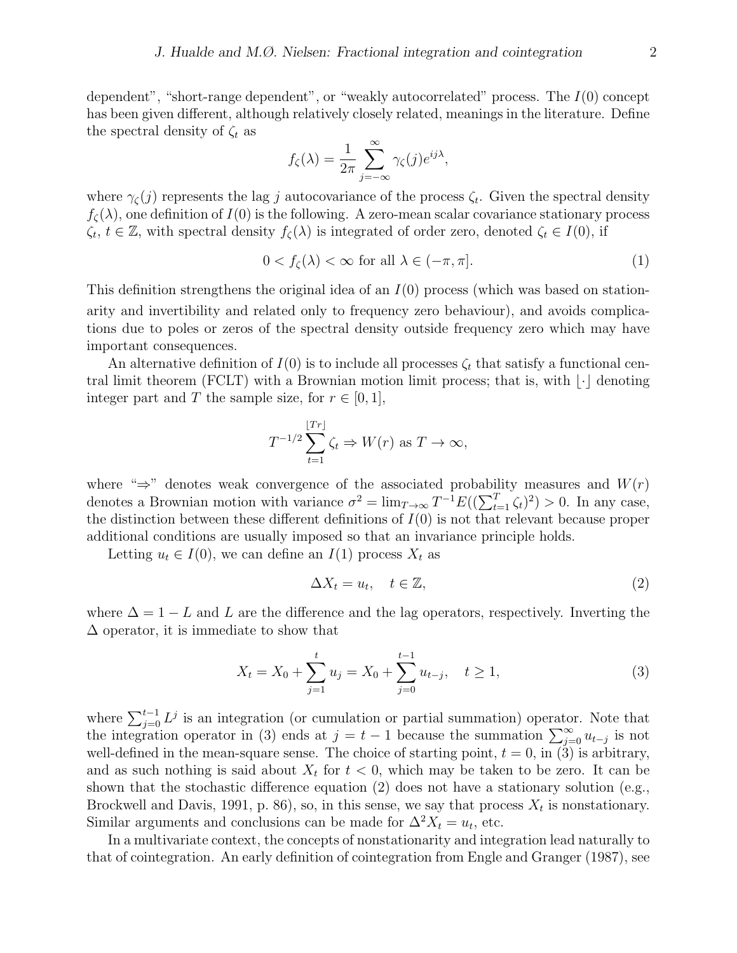dependent", "short-range dependent", or "weakly autocorrelated" process. The  $I(0)$  concept has been given different, although relatively closely related, meanings in the literature. Define the spectral density of  $\zeta_t$  as

$$
f_{\zeta}(\lambda) = \frac{1}{2\pi} \sum_{j=-\infty}^{\infty} \gamma_{\zeta}(j) e^{ij\lambda},
$$

where  $\gamma_{\zeta}(j)$  represents the lag j autocovariance of the process  $\zeta_t$ . Given the spectral density  $f_{\zeta}(\lambda)$ , one definition of  $I(0)$  is the following. A zero-mean scalar covariance stationary process  $\zeta_t, t \in \mathbb{Z}$ , with spectral density  $f_{\zeta}(\lambda)$  is integrated of order zero, denoted  $\zeta_t \in I(0)$ , if

$$
0 < f_{\zeta}(\lambda) < \infty \text{ for all } \lambda \in (-\pi, \pi]. \tag{1}
$$

This definition strengthens the original idea of an  $I(0)$  process (which was based on stationarity and invertibility and related only to frequency zero behaviour), and avoids complications due to poles or zeros of the spectral density outside frequency zero which may have important consequences.

An alternative definition of  $I(0)$  is to include all processes  $\zeta_t$  that satisfy a functional central limit theorem (FCLT) with a Brownian motion limit process; that is, with  $|\cdot|$  denoting integer part and T the sample size, for  $r \in [0, 1]$ ,

$$
T^{-1/2} \sum_{t=1}^{\lfloor Tr \rfloor} \zeta_t \Rightarrow W(r) \text{ as } T \to \infty,
$$

where " $\Rightarrow$ " denotes weak convergence of the associated probability measures and  $W(r)$ denotes a Brownian motion with variance  $\sigma^2 = \lim_{T \to \infty} T^{-1} E((\sum_{t=1}^T \zeta_t)^2) > 0$ . In any case, the distinction between these different definitions of  $I(0)$  is not that relevant because proper additional conditions are usually imposed so that an invariance principle holds.

Letting  $u_t \in I(0)$ , we can define an  $I(1)$  process  $X_t$  as

$$
\Delta X_t = u_t, \quad t \in \mathbb{Z},\tag{2}
$$

where  $\Delta = 1 - L$  and L are the difference and the lag operators, respectively. Inverting the ∆ operator, it is immediate to show that

$$
X_t = X_0 + \sum_{j=1}^t u_j = X_0 + \sum_{j=0}^{t-1} u_{t-j}, \quad t \ge 1,
$$
\n(3)

where  $\sum_{j=0}^{t-1} L^j$  is an integration (or cumulation or partial summation) operator. Note that the integration operator in (3) ends at  $j = t - 1$  because the summation  $\sum_{j=0}^{\infty} u_{t-j}$  is not well-defined in the mean-square sense. The choice of starting point,  $t = 0$ , in (3) is arbitrary, and as such nothing is said about  $X_t$  for  $t < 0$ , which may be taken to be zero. It can be shown that the stochastic difference equation  $(2)$  does not have a stationary solution (e.g., Brockwell and Davis, 1991, p. 86), so, in this sense, we say that process  $X_t$  is nonstationary. Similar arguments and conclusions can be made for  $\Delta^2 X_t = u_t$ , etc.

In a multivariate context, the concepts of nonstationarity and integration lead naturally to that of cointegration. An early definition of cointegration from Engle and Granger (1987), see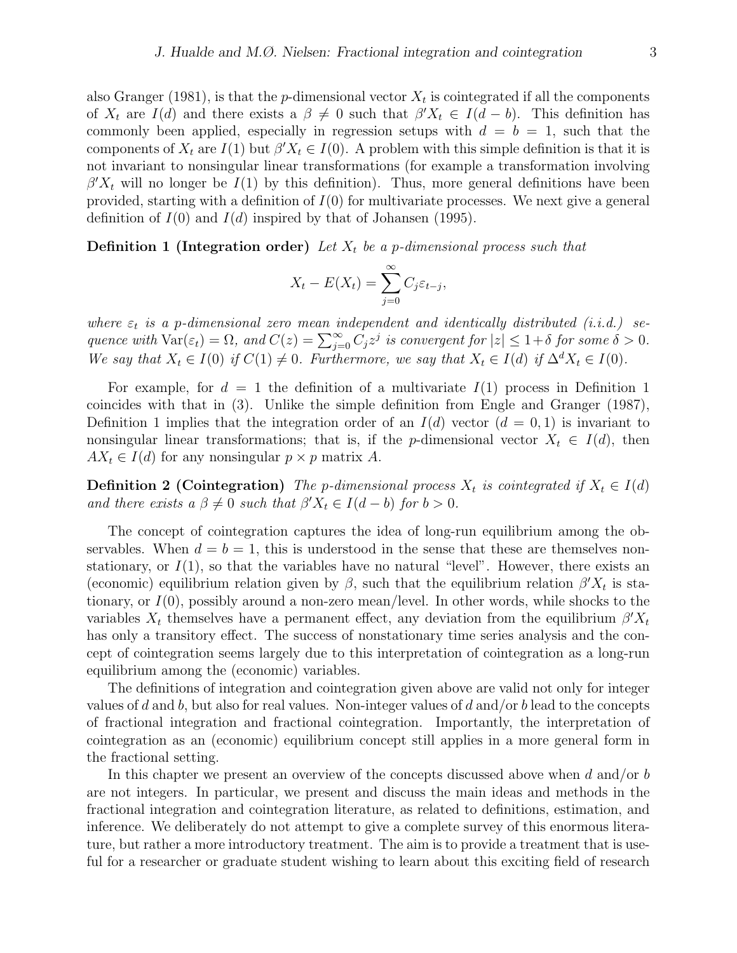also Granger (1981), is that the *p*-dimensional vector  $X_t$  is cointegrated if all the components of  $X_t$  are  $I(d)$  and there exists a  $\beta \neq 0$  such that  $\beta' X_t \in I(d-b)$ . This definition has commonly been applied, especially in regression setups with  $d = b = 1$ , such that the components of  $X_t$  are  $I(1)$  but  $\beta' X_t \in I(0)$ . A problem with this simple definition is that it is not invariant to nonsingular linear transformations (for example a transformation involving  $\beta' X_t$  will no longer be  $I(1)$  by this definition). Thus, more general definitions have been provided, starting with a definition of  $I(0)$  for multivariate processes. We next give a general definition of  $I(0)$  and  $I(d)$  inspired by that of Johansen (1995).

**Definition 1 (Integration order)** Let  $X_t$  be a p-dimensional process such that

$$
X_t - E(X_t) = \sum_{j=0}^{\infty} C_j \varepsilon_{t-j},
$$

where  $\varepsilon_t$  is a p-dimensional zero mean independent and identically distributed (i.i.d.) sequence with  $\text{Var}(\varepsilon_t) = \Omega$ , and  $C(z) = \sum_{j=0}^{\infty} C_j z^j$  is convergent for  $|z| \leq 1+\delta$  for some  $\delta > 0$ . We say that  $X_t \in I(0)$  if  $C(1) \neq 0$ . Furthermore, we say that  $X_t \in I(d)$  if  $\Delta^d X_t \in I(0)$ .

For example, for  $d = 1$  the definition of a multivariate  $I(1)$  process in Definition 1 coincides with that in (3). Unlike the simple definition from Engle and Granger (1987), Definition 1 implies that the integration order of an  $I(d)$  vector  $(d = 0, 1)$  is invariant to nonsingular linear transformations; that is, if the p-dimensional vector  $X_t \in I(d)$ , then  $AX_t \in I(d)$  for any nonsingular  $p \times p$  matrix A.

**Definition 2 (Cointegration)** The p-dimensional process  $X_t$  is cointegrated if  $X_t \in I(d)$ and there exists a  $\beta \neq 0$  such that  $\beta' X_t \in I(d-b)$  for  $b > 0$ .

The concept of cointegration captures the idea of long-run equilibrium among the observables. When  $d = b = 1$ , this is understood in the sense that these are themselves nonstationary, or  $I(1)$ , so that the variables have no natural "level". However, there exists an (economic) equilibrium relation given by  $\beta$ , such that the equilibrium relation  $\beta' X_t$  is stationary, or  $I(0)$ , possibly around a non-zero mean/level. In other words, while shocks to the variables  $X_t$  themselves have a permanent effect, any deviation from the equilibrium  $\beta' X_t$ has only a transitory effect. The success of nonstationary time series analysis and the concept of cointegration seems largely due to this interpretation of cointegration as a long-run equilibrium among the (economic) variables.

The definitions of integration and cointegration given above are valid not only for integer values of d and b, but also for real values. Non-integer values of d and/or b lead to the concepts of fractional integration and fractional cointegration. Importantly, the interpretation of cointegration as an (economic) equilibrium concept still applies in a more general form in the fractional setting.

In this chapter we present an overview of the concepts discussed above when d and/or b are not integers. In particular, we present and discuss the main ideas and methods in the fractional integration and cointegration literature, as related to definitions, estimation, and inference. We deliberately do not attempt to give a complete survey of this enormous literature, but rather a more introductory treatment. The aim is to provide a treatment that is useful for a researcher or graduate student wishing to learn about this exciting field of research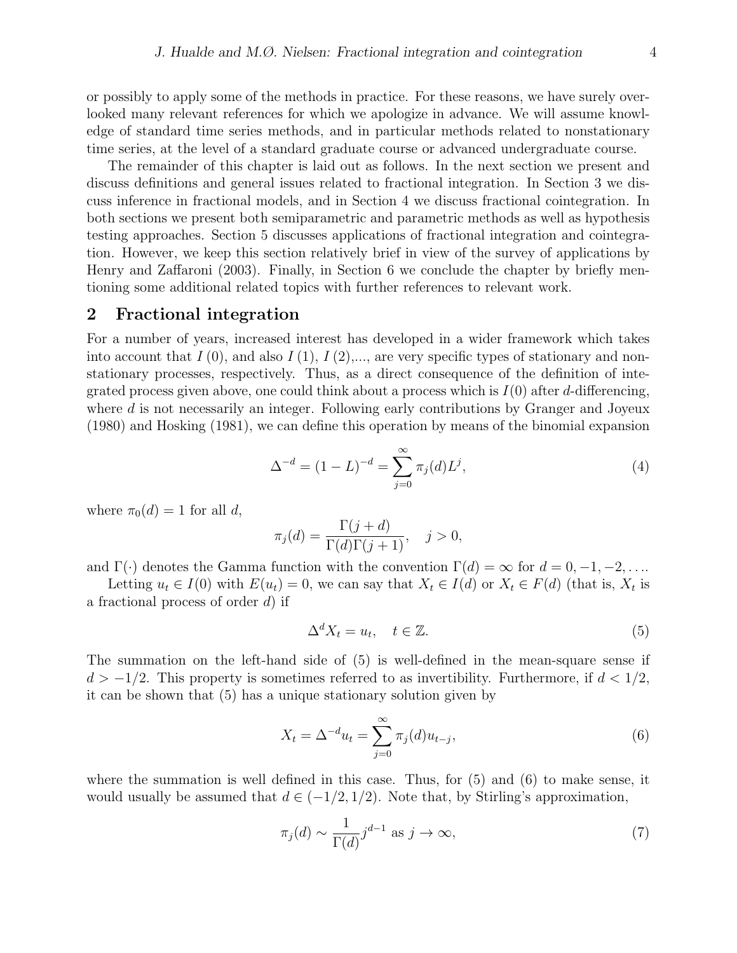or possibly to apply some of the methods in practice. For these reasons, we have surely overlooked many relevant references for which we apologize in advance. We will assume knowledge of standard time series methods, and in particular methods related to nonstationary time series, at the level of a standard graduate course or advanced undergraduate course.

The remainder of this chapter is laid out as follows. In the next section we present and discuss definitions and general issues related to fractional integration. In Section 3 we discuss inference in fractional models, and in Section 4 we discuss fractional cointegration. In both sections we present both semiparametric and parametric methods as well as hypothesis testing approaches. Section 5 discusses applications of fractional integration and cointegration. However, we keep this section relatively brief in view of the survey of applications by Henry and Zaffaroni (2003). Finally, in Section 6 we conclude the chapter by briefly mentioning some additional related topics with further references to relevant work.

### 2 Fractional integration

For a number of years, increased interest has developed in a wider framework which takes into account that  $I(0)$ , and also  $I(1), I(2), \ldots$ , are very specific types of stationary and nonstationary processes, respectively. Thus, as a direct consequence of the definition of integrated process given above, one could think about a process which is  $I(0)$  after d-differencing, where d is not necessarily an integer. Following early contributions by Granger and Joyeux (1980) and Hosking (1981), we can define this operation by means of the binomial expansion

$$
\Delta^{-d} = (1 - L)^{-d} = \sum_{j=0}^{\infty} \pi_j(d) L^j,
$$
\n(4)

where  $\pi_0(d) = 1$  for all d,

$$
\pi_j(d) = \frac{\Gamma(j+d)}{\Gamma(d)\Gamma(j+1)}, \quad j > 0,
$$

and  $\Gamma(\cdot)$  denotes the Gamma function with the convention  $\Gamma(d) = \infty$  for  $d = 0, -1, -2, \ldots$ .

Letting  $u_t \in I(0)$  with  $E(u_t) = 0$ , we can say that  $X_t \in I(d)$  or  $X_t \in F(d)$  (that is,  $X_t$  is a fractional process of order  $d$ ) if

$$
\Delta^d X_t = u_t, \quad t \in \mathbb{Z}.\tag{5}
$$

The summation on the left-hand side of (5) is well-defined in the mean-square sense if  $d > -1/2$ . This property is sometimes referred to as invertibility. Furthermore, if  $d < 1/2$ , it can be shown that (5) has a unique stationary solution given by

$$
X_t = \Delta^{-d} u_t = \sum_{j=0}^{\infty} \pi_j(d) u_{t-j},
$$
\n(6)

where the summation is well defined in this case. Thus, for  $(5)$  and  $(6)$  to make sense, it would usually be assumed that  $d \in (-1/2, 1/2)$ . Note that, by Stirling's approximation,

$$
\pi_j(d) \sim \frac{1}{\Gamma(d)} j^{d-1} \text{ as } j \to \infty,
$$
\n(7)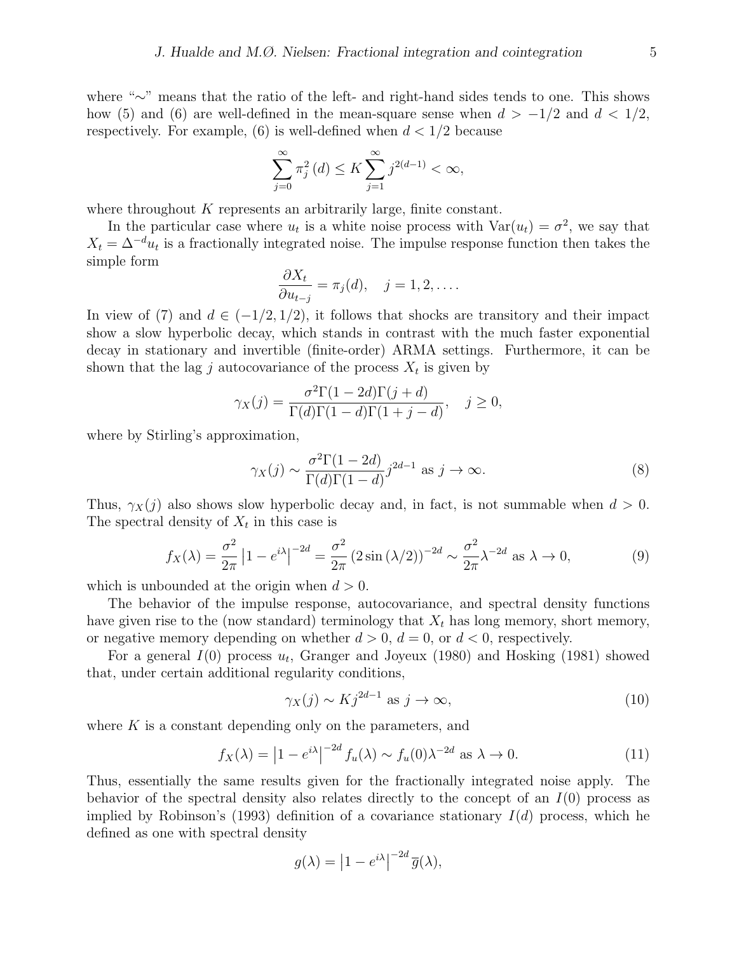where "∼" means that the ratio of the left- and right-hand sides tends to one. This shows how (5) and (6) are well-defined in the mean-square sense when  $d > -1/2$  and  $d < 1/2$ , respectively. For example, (6) is well-defined when  $d < 1/2$  because

$$
\sum_{j=0}^{\infty}\pi_{j}^{2}\left(d\right)\leq K\sum_{j=1}^{\infty}j^{2\left(d-1\right)}<\infty,
$$

where throughout  $K$  represents an arbitrarily large, finite constant.

In the particular case where  $u_t$  is a white noise process with  $Var(u_t) = \sigma^2$ , we say that  $X_t = \Delta^{-d} u_t$  is a fractionally integrated noise. The impulse response function then takes the simple form

$$
\frac{\partial X_t}{\partial u_{t-j}} = \pi_j(d), \quad j = 1, 2, \dots.
$$

In view of (7) and  $d \in (-1/2, 1/2)$ , it follows that shocks are transitory and their impact show a slow hyperbolic decay, which stands in contrast with the much faster exponential decay in stationary and invertible (finite-order) ARMA settings. Furthermore, it can be shown that the lag j autocovariance of the process  $X_t$  is given by

$$
\gamma_X(j) = \frac{\sigma^2 \Gamma(1 - 2d)\Gamma(j + d)}{\Gamma(d)\Gamma(1 - d)\Gamma(1 + j - d)}, \quad j \ge 0,
$$

where by Stirling's approximation,

$$
\gamma_X(j) \sim \frac{\sigma^2 \Gamma(1 - 2d)}{\Gamma(d)\Gamma(1 - d)} j^{2d - 1} \text{ as } j \to \infty.
$$
 (8)

Thus,  $\gamma_X(j)$  also shows slow hyperbolic decay and, in fact, is not summable when  $d > 0$ . The spectral density of  $X_t$  in this case is

$$
f_X(\lambda) = \frac{\sigma^2}{2\pi} \left| 1 - e^{i\lambda} \right|^{-2d} = \frac{\sigma^2}{2\pi} \left( 2\sin\left(\lambda/2\right) \right)^{-2d} \sim \frac{\sigma^2}{2\pi} \lambda^{-2d} \text{ as } \lambda \to 0,
$$
\n<sup>(9)</sup>

which is unbounded at the origin when  $d > 0$ .

The behavior of the impulse response, autocovariance, and spectral density functions have given rise to the (now standard) terminology that  $X_t$  has long memory, short memory, or negative memory depending on whether  $d > 0$ ,  $d = 0$ , or  $d < 0$ , respectively.

For a general  $I(0)$  process  $u_t$ , Granger and Joyeux (1980) and Hosking (1981) showed that, under certain additional regularity conditions,

$$
\gamma_X(j) \sim K j^{2d-1} \text{ as } j \to \infty,
$$
\n(10)

where  $K$  is a constant depending only on the parameters, and

$$
f_X(\lambda) = \left| 1 - e^{i\lambda} \right|^{-2d} f_u(\lambda) \sim f_u(0) \lambda^{-2d} \text{ as } \lambda \to 0.
$$
 (11)

Thus, essentially the same results given for the fractionally integrated noise apply. The behavior of the spectral density also relates directly to the concept of an  $I(0)$  process as implied by Robinson's (1993) definition of a covariance stationary  $I(d)$  process, which he defined as one with spectral density

$$
g(\lambda) = |1 - e^{i\lambda}|^{-2d} \overline{g}(\lambda),
$$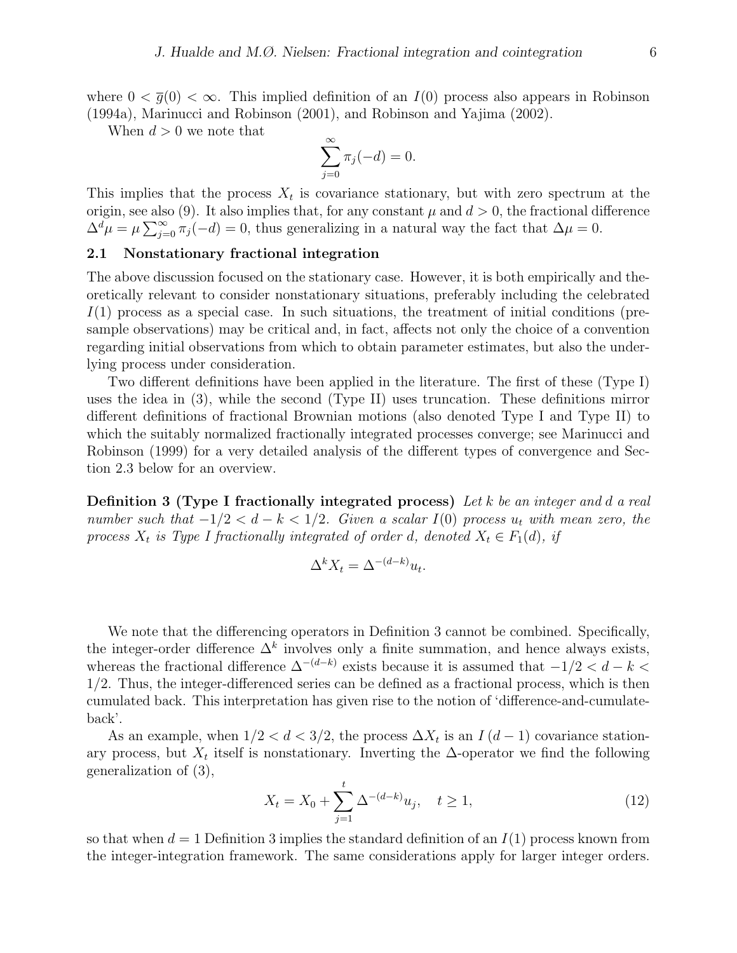where  $0 < \overline{g}(0) < \infty$ . This implied definition of an  $I(0)$  process also appears in Robinson (1994a), Marinucci and Robinson (2001), and Robinson and Yajima (2002).

When  $d > 0$  we note that

$$
\sum_{j=0}^{\infty} \pi_j(-d) = 0.
$$

This implies that the process  $X_t$  is covariance stationary, but with zero spectrum at the origin, see also (9). It also implies that, for any constant  $\mu$  and  $d > 0$ , the fractional difference  $\Delta^d \mu = \mu \sum_{j=0}^{\infty} \pi_j(-d) = 0$ , thus generalizing in a natural way the fact that  $\Delta \mu = 0$ .

#### 2.1 Nonstationary fractional integration

The above discussion focused on the stationary case. However, it is both empirically and theoretically relevant to consider nonstationary situations, preferably including the celebrated  $I(1)$  process as a special case. In such situations, the treatment of initial conditions (presample observations) may be critical and, in fact, affects not only the choice of a convention regarding initial observations from which to obtain parameter estimates, but also the underlying process under consideration.

Two different definitions have been applied in the literature. The first of these (Type I) uses the idea in (3), while the second (Type II) uses truncation. These definitions mirror different definitions of fractional Brownian motions (also denoted Type I and Type II) to which the suitably normalized fractionally integrated processes converge; see Marinucci and Robinson (1999) for a very detailed analysis of the different types of convergence and Section 2.3 below for an overview.

**Definition 3 (Type I fractionally integrated process)** Let k be an integer and d a real number such that  $-1/2 < d - k < 1/2$ . Given a scalar I(0) process  $u_t$  with mean zero, the process  $X_t$  is Type I fractionally integrated of order d, denoted  $X_t \in F_1(d)$ , if

$$
\Delta^k X_t = \Delta^{-(d-k)} u_t.
$$

We note that the differencing operators in Definition 3 cannot be combined. Specifically, the integer-order difference  $\Delta^k$  involves only a finite summation, and hence always exists, whereas the fractional difference  $\Delta^{-(d-k)}$  exists because it is assumed that  $-1/2 < d-k$ 1/2. Thus, the integer-differenced series can be defined as a fractional process, which is then cumulated back. This interpretation has given rise to the notion of 'difference-and-cumulateback'.

As an example, when  $1/2 < d < 3/2$ , the process  $\Delta X_t$  is an  $I(d-1)$  covariance stationary process, but  $X_t$  itself is nonstationary. Inverting the  $\Delta$ -operator we find the following generalization of (3),

$$
X_t = X_0 + \sum_{j=1}^t \Delta^{-(d-k)} u_j, \quad t \ge 1,
$$
\n(12)

so that when  $d = 1$  Definition 3 implies the standard definition of an  $I(1)$  process known from the integer-integration framework. The same considerations apply for larger integer orders.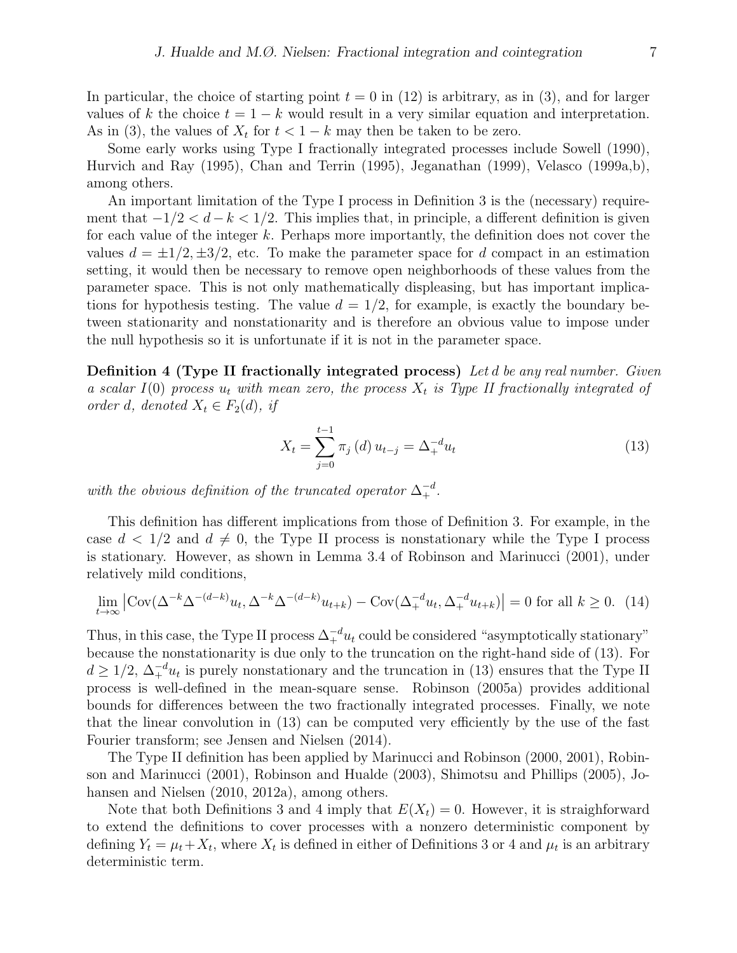In particular, the choice of starting point  $t = 0$  in (12) is arbitrary, as in (3), and for larger values of k the choice  $t = 1 - k$  would result in a very similar equation and interpretation. As in (3), the values of  $X_t$  for  $t < 1 - k$  may then be taken to be zero.

Some early works using Type I fractionally integrated processes include Sowell (1990), Hurvich and Ray (1995), Chan and Terrin (1995), Jeganathan (1999), Velasco (1999a,b), among others.

An important limitation of the Type I process in Definition 3 is the (necessary) requirement that  $-1/2 < d-k < 1/2$ . This implies that, in principle, a different definition is given for each value of the integer k. Perhaps more importantly, the definition does not cover the values  $d = \pm 1/2, \pm 3/2$ , etc. To make the parameter space for d compact in an estimation setting, it would then be necessary to remove open neighborhoods of these values from the parameter space. This is not only mathematically displeasing, but has important implications for hypothesis testing. The value  $d = 1/2$ , for example, is exactly the boundary between stationarity and nonstationarity and is therefore an obvious value to impose under the null hypothesis so it is unfortunate if it is not in the parameter space.

**Definition 4 (Type II fractionally integrated process)** Let d be any real number. Given a scalar  $I(0)$  process  $u_t$  with mean zero, the process  $X_t$  is Type II fractionally integrated of order d, denoted  $X_t \in F_2(d)$ , if

$$
X_t = \sum_{j=0}^{t-1} \pi_j(d) u_{t-j} = \Delta_+^{-d} u_t
$$
\n(13)

with the obvious definition of the truncated operator  $\Delta_+^{-d}$ .

This definition has different implications from those of Definition 3. For example, in the case  $d < 1/2$  and  $d \neq 0$ , the Type II process is nonstationary while the Type I process is stationary. However, as shown in Lemma 3.4 of Robinson and Marinucci (2001), under relatively mild conditions,

$$
\lim_{t \to \infty} \left| \text{Cov}(\Delta^{-k} \Delta^{-(d-k)} u_t, \Delta^{-k} \Delta^{-(d-k)} u_{t+k}) - \text{Cov}(\Delta_+^{-d} u_t, \Delta_+^{-d} u_{t+k}) \right| = 0 \text{ for all } k \ge 0. \tag{14}
$$

Thus, in this case, the Type II process  $\Delta_+^{-d} u_t$  could be considered "asymptotically stationary" because the nonstationarity is due only to the truncation on the right-hand side of (13). For  $d \geq 1/2$ ,  $\Delta_+^{-d}u_t$  is purely nonstationary and the truncation in (13) ensures that the Type II process is well-defined in the mean-square sense. Robinson (2005a) provides additional bounds for differences between the two fractionally integrated processes. Finally, we note that the linear convolution in (13) can be computed very efficiently by the use of the fast Fourier transform; see Jensen and Nielsen (2014).

The Type II definition has been applied by Marinucci and Robinson (2000, 2001), Robinson and Marinucci (2001), Robinson and Hualde (2003), Shimotsu and Phillips (2005), Johansen and Nielsen (2010, 2012a), among others.

Note that both Definitions 3 and 4 imply that  $E(X_t) = 0$ . However, it is straighforward to extend the definitions to cover processes with a nonzero deterministic component by defining  $Y_t = \mu_t + X_t$ , where  $X_t$  is defined in either of Definitions 3 or 4 and  $\mu_t$  is an arbitrary deterministic term.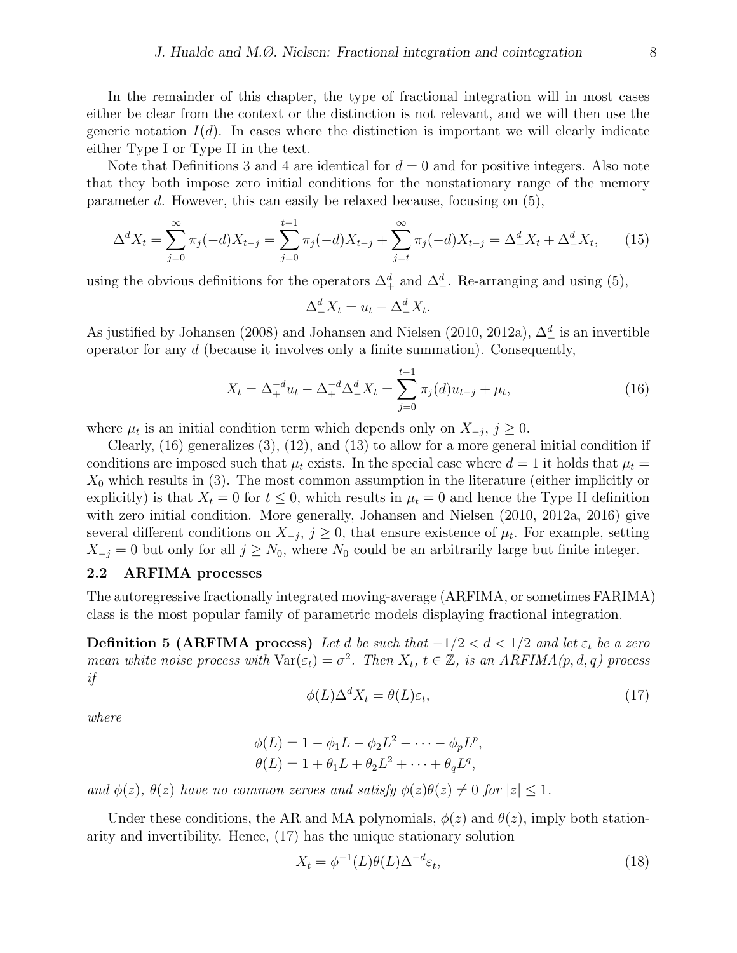Note that Definitions 3 and 4 are identical for  $d = 0$  and for positive integers. Also note that they both impose zero initial conditions for the nonstationary range of the memory parameter d. However, this can easily be relaxed because, focusing on (5),

$$
\Delta^d X_t = \sum_{j=0}^{\infty} \pi_j(-d) X_{t-j} = \sum_{j=0}^{t-1} \pi_j(-d) X_{t-j} + \sum_{j=t}^{\infty} \pi_j(-d) X_{t-j} = \Delta^d_+ X_t + \Delta^d_- X_t, \tag{15}
$$

using the obvious definitions for the operators  $\Delta^d_+$  and  $\Delta^d_-$ . Re-arranging and using (5),

$$
\Delta_+^d X_t = u_t - \Delta_-^d X_t.
$$

As justified by Johansen (2008) and Johansen and Nielsen (2010, 2012a),  $\Delta^d_+$  is an invertible operator for any d (because it involves only a finite summation). Consequently,

$$
X_t = \Delta_+^{-d} u_t - \Delta_+^{-d} \Delta_-^d X_t = \sum_{j=0}^{t-1} \pi_j(d) u_{t-j} + \mu_t,
$$
\n(16)

where  $\mu_t$  is an initial condition term which depends only on  $X_{-j}$ ,  $j \geq 0$ .

Clearly, (16) generalizes (3), (12), and (13) to allow for a more general initial condition if conditions are imposed such that  $\mu_t$  exists. In the special case where  $d=1$  it holds that  $\mu_t =$  $X_0$  which results in (3). The most common assumption in the literature (either implicitly or explicitly) is that  $X_t = 0$  for  $t \leq 0$ , which results in  $\mu_t = 0$  and hence the Type II definition with zero initial condition. More generally, Johansen and Nielsen (2010, 2012a, 2016) give several different conditions on  $X_{-j}$ ,  $j \geq 0$ , that ensure existence of  $\mu_t$ . For example, setting  $X_{-j} = 0$  but only for all  $j \geq N_0$ , where  $N_0$  could be an arbitrarily large but finite integer.

## 2.2 ARFIMA processes

The autoregressive fractionally integrated moving-average (ARFIMA, or sometimes FARIMA) class is the most popular family of parametric models displaying fractional integration.

**Definition 5 (ARFIMA process)** Let d be such that  $-1/2 < d < 1/2$  and let  $\varepsilon_t$  be a zero mean white noise process with  $\text{Var}(\varepsilon_t) = \sigma^2$ . Then  $X_t$ ,  $t \in \mathbb{Z}$ , is an ARFIMA(p, d, q) process if

$$
\phi(L)\Delta^d X_t = \theta(L)\varepsilon_t,\tag{17}
$$

where

$$
\phi(L) = 1 - \phi_1 L - \phi_2 L^2 - \dots - \phi_p L^p,
$$
  

$$
\theta(L) = 1 + \theta_1 L + \theta_2 L^2 + \dots + \theta_q L^q,
$$

and  $\phi(z)$ ,  $\theta(z)$  have no common zeroes and satisfy  $\phi(z)\theta(z) \neq 0$  for  $|z| \leq 1$ .

Under these conditions, the AR and MA polynomials,  $\phi(z)$  and  $\theta(z)$ , imply both stationarity and invertibility. Hence, (17) has the unique stationary solution

$$
X_t = \phi^{-1}(L)\theta(L)\Delta^{-d}\varepsilon_t,\tag{18}
$$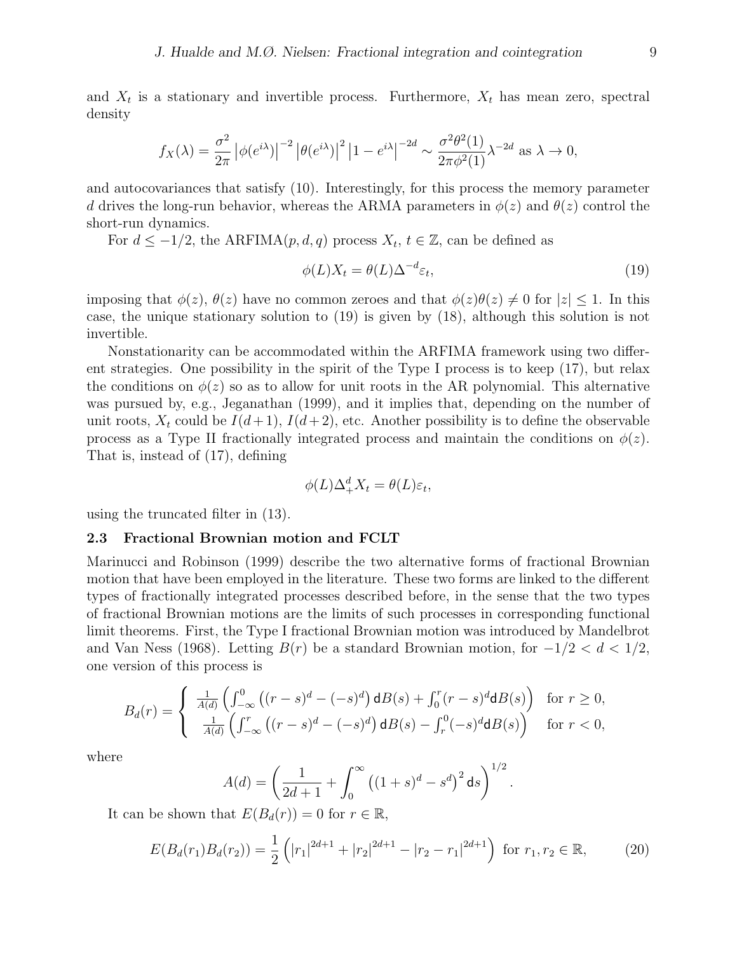and  $X_t$  is a stationary and invertible process. Furthermore,  $X_t$  has mean zero, spectral density

$$
f_X(\lambda) = \frac{\sigma^2}{2\pi} \left| \phi(e^{i\lambda}) \right|^{-2} \left| \theta(e^{i\lambda}) \right|^2 \left| 1 - e^{i\lambda} \right|^{-2d} \sim \frac{\sigma^2 \theta^2(1)}{2\pi \phi^2(1)} \lambda^{-2d} \text{ as } \lambda \to 0,
$$

and autocovariances that satisfy (10). Interestingly, for this process the memory parameter d drives the long-run behavior, whereas the ARMA parameters in  $\phi(z)$  and  $\theta(z)$  control the short-run dynamics.

For  $d \le -1/2$ , the ARFIMA $(p, d, q)$  process  $X_t, t \in \mathbb{Z}$ , can be defined as

$$
\phi(L)X_t = \theta(L)\Delta^{-d}\varepsilon_t,\tag{19}
$$

imposing that  $\phi(z)$ ,  $\theta(z)$  have no common zeroes and that  $\phi(z)\theta(z) \neq 0$  for  $|z| \leq 1$ . In this case, the unique stationary solution to (19) is given by (18), although this solution is not invertible.

Nonstationarity can be accommodated within the ARFIMA framework using two different strategies. One possibility in the spirit of the Type I process is to keep (17), but relax the conditions on  $\phi(z)$  so as to allow for unit roots in the AR polynomial. This alternative was pursued by, e.g., Jeganathan (1999), and it implies that, depending on the number of unit roots,  $X_t$  could be  $I(d+1)$ ,  $I(d+2)$ , etc. Another possibility is to define the observable process as a Type II fractionally integrated process and maintain the conditions on  $\phi(z)$ . That is, instead of (17), defining

$$
\phi(L)\Delta_+^d X_t = \theta(L)\varepsilon_t,
$$

using the truncated filter in (13).

#### 2.3 Fractional Brownian motion and FCLT

Marinucci and Robinson (1999) describe the two alternative forms of fractional Brownian motion that have been employed in the literature. These two forms are linked to the different types of fractionally integrated processes described before, in the sense that the two types of fractional Brownian motions are the limits of such processes in corresponding functional limit theorems. First, the Type I fractional Brownian motion was introduced by Mandelbrot and Van Ness (1968). Letting  $B(r)$  be a standard Brownian motion, for  $-1/2 < d < 1/2$ , one version of this process is

$$
B_d(r) = \begin{cases} \frac{1}{A(d)} \left( \int_{-\infty}^0 \left( (r-s)^d - (-s)^d \right) \mathrm{d}B(s) + \int_0^r (r-s)^d \mathrm{d}B(s) \right) & \text{for } r \ge 0, \\ \frac{1}{A(d)} \left( \int_{-\infty}^r \left( (r-s)^d - (-s)^d \right) \mathrm{d}B(s) - \int_r^0 (-s)^d \mathrm{d}B(s) \right) & \text{for } r < 0, \end{cases}
$$

where

$$
A(d) = \left(\frac{1}{2d+1} + \int_0^{\infty} ((1+s)^d - s^d)^2 ds\right)^{1/2}
$$

It can be shown that  $E(B_d(r)) = 0$  for  $r \in \mathbb{R}$ ,

$$
E(B_d(r_1)B_d(r_2)) = \frac{1}{2} \left( |r_1|^{2d+1} + |r_2|^{2d+1} - |r_2 - r_1|^{2d+1} \right) \text{ for } r_1, r_2 \in \mathbb{R},\tag{20}
$$

.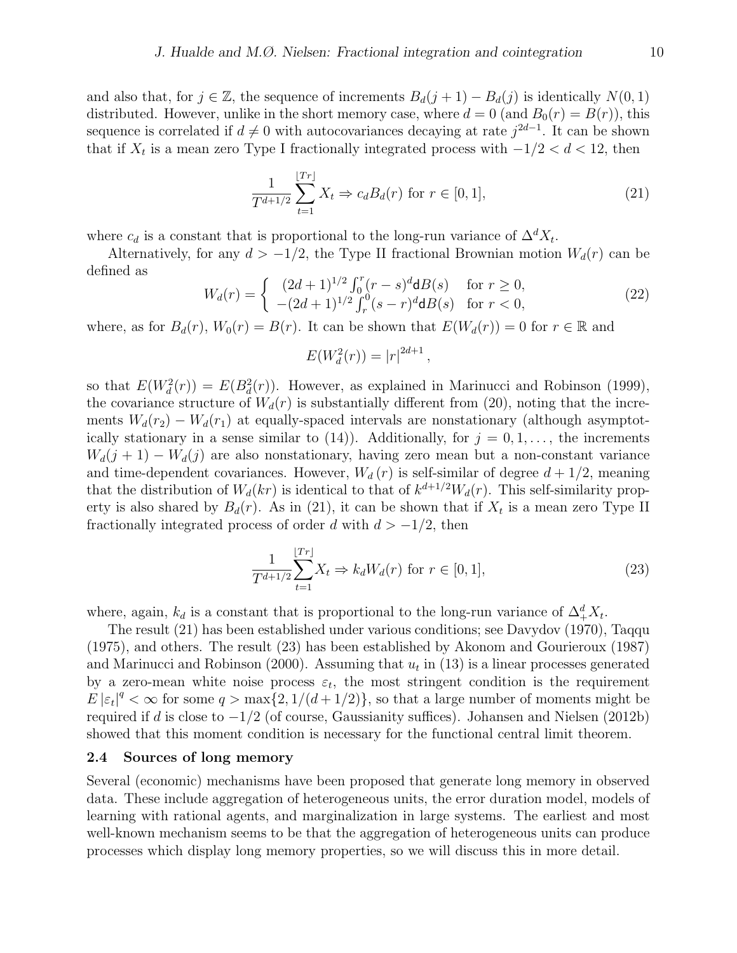and also that, for  $j \in \mathbb{Z}$ , the sequence of increments  $B_d(j+1) - B_d(j)$  is identically  $N(0, 1)$ distributed. However, unlike in the short memory case, where  $d = 0$  (and  $B_0(r) = B(r)$ ), this sequence is correlated if  $d \neq 0$  with autocovariances decaying at rate  $j^{2d-1}$ . It can be shown that if  $X_t$  is a mean zero Type I fractionally integrated process with  $-1/2 < d < 12$ , then

$$
\frac{1}{T^{d+1/2}} \sum_{t=1}^{\lfloor Tr \rfloor} X_t \Rightarrow c_d B_d(r) \text{ for } r \in [0, 1],
$$
\n(21)

where  $c_d$  is a constant that is proportional to the long-run variance of  $\Delta^d X_t$ .

Alternatively, for any  $d > -1/2$ , the Type II fractional Brownian motion  $W_d(r)$  can be defined as

$$
W_d(r) = \begin{cases} (2d+1)^{1/2} \int_0^r (r-s)^d \mathbf{d}B(s) & \text{for } r \ge 0, \\ -(2d+1)^{1/2} \int_r^0 (s-r)^d \mathbf{d}B(s) & \text{for } r < 0, \end{cases}
$$
(22)

,

where, as for  $B_d(r)$ ,  $W_0(r) = B(r)$ . It can be shown that  $E(W_d(r)) = 0$  for  $r \in \mathbb{R}$  and

$$
E(W_d^2(r)) = |r|^{2d+1}
$$

so that  $E(W_d^2(r)) = E(B_d^2(r))$ . However, as explained in Marinucci and Robinson (1999), the covariance structure of  $W_d(r)$  is substantially different from (20), noting that the increments  $W_d(r_2) - W_d(r_1)$  at equally-spaced intervals are nonstationary (although asymptotically stationary in a sense similar to (14)). Additionally, for  $j = 0, 1, \ldots$ , the increments  $W_d(j + 1) - W_d(j)$  are also nonstationary, having zero mean but a non-constant variance and time-dependent covariances. However,  $W_d(r)$  is self-similar of degree  $d + 1/2$ , meaning that the distribution of  $W_d(kr)$  is identical to that of  $k^{d+1/2}W_d(r)$ . This self-similarity property is also shared by  $B_d(r)$ . As in (21), it can be shown that if  $X_t$  is a mean zero Type II fractionally integrated process of order d with  $d > -1/2$ , then

$$
\frac{1}{T^{d+1/2}}\sum_{t=1}^{\lfloor Tr \rfloor} X_t \Rightarrow k_d W_d(r) \text{ for } r \in [0,1],\tag{23}
$$

where, again,  $k_d$  is a constant that is proportional to the long-run variance of  $\Delta^d_+ X_t$ .

The result (21) has been established under various conditions; see Davydov (1970), Taqqu (1975), and others. The result (23) has been established by Akonom and Gourieroux (1987) and Marinucci and Robinson (2000). Assuming that  $u_t$  in (13) is a linear processes generated by a zero-mean white noise process  $\varepsilon_t$ , the most stringent condition is the requirement  $E|\varepsilon_t|^q < \infty$  for some  $q > \max\{2, 1/(d+1/2)\}\)$ , so that a large number of moments might be required if d is close to  $-1/2$  (of course, Gaussianity suffices). Johansen and Nielsen (2012b) showed that this moment condition is necessary for the functional central limit theorem.

#### 2.4 Sources of long memory

Several (economic) mechanisms have been proposed that generate long memory in observed data. These include aggregation of heterogeneous units, the error duration model, models of learning with rational agents, and marginalization in large systems. The earliest and most well-known mechanism seems to be that the aggregation of heterogeneous units can produce processes which display long memory properties, so we will discuss this in more detail.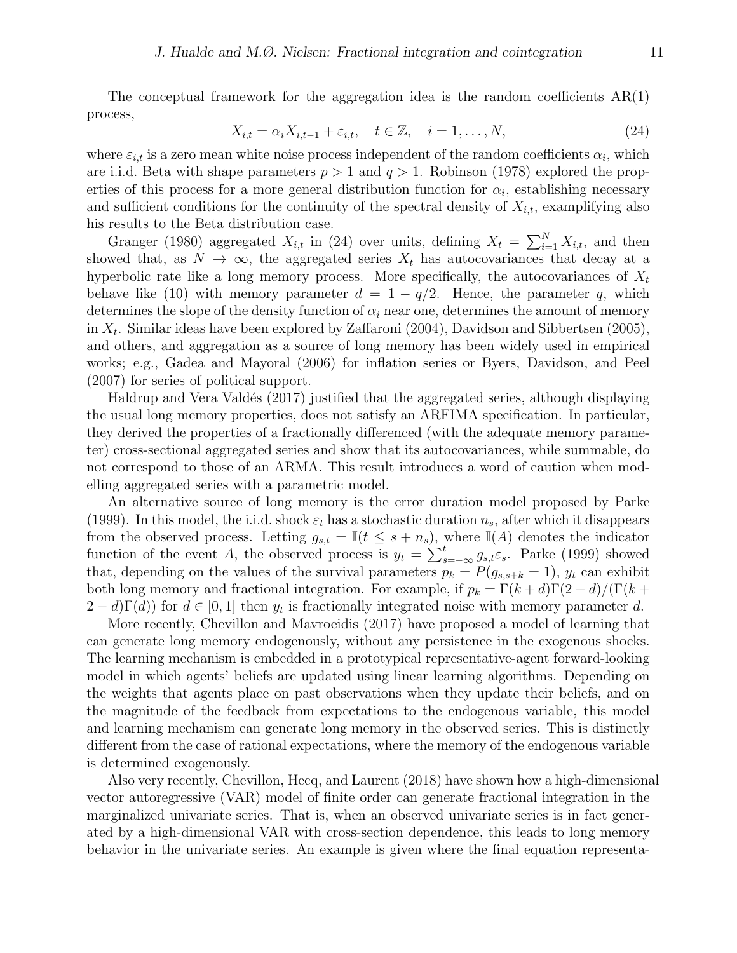The conceptual framework for the aggregation idea is the random coefficients  $AR(1)$ process,

$$
X_{i,t} = \alpha_i X_{i,t-1} + \varepsilon_{i,t}, \quad t \in \mathbb{Z}, \quad i = 1, \dots, N,
$$
\n
$$
(24)
$$

where  $\varepsilon_{i,t}$  is a zero mean white noise process independent of the random coefficients  $\alpha_i$ , which are i.i.d. Beta with shape parameters  $p > 1$  and  $q > 1$ . Robinson (1978) explored the properties of this process for a more general distribution function for  $\alpha_i$ , establishing necessary and sufficient conditions for the continuity of the spectral density of  $X_{i,t}$ , examplifying also his results to the Beta distribution case.

Granger (1980) aggregated  $X_{i,t}$  in (24) over units, defining  $X_t = \sum_{i=1}^{N} X_{i,t}$ , and then showed that, as  $N \to \infty$ , the aggregated series  $X_t$  has autocovariances that decay at a hyperbolic rate like a long memory process. More specifically, the autocovariances of  $X_t$ behave like (10) with memory parameter  $d = 1 - q/2$ . Hence, the parameter q, which determines the slope of the density function of  $\alpha_i$  near one, determines the amount of memory in  $X_t$ . Similar ideas have been explored by Zaffaroni (2004), Davidson and Sibbertsen (2005), and others, and aggregation as a source of long memory has been widely used in empirical works; e.g., Gadea and Mayoral (2006) for inflation series or Byers, Davidson, and Peel (2007) for series of political support.

Haldrup and Vera Valdés (2017) justified that the aggregated series, although displaying the usual long memory properties, does not satisfy an ARFIMA specification. In particular, they derived the properties of a fractionally differenced (with the adequate memory parameter) cross-sectional aggregated series and show that its autocovariances, while summable, do not correspond to those of an ARMA. This result introduces a word of caution when modelling aggregated series with a parametric model.

An alternative source of long memory is the error duration model proposed by Parke (1999). In this model, the i.i.d. shock  $\varepsilon_t$  has a stochastic duration  $n_s$ , after which it disappears from the observed process. Letting  $g_{s,t} = \mathbb{I}(t \leq s + n_s)$ , where  $\mathbb{I}(A)$  denotes the indicator function of the event A, the observed process is  $y_t = \sum_{s=-\infty}^{t} g_{s,t} \varepsilon_s$ . Parke (1999) showed that, depending on the values of the survival parameters  $p_k = P(g_{s,s+k} = 1)$ ,  $y_t$  can exhibit both long memory and fractional integration. For example, if  $p_k = \Gamma(k+d)\Gamma(2-d)/(\Gamma(k+d))$  $(2-d)\Gamma(d)$  for  $d \in [0,1]$  then  $y_t$  is fractionally integrated noise with memory parameter d.

More recently, Chevillon and Mavroeidis (2017) have proposed a model of learning that can generate long memory endogenously, without any persistence in the exogenous shocks. The learning mechanism is embedded in a prototypical representative-agent forward-looking model in which agents' beliefs are updated using linear learning algorithms. Depending on the weights that agents place on past observations when they update their beliefs, and on the magnitude of the feedback from expectations to the endogenous variable, this model and learning mechanism can generate long memory in the observed series. This is distinctly different from the case of rational expectations, where the memory of the endogenous variable is determined exogenously.

Also very recently, Chevillon, Hecq, and Laurent (2018) have shown how a high-dimensional vector autoregressive (VAR) model of finite order can generate fractional integration in the marginalized univariate series. That is, when an observed univariate series is in fact generated by a high-dimensional VAR with cross-section dependence, this leads to long memory behavior in the univariate series. An example is given where the final equation representa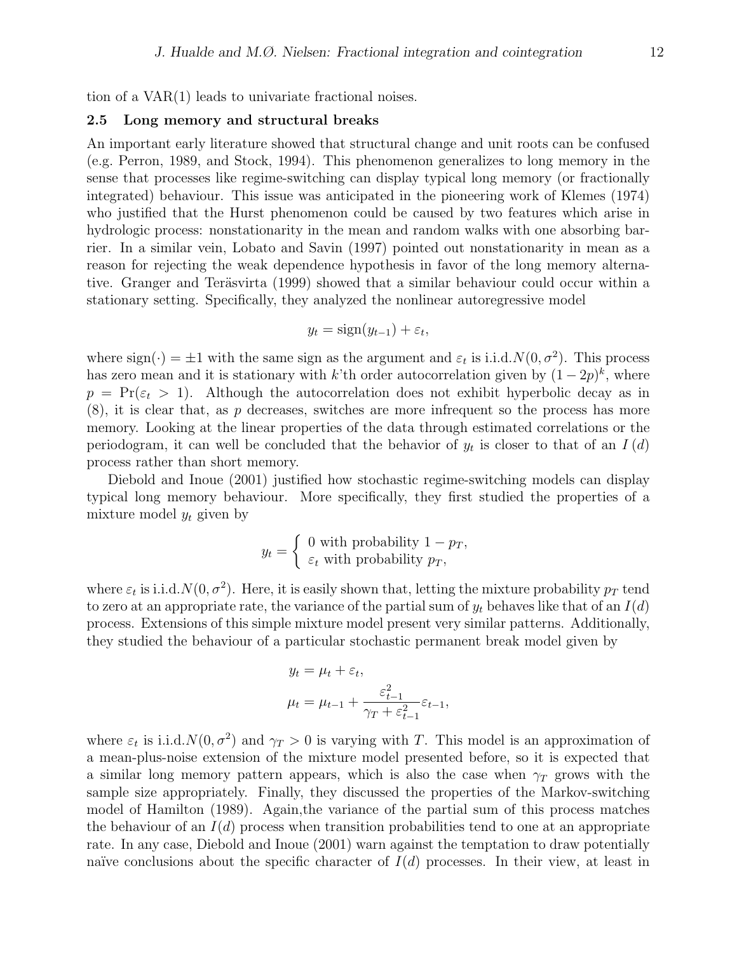tion of a VAR(1) leads to univariate fractional noises.

#### 2.5 Long memory and structural breaks

An important early literature showed that structural change and unit roots can be confused (e.g. Perron, 1989, and Stock, 1994). This phenomenon generalizes to long memory in the sense that processes like regime-switching can display typical long memory (or fractionally integrated) behaviour. This issue was anticipated in the pioneering work of Klemes (1974) who justified that the Hurst phenomenon could be caused by two features which arise in hydrologic process: nonstationarity in the mean and random walks with one absorbing barrier. In a similar vein, Lobato and Savin (1997) pointed out nonstationarity in mean as a reason for rejecting the weak dependence hypothesis in favor of the long memory alternative. Granger and Teräsvirta (1999) showed that a similar behaviour could occur within a stationary setting. Specifically, they analyzed the nonlinear autoregressive model

$$
y_t = \text{sign}(y_{t-1}) + \varepsilon_t,
$$

where  $sign(\cdot) = \pm 1$  with the same sign as the argument and  $\varepsilon_t$  is i.i.d.  $N(0, \sigma^2)$ . This process has zero mean and it is stationary with k'th order autocorrelation given by  $(1-2p)^k$ , where  $p = \Pr(\epsilon_t > 1)$ . Although the autocorrelation does not exhibit hyperbolic decay as in  $(8)$ , it is clear that, as p decreases, switches are more infrequent so the process has more memory. Looking at the linear properties of the data through estimated correlations or the periodogram, it can well be concluded that the behavior of  $y_t$  is closer to that of an  $I(d)$ process rather than short memory.

Diebold and Inoue (2001) justified how stochastic regime-switching models can display typical long memory behaviour. More specifically, they first studied the properties of a mixture model  $y_t$  given by

$$
y_t = \begin{cases} 0 \text{ with probability } 1 - p_T, \\ \varepsilon_t \text{ with probability } p_T, \end{cases}
$$

where  $\varepsilon_t$  is i.i.d.  $N(0, \sigma^2)$ . Here, it is easily shown that, letting the mixture probability  $p_T$  tend to zero at an appropriate rate, the variance of the partial sum of  $y_t$  behaves like that of an  $I(d)$ process. Extensions of this simple mixture model present very similar patterns. Additionally, they studied the behaviour of a particular stochastic permanent break model given by

$$
y_t = \mu_t + \varepsilon_t,
$$
  

$$
\mu_t = \mu_{t-1} + \frac{\varepsilon_{t-1}^2}{\gamma_T + \varepsilon_{t-1}^2} \varepsilon_{t-1},
$$

where  $\varepsilon_t$  is i.i.d.  $N(0, \sigma^2)$  and  $\gamma_T > 0$  is varying with T. This model is an approximation of a mean-plus-noise extension of the mixture model presented before, so it is expected that a similar long memory pattern appears, which is also the case when  $\gamma_T$  grows with the sample size appropriately. Finally, they discussed the properties of the Markov-switching model of Hamilton (1989). Again,the variance of the partial sum of this process matches the behaviour of an  $I(d)$  process when transition probabilities tend to one at an appropriate rate. In any case, Diebold and Inoue (2001) warn against the temptation to draw potentially naïve conclusions about the specific character of  $I(d)$  processes. In their view, at least in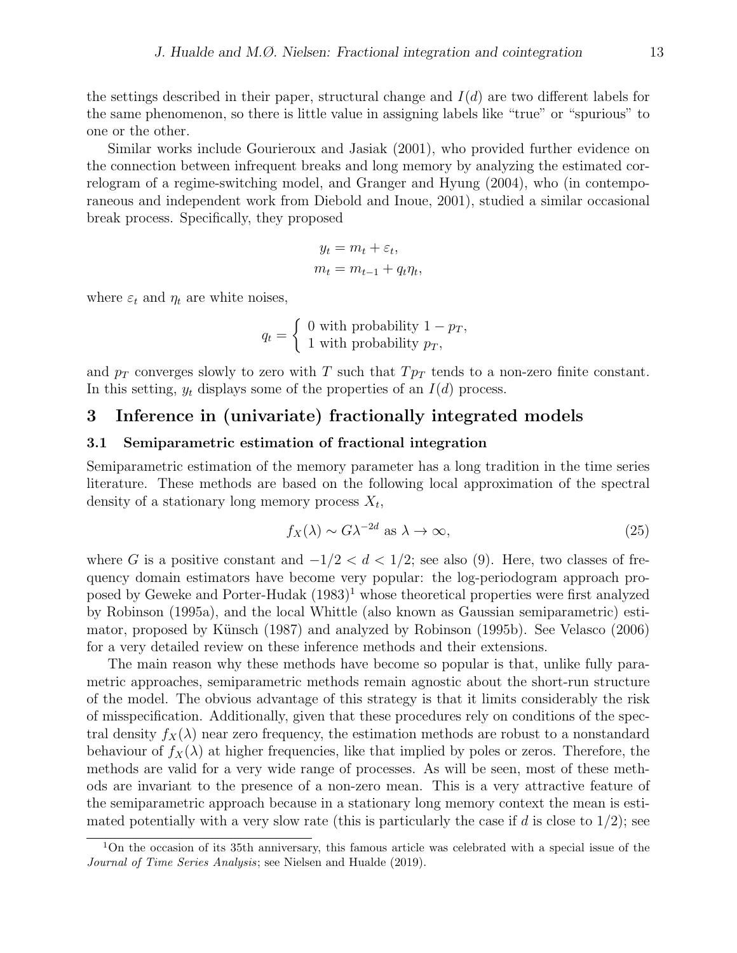the settings described in their paper, structural change and  $I(d)$  are two different labels for the same phenomenon, so there is little value in assigning labels like "true" or "spurious" to one or the other.

Similar works include Gourieroux and Jasiak (2001), who provided further evidence on the connection between infrequent breaks and long memory by analyzing the estimated correlogram of a regime-switching model, and Granger and Hyung (2004), who (in contemporaneous and independent work from Diebold and Inoue, 2001), studied a similar occasional break process. Specifically, they proposed

$$
y_t = m_t + \varepsilon_t,
$$
  

$$
m_t = m_{t-1} + q_t \eta_t,
$$

where  $\varepsilon_t$  and  $\eta_t$  are white noises,

$$
q_t = \begin{cases} 0 \text{ with probability } 1 - p_T, \\ 1 \text{ with probability } p_T, \end{cases}
$$

and  $p_T$  converges slowly to zero with T such that  $Tp_T$  tends to a non-zero finite constant. In this setting,  $y_t$  displays some of the properties of an  $I(d)$  process.

# 3 Inference in (univariate) fractionally integrated models

### 3.1 Semiparametric estimation of fractional integration

Semiparametric estimation of the memory parameter has a long tradition in the time series literature. These methods are based on the following local approximation of the spectral density of a stationary long memory process  $X_t$ ,

$$
f_X(\lambda) \sim G\lambda^{-2d} \text{ as } \lambda \to \infty,
$$
\n(25)

where G is a positive constant and  $-1/2 < d < 1/2$ ; see also (9). Here, two classes of frequency domain estimators have become very popular: the log-periodogram approach proposed by Geweke and Porter-Hudak  $(1983)^1$  whose theoretical properties were first analyzed by Robinson (1995a), and the local Whittle (also known as Gaussian semiparametric) estimator, proposed by Künsch (1987) and analyzed by Robinson (1995b). See Velasco (2006) for a very detailed review on these inference methods and their extensions.

The main reason why these methods have become so popular is that, unlike fully parametric approaches, semiparametric methods remain agnostic about the short-run structure of the model. The obvious advantage of this strategy is that it limits considerably the risk of misspecification. Additionally, given that these procedures rely on conditions of the spectral density  $f_X(\lambda)$  near zero frequency, the estimation methods are robust to a nonstandard behaviour of  $f_X(\lambda)$  at higher frequencies, like that implied by poles or zeros. Therefore, the methods are valid for a very wide range of processes. As will be seen, most of these methods are invariant to the presence of a non-zero mean. This is a very attractive feature of the semiparametric approach because in a stationary long memory context the mean is estimated potentially with a very slow rate (this is particularly the case if d is close to  $1/2$ ); see

<sup>&</sup>lt;sup>1</sup>On the occasion of its 35th anniversary, this famous article was celebrated with a special issue of the Journal of Time Series Analysis; see Nielsen and Hualde (2019).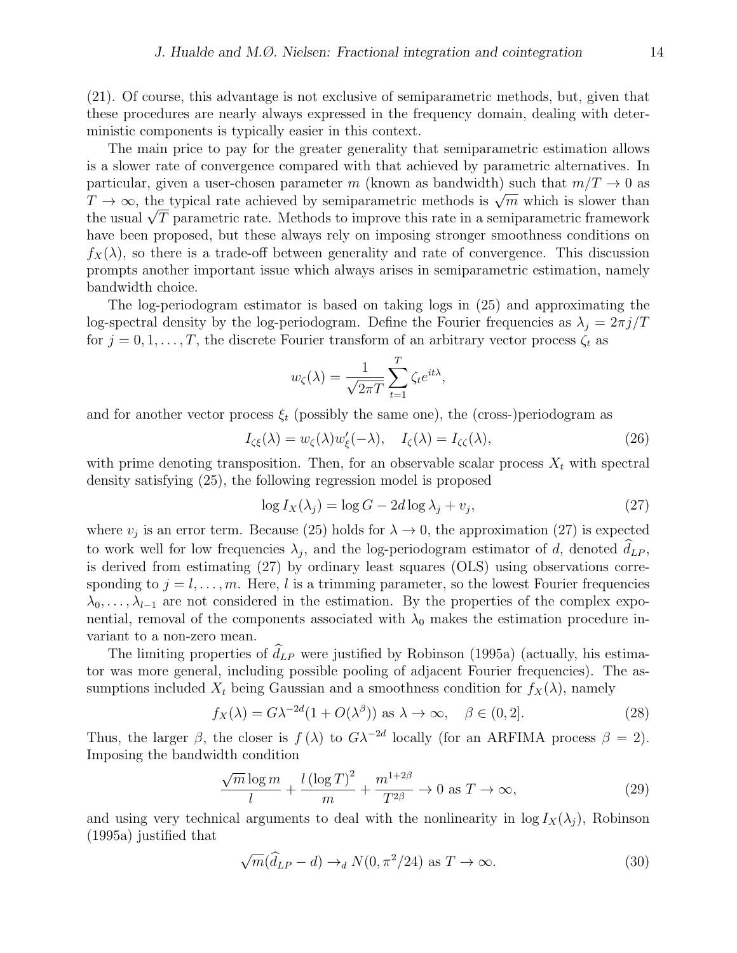(21). Of course, this advantage is not exclusive of semiparametric methods, but, given that these procedures are nearly always expressed in the frequency domain, dealing with deterministic components is typically easier in this context.

The main price to pay for the greater generality that semiparametric estimation allows is a slower rate of convergence compared with that achieved by parametric alternatives. In particular, given a user-chosen parameter m (known as bandwidth) such that  $m/T \to 0$  as particular, given a user-chosen parameter m (Khown as bandwidth) such that  $m/T \to 0$  as  $T \to \infty$ , the typical rate achieved by semiparametric methods is  $\sqrt{m}$  which is slower than  $t \to \infty$ , the typical rate achieved by semiparametric methods is  $\sqrt{n}$  which is slower than<br>the usual  $\sqrt{T}$  parametric rate. Methods to improve this rate in a semiparametric framework have been proposed, but these always rely on imposing stronger smoothness conditions on  $f_X(\lambda)$ , so there is a trade-off between generality and rate of convergence. This discussion prompts another important issue which always arises in semiparametric estimation, namely bandwidth choice.

The log-periodogram estimator is based on taking logs in (25) and approximating the log-spectral density by the log-periodogram. Define the Fourier frequencies as  $\lambda_j = 2\pi j/T$ for  $j = 0, 1, \ldots, T$ , the discrete Fourier transform of an arbitrary vector process  $\zeta_t$  as

$$
w_{\zeta}(\lambda) = \frac{1}{\sqrt{2\pi T}} \sum_{t=1}^{T} \zeta_t e^{it\lambda},
$$

and for another vector process  $\xi_t$  (possibly the same one), the (cross-)periodogram as

$$
I_{\zeta\xi}(\lambda) = w_{\zeta}(\lambda)w_{\xi}'(-\lambda), \quad I_{\zeta}(\lambda) = I_{\zeta\zeta}(\lambda), \tag{26}
$$

with prime denoting transposition. Then, for an observable scalar process  $X_t$  with spectral density satisfying (25), the following regression model is proposed

$$
\log I_X(\lambda_j) = \log G - 2d \log \lambda_j + v_j,\tag{27}
$$

where  $v_j$  is an error term. Because (25) holds for  $\lambda \to 0$ , the approximation (27) is expected to work well for low frequencies  $\lambda_j$ , and the log-periodogram estimator of d, denoted  $d_{LP}$ , is derived from estimating (27) by ordinary least squares (OLS) using observations corresponding to  $j = l, \ldots, m$ . Here, l is a trimming parameter, so the lowest Fourier frequencies  $\lambda_0, \ldots, \lambda_{l-1}$  are not considered in the estimation. By the properties of the complex exponential, removal of the components associated with  $\lambda_0$  makes the estimation procedure invariant to a non-zero mean.

The limiting properties of  $\widehat{d}_{LP}$  were justified by Robinson (1995a) (actually, his estimator was more general, including possible pooling of adjacent Fourier frequencies). The assumptions included  $X_t$  being Gaussian and a smoothness condition for  $f_X(\lambda)$ , namely

$$
f_X(\lambda) = G\lambda^{-2d}(1 + O(\lambda^{\beta})) \text{ as } \lambda \to \infty, \quad \beta \in (0, 2].
$$
 (28)

Thus, the larger  $\beta$ , the closer is  $f(\lambda)$  to  $G\lambda^{-2d}$  locally (for an ARFIMA process  $\beta = 2$ ). Imposing the bandwidth condition

$$
\frac{\sqrt{m}\log m}{l} + \frac{l\left(\log T\right)^2}{m} + \frac{m^{1+2\beta}}{T^{2\beta}} \to 0 \text{ as } T \to \infty,
$$
\n(29)

and using very technical arguments to deal with the nonlinearity in  $\log I_X(\lambda_i)$ , Robinson (1995a) justified that

$$
\sqrt{m}(\widehat{d}_{LP} - d) \to_d N(0, \pi^2/24) \text{ as } T \to \infty.
$$
 (30)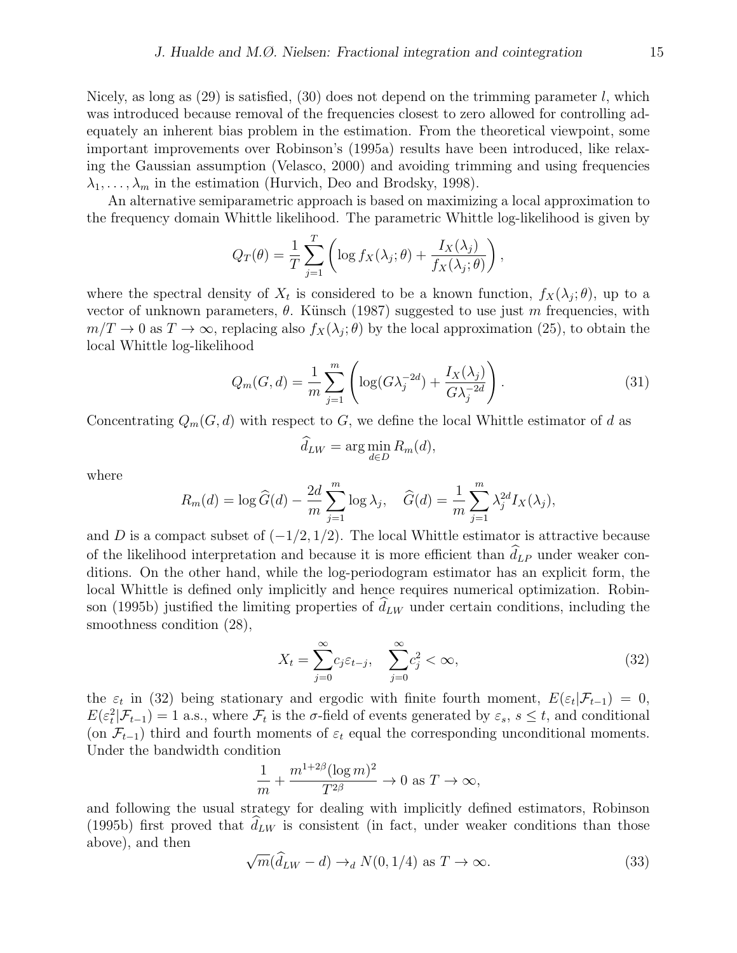Nicely, as long as  $(29)$  is satisfied,  $(30)$  does not depend on the trimming parameter l, which was introduced because removal of the frequencies closest to zero allowed for controlling adequately an inherent bias problem in the estimation. From the theoretical viewpoint, some important improvements over Robinson's (1995a) results have been introduced, like relaxing the Gaussian assumption (Velasco, 2000) and avoiding trimming and using frequencies  $\lambda_1, \ldots, \lambda_m$  in the estimation (Hurvich, Deo and Brodsky, 1998).

An alternative semiparametric approach is based on maximizing a local approximation to the frequency domain Whittle likelihood. The parametric Whittle log-likelihood is given by

$$
Q_T(\theta) = \frac{1}{T} \sum_{j=1}^T \left( \log f_X(\lambda_j; \theta) + \frac{I_X(\lambda_j)}{f_X(\lambda_j; \theta)} \right),
$$

where the spectral density of  $X_t$  is considered to be a known function,  $f_X(\lambda_j;\theta)$ , up to a vector of unknown parameters,  $\theta$ . Künsch (1987) suggested to use just m frequencies, with  $m/T \to 0$  as  $T \to \infty$ , replacing also  $f_X(\lambda_j; \theta)$  by the local approximation (25), to obtain the local Whittle log-likelihood

$$
Q_m(G,d) = \frac{1}{m} \sum_{j=1}^m \left( \log(G\lambda_j^{-2d}) + \frac{I_X(\lambda_j)}{G\lambda_j^{-2d}} \right). \tag{31}
$$

Concentrating  $Q_m(G, d)$  with respect to G, we define the local Whittle estimator of d as

$$
\hat{d}_{LW} = \arg\min_{d \in D} R_m(d),
$$

where

$$
R_m(d) = \log \widehat{G}(d) - \frac{2d}{m} \sum_{j=1}^m \log \lambda_j, \quad \widehat{G}(d) = \frac{1}{m} \sum_{j=1}^m \lambda_j^{2d} I_X(\lambda_j),
$$

and D is a compact subset of  $(-1/2, 1/2)$ . The local Whittle estimator is attractive because of the likelihood interpretation and because it is more efficient than  $d_{LP}$  under weaker conditions. On the other hand, while the log-periodogram estimator has an explicit form, the local Whittle is defined only implicitly and hence requires numerical optimization. Robinson (1995b) justified the limiting properties of  $d_{LW}$  under certain conditions, including the smoothness condition (28),

$$
X_t = \sum_{j=0}^{\infty} c_j \varepsilon_{t-j}, \quad \sum_{j=0}^{\infty} c_j^2 < \infty,\tag{32}
$$

the  $\varepsilon_t$  in (32) being stationary and ergodic with finite fourth moment,  $E(\varepsilon_t|\mathcal{F}_{t-1}) = 0$ ,  $E(\varepsilon_t^2 | \mathcal{F}_{t-1}) = 1$  a.s., where  $\mathcal{F}_t$  is the  $\sigma$ -field of events generated by  $\varepsilon_s$ ,  $s \le t$ , and conditional (on  $\mathcal{F}_{t-1}$ ) third and fourth moments of  $\varepsilon_t$  equal the corresponding unconditional moments. Under the bandwidth condition

$$
\frac{1}{m} + \frac{m^{1+2\beta} (\log m)^2}{T^{2\beta}} \to 0 \text{ as } T \to \infty,
$$

and following the usual strategy for dealing with implicitly defined estimators, Robinson (1995b) first proved that  $\hat{d}_{LW}$  is consistent (in fact, under weaker conditions than those above), and then √

$$
\sqrt{m}(\hat{d}_{LW} - d) \to_d N(0, 1/4) \text{ as } T \to \infty.
$$
 (33)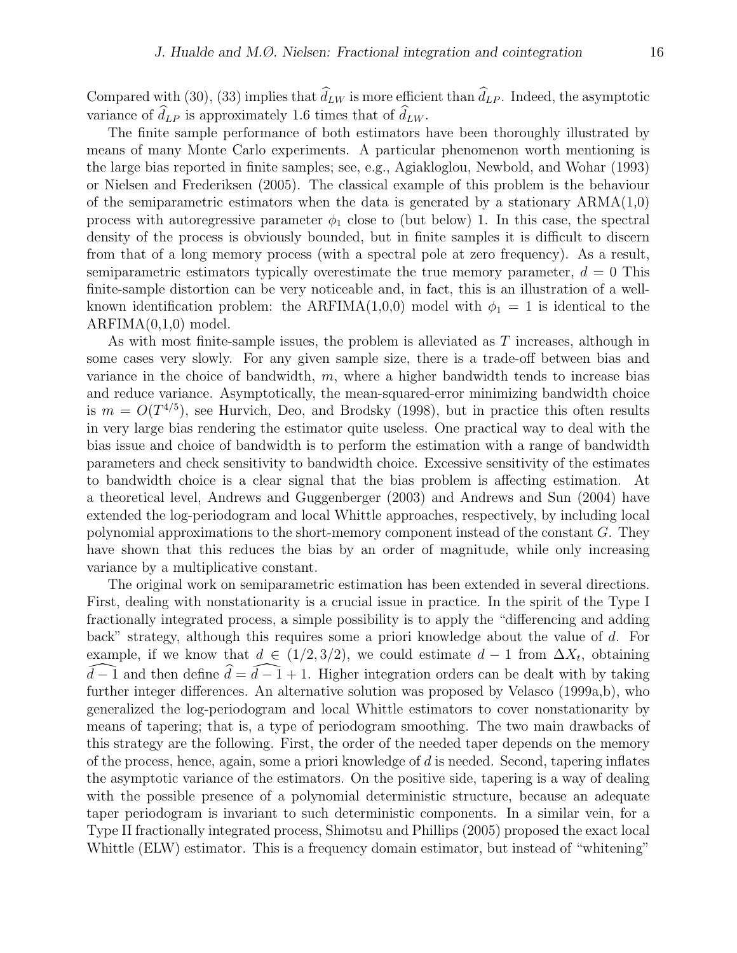Compared with (30), (33) implies that  $\hat{d}_{LW}$  is more efficient than  $\hat{d}_{LP}$ . Indeed, the asymptotic variance of  $\hat{d}_{LP}$  is approximately 1.6 times that of  $\hat{d}_{LW}$ .

The finite sample performance of both estimators have been thoroughly illustrated by means of many Monte Carlo experiments. A particular phenomenon worth mentioning is the large bias reported in finite samples; see, e.g., Agiakloglou, Newbold, and Wohar (1993) or Nielsen and Frederiksen (2005). The classical example of this problem is the behaviour of the semiparametric estimators when the data is generated by a stationary  $ARMA(1,0)$ process with autoregressive parameter  $\phi_1$  close to (but below) 1. In this case, the spectral density of the process is obviously bounded, but in finite samples it is difficult to discern from that of a long memory process (with a spectral pole at zero frequency). As a result, semiparametric estimators typically overestimate the true memory parameter,  $d = 0$  This finite-sample distortion can be very noticeable and, in fact, this is an illustration of a wellknown identification problem: the ARFIMA(1,0,0) model with  $\phi_1 = 1$  is identical to the  $ARFIMA(0,1,0) \text{ model.}$ 

As with most finite-sample issues, the problem is alleviated as T increases, although in some cases very slowly. For any given sample size, there is a trade-off between bias and variance in the choice of bandwidth,  $m$ , where a higher bandwidth tends to increase bias and reduce variance. Asymptotically, the mean-squared-error minimizing bandwidth choice is  $m = O(T^{4/5})$ , see Hurvich, Deo, and Brodsky (1998), but in practice this often results in very large bias rendering the estimator quite useless. One practical way to deal with the bias issue and choice of bandwidth is to perform the estimation with a range of bandwidth parameters and check sensitivity to bandwidth choice. Excessive sensitivity of the estimates to bandwidth choice is a clear signal that the bias problem is affecting estimation. At a theoretical level, Andrews and Guggenberger (2003) and Andrews and Sun (2004) have extended the log-periodogram and local Whittle approaches, respectively, by including local polynomial approximations to the short-memory component instead of the constant G. They have shown that this reduces the bias by an order of magnitude, while only increasing variance by a multiplicative constant.

The original work on semiparametric estimation has been extended in several directions. First, dealing with nonstationarity is a crucial issue in practice. In the spirit of the Type I fractionally integrated process, a simple possibility is to apply the "differencing and adding back" strategy, although this requires some a priori knowledge about the value of d. For example, if we know that  $d \in (1/2, 3/2)$ , we could estimate  $d-1$  from  $\Delta X_t$ , obtaining  $\widehat{d-1}$  and then define  $\widehat{d} = \widehat{d-1} + 1$ . Higher integration orders can be dealt with by taking further integer differences. An alternative solution was proposed by Velasco (1999a,b), who generalized the log-periodogram and local Whittle estimators to cover nonstationarity by means of tapering; that is, a type of periodogram smoothing. The two main drawbacks of this strategy are the following. First, the order of the needed taper depends on the memory of the process, hence, again, some a priori knowledge of  $d$  is needed. Second, tapering inflates the asymptotic variance of the estimators. On the positive side, tapering is a way of dealing with the possible presence of a polynomial deterministic structure, because an adequate taper periodogram is invariant to such deterministic components. In a similar vein, for a Type II fractionally integrated process, Shimotsu and Phillips (2005) proposed the exact local Whittle (ELW) estimator. This is a frequency domain estimator, but instead of "whitening"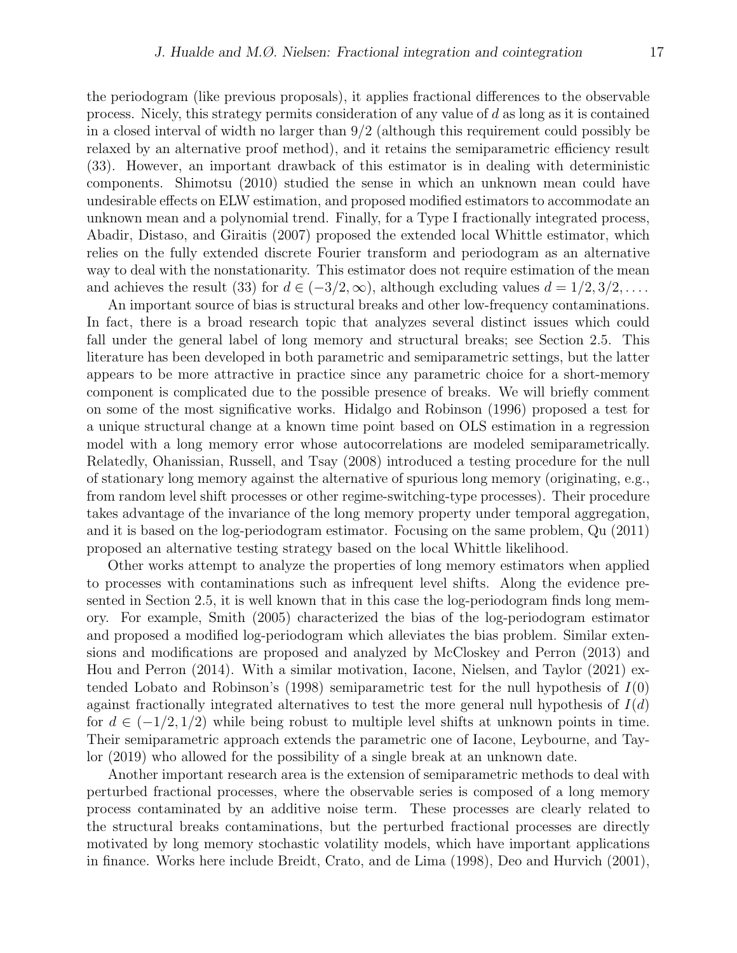the periodogram (like previous proposals), it applies fractional differences to the observable process. Nicely, this strategy permits consideration of any value of d as long as it is contained in a closed interval of width no larger than 9/2 (although this requirement could possibly be relaxed by an alternative proof method), and it retains the semiparametric efficiency result (33). However, an important drawback of this estimator is in dealing with deterministic components. Shimotsu (2010) studied the sense in which an unknown mean could have undesirable effects on ELW estimation, and proposed modified estimators to accommodate an unknown mean and a polynomial trend. Finally, for a Type I fractionally integrated process, Abadir, Distaso, and Giraitis (2007) proposed the extended local Whittle estimator, which relies on the fully extended discrete Fourier transform and periodogram as an alternative way to deal with the nonstationarity. This estimator does not require estimation of the mean

and achieves the result (33) for  $d \in (-3/2, \infty)$ , although excluding values  $d = 1/2, 3/2, \ldots$ . An important source of bias is structural breaks and other low-frequency contaminations. In fact, there is a broad research topic that analyzes several distinct issues which could fall under the general label of long memory and structural breaks; see Section 2.5. This literature has been developed in both parametric and semiparametric settings, but the latter appears to be more attractive in practice since any parametric choice for a short-memory component is complicated due to the possible presence of breaks. We will briefly comment on some of the most significative works. Hidalgo and Robinson (1996) proposed a test for a unique structural change at a known time point based on OLS estimation in a regression model with a long memory error whose autocorrelations are modeled semiparametrically. Relatedly, Ohanissian, Russell, and Tsay (2008) introduced a testing procedure for the null of stationary long memory against the alternative of spurious long memory (originating, e.g., from random level shift processes or other regime-switching-type processes). Their procedure takes advantage of the invariance of the long memory property under temporal aggregation, and it is based on the log-periodogram estimator. Focusing on the same problem, Qu (2011) proposed an alternative testing strategy based on the local Whittle likelihood.

Other works attempt to analyze the properties of long memory estimators when applied to processes with contaminations such as infrequent level shifts. Along the evidence presented in Section 2.5, it is well known that in this case the log-periodogram finds long memory. For example, Smith (2005) characterized the bias of the log-periodogram estimator and proposed a modified log-periodogram which alleviates the bias problem. Similar extensions and modifications are proposed and analyzed by McCloskey and Perron (2013) and Hou and Perron (2014). With a similar motivation, Iacone, Nielsen, and Taylor (2021) extended Lobato and Robinson's (1998) semiparametric test for the null hypothesis of  $I(0)$ against fractionally integrated alternatives to test the more general null hypothesis of  $I(d)$ for  $d \in (-1/2, 1/2)$  while being robust to multiple level shifts at unknown points in time. Their semiparametric approach extends the parametric one of Iacone, Leybourne, and Taylor (2019) who allowed for the possibility of a single break at an unknown date.

Another important research area is the extension of semiparametric methods to deal with perturbed fractional processes, where the observable series is composed of a long memory process contaminated by an additive noise term. These processes are clearly related to the structural breaks contaminations, but the perturbed fractional processes are directly motivated by long memory stochastic volatility models, which have important applications in finance. Works here include Breidt, Crato, and de Lima (1998), Deo and Hurvich (2001),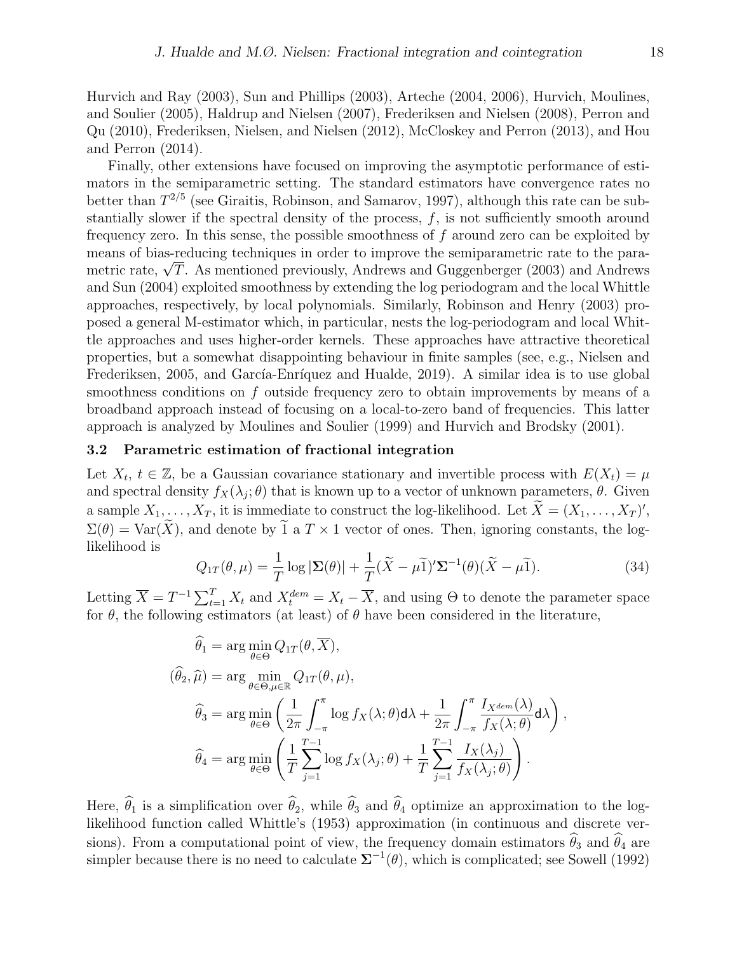Hurvich and Ray (2003), Sun and Phillips (2003), Arteche (2004, 2006), Hurvich, Moulines, and Soulier (2005), Haldrup and Nielsen (2007), Frederiksen and Nielsen (2008), Perron and Qu (2010), Frederiksen, Nielsen, and Nielsen (2012), McCloskey and Perron (2013), and Hou and Perron (2014).

Finally, other extensions have focused on improving the asymptotic performance of estimators in the semiparametric setting. The standard estimators have convergence rates no better than  $T^{2/5}$  (see Giraitis, Robinson, and Samarov, 1997), although this rate can be substantially slower if the spectral density of the process,  $f$ , is not sufficiently smooth around frequency zero. In this sense, the possible smoothness of  $f$  around zero can be exploited by means of bias-reducing techniques in order to improve the semiparametric rate to the parameans of bias-reducing techniques in order to improve the semiparametric rate to the para-<br>metric rate,  $\sqrt{T}.$  As mentioned previously, Andrews and Guggenberger (2003) and Andrews and Sun (2004) exploited smoothness by extending the log periodogram and the local Whittle approaches, respectively, by local polynomials. Similarly, Robinson and Henry (2003) proposed a general M-estimator which, in particular, nests the log-periodogram and local Whittle approaches and uses higher-order kernels. These approaches have attractive theoretical properties, but a somewhat disappointing behaviour in finite samples (see, e.g., Nielsen and Frederiksen, 2005, and García-Enríquez and Hualde, 2019). A similar idea is to use global smoothness conditions on f outside frequency zero to obtain improvements by means of a broadband approach instead of focusing on a local-to-zero band of frequencies. This latter approach is analyzed by Moulines and Soulier (1999) and Hurvich and Brodsky (2001).

### 3.2 Parametric estimation of fractional integration

Let  $X_t$ ,  $t \in \mathbb{Z}$ , be a Gaussian covariance stationary and invertible process with  $E(X_t) = \mu$ and spectral density  $f_X(\lambda_j;\theta)$  that is known up to a vector of unknown parameters,  $\theta$ . Given a sample  $X_1, \ldots, X_T$ , it is immediate to construct the log-likelihood. Let  $\tilde{X} = (X_1, \ldots, X_T)'$ ,  $\Sigma(\theta) = \text{Var}(\widetilde{X})$ , and denote by  $\widetilde{1}$  a  $T \times 1$  vector of ones. Then, ignoring constants, the loglikelihood is

$$
Q_{1T}(\theta,\mu) = \frac{1}{T}\log|\mathbf{\Sigma}(\theta)| + \frac{1}{T}(\tilde{X} - \mu\tilde{1})'\mathbf{\Sigma}^{-1}(\theta)(\tilde{X} - \mu\tilde{1}).
$$
\n(34)

,

Letting  $\overline{X} = T^{-1} \sum_{t=1}^{T} X_t$  and  $X_t^{dem} = X_t - \overline{X}$ , and using  $\Theta$  to denote the parameter space for  $\theta$ , the following estimators (at least) of  $\theta$  have been considered in the literature,

$$
\widehat{\theta}_{1} = \arg \min_{\theta \in \Theta} Q_{1T}(\theta, \overline{X}),
$$
\n
$$
(\widehat{\theta}_{2}, \widehat{\mu}) = \arg \min_{\theta \in \Theta, \mu \in \mathbb{R}} Q_{1T}(\theta, \mu),
$$
\n
$$
\widehat{\theta}_{3} = \arg \min_{\theta \in \Theta} \left( \frac{1}{2\pi} \int_{-\pi}^{\pi} \log f_{X}(\lambda; \theta) d\lambda + \frac{1}{2\pi} \int_{-\pi}^{\pi} \frac{I_{X^{dem}}(\lambda)}{f_{X}(\lambda; \theta)} d\lambda \right)
$$
\n
$$
\widehat{\theta}_{4} = \arg \min_{\theta \in \Theta} \left( \frac{1}{T} \sum_{j=1}^{T-1} \log f_{X}(\lambda_{j}; \theta) + \frac{1}{T} \sum_{j=1}^{T-1} \frac{I_{X}(\lambda_{j})}{f_{X}(\lambda_{j}; \theta)} \right).
$$

Here,  $\hat{\theta}_1$  is a simplification over  $\hat{\theta}_2$ , while  $\hat{\theta}_3$  and  $\hat{\theta}_4$  optimize an approximation to the loglikelihood function called Whittle's (1953) approximation (in continuous and discrete versions). From a computational point of view, the frequency domain estimators  $\theta_3$  and  $\theta_4$  are simpler because there is no need to calculate  $\Sigma^{-1}(\theta)$ , which is complicated; see Sowell (1992)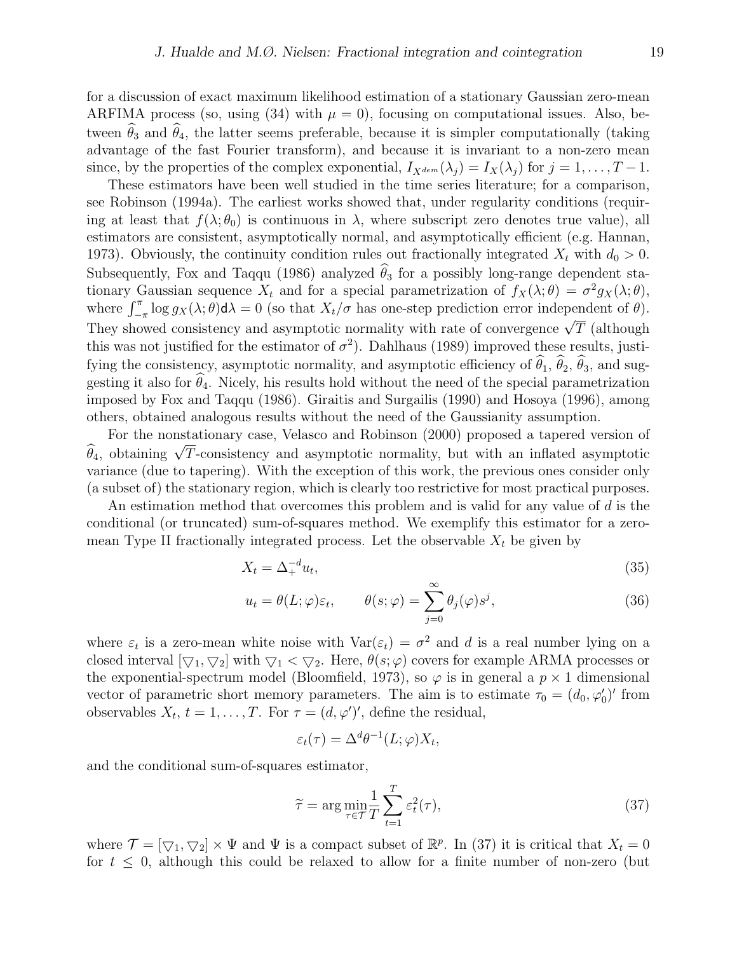for a discussion of exact maximum likelihood estimation of a stationary Gaussian zero-mean ARFIMA process (so, using (34) with  $\mu = 0$ ), focusing on computational issues. Also, between  $\hat{\theta}_3$  and  $\hat{\theta}_4$ , the latter seems preferable, because it is simpler computationally (taking advantage of the fast Fourier transform), and because it is invariant to a non-zero mean since, by the properties of the complex exponential,  $I_{X^{dem}}(\lambda_i) = I_X(\lambda_i)$  for  $j = 1, ..., T-1$ .

These estimators have been well studied in the time series literature; for a comparison, see Robinson (1994a). The earliest works showed that, under regularity conditions (requiring at least that  $f(\lambda; \theta_0)$  is continuous in  $\lambda$ , where subscript zero denotes true value), all estimators are consistent, asymptotically normal, and asymptotically efficient (e.g. Hannan, 1973). Obviously, the continuity condition rules out fractionally integrated  $X_t$  with  $d_0 > 0$ . Subsequently, Fox and Taqqu (1986) analyzed  $\hat{\theta}_3$  for a possibly long-range dependent stationary Gaussian sequence  $X_t$  and for a special parametrization of  $f_X(\lambda; \theta) = \sigma^2 g_X(\lambda; \theta)$ , where  $\int_{-\pi}^{\pi} \log g_X(\lambda;\theta) d\lambda = 0$  (so that  $X_t/\sigma$  has one-step prediction error independent of  $\theta$ ). They showed consistency and asymptotic normality with rate of convergence  $\sqrt{T}$  (although They showed consistency and asymptotic normality with rate of convergence  $\sqrt{T}$  (although this was not justified for the estimator of  $\sigma^2$ ). Dahlhaus (1989) improved these results, justifying the consistency, asymptotic normality, and asymptotic efficiency of  $\hat{\theta}_1$ ,  $\hat{\theta}_2$ ,  $\hat{\theta}_3$ , and suggesting it also for  $\hat{\theta}_4$ . Nicely, his results hold without the need of the special parametrization imposed by Fox and Taqqu (1986). Giraitis and Surgailis (1990) and Hosoya (1996), among others, obtained analogous results without the need of the Gaussianity assumption.

For the nonstationary case, Velasco and Robinson (2000) proposed a tapered version of For the honstationary case, velasco and Robinson (2000) proposed a tapered version of  $\hat{\theta}_4$ , obtaining  $\sqrt{T}$ -consistency and asymptotic normality, but with an inflated asymptotic variance (due to tapering). With the exception of this work, the previous ones consider only (a subset of) the stationary region, which is clearly too restrictive for most practical purposes.

An estimation method that overcomes this problem and is valid for any value of d is the conditional (or truncated) sum-of-squares method. We exemplify this estimator for a zeromean Type II fractionally integrated process. Let the observable  $X_t$  be given by

$$
X_t = \Delta_+^{-d} u_t,\tag{35}
$$

$$
u_t = \theta(L; \varphi)\varepsilon_t, \qquad \theta(s; \varphi) = \sum_{j=0}^{\infty} \theta_j(\varphi)s^j,
$$
\n(36)

where  $\varepsilon_t$  is a zero-mean white noise with  $\text{Var}(\varepsilon_t) = \sigma^2$  and d is a real number lying on a closed interval  $[\nabla_1, \nabla_2]$  with  $\nabla_1 < \nabla_2$ . Here,  $\theta(s; \varphi)$  covers for example ARMA processes or the exponential-spectrum model (Bloomfield, 1973), so  $\varphi$  is in general a  $p \times 1$  dimensional vector of parametric short memory parameters. The aim is to estimate  $\tau_0 = (d_0, \varphi'_0)'$  from observables  $X_t$ ,  $t = 1, ..., T$ . For  $\tau = (d, \varphi')'$ , define the residual,

$$
\varepsilon_t(\tau) = \Delta^d \theta^{-1}(L; \varphi) X_t,
$$

and the conditional sum-of-squares estimator,

$$
\widetilde{\tau} = \arg\min_{\tau \in \mathcal{T}} \frac{1}{T} \sum_{t=1}^{T} \varepsilon_t^2(\tau),\tag{37}
$$

where  $\mathcal{T} = [\nabla_1, \nabla_2] \times \Psi$  and  $\Psi$  is a compact subset of  $\mathbb{R}^p$ . In (37) it is critical that  $X_t = 0$ for  $t \leq 0$ , although this could be relaxed to allow for a finite number of non-zero (but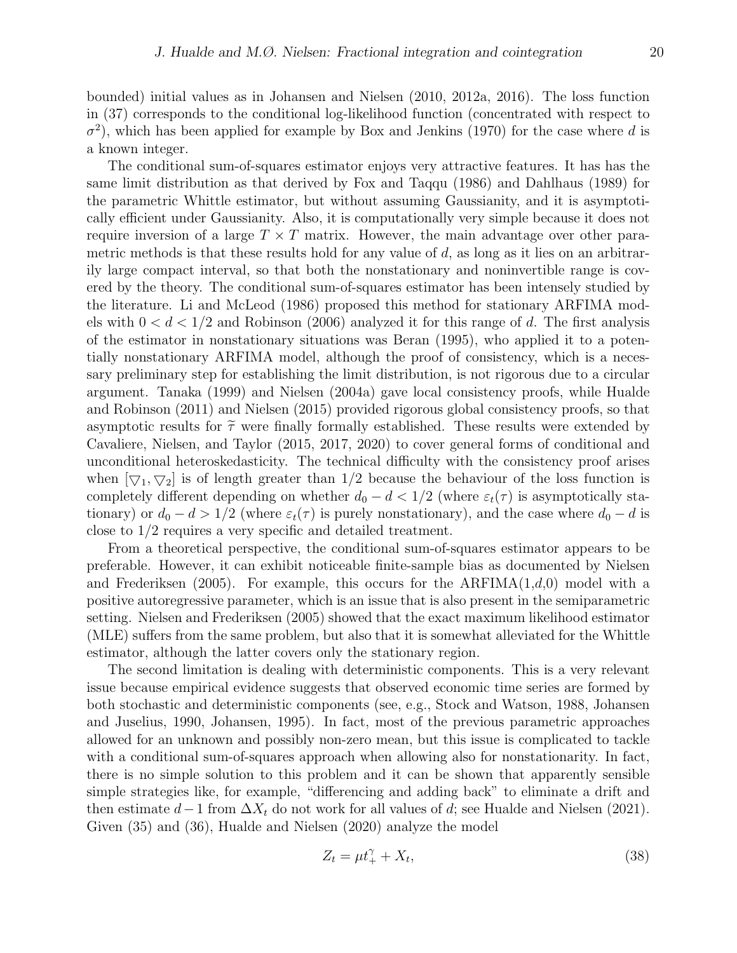bounded) initial values as in Johansen and Nielsen (2010, 2012a, 2016). The loss function in (37) corresponds to the conditional log-likelihood function (concentrated with respect to  $\sigma^2$ ), which has been applied for example by Box and Jenkins (1970) for the case where d is a known integer.

The conditional sum-of-squares estimator enjoys very attractive features. It has has the same limit distribution as that derived by Fox and Taqqu (1986) and Dahlhaus (1989) for the parametric Whittle estimator, but without assuming Gaussianity, and it is asymptotically efficient under Gaussianity. Also, it is computationally very simple because it does not require inversion of a large  $T \times T$  matrix. However, the main advantage over other parametric methods is that these results hold for any value of  $d$ , as long as it lies on an arbitrarily large compact interval, so that both the nonstationary and noninvertible range is covered by the theory. The conditional sum-of-squares estimator has been intensely studied by the literature. Li and McLeod (1986) proposed this method for stationary ARFIMA models with  $0 < d < 1/2$  and Robinson (2006) analyzed it for this range of d. The first analysis of the estimator in nonstationary situations was Beran (1995), who applied it to a potentially nonstationary ARFIMA model, although the proof of consistency, which is a necessary preliminary step for establishing the limit distribution, is not rigorous due to a circular argument. Tanaka (1999) and Nielsen (2004a) gave local consistency proofs, while Hualde and Robinson (2011) and Nielsen (2015) provided rigorous global consistency proofs, so that asymptotic results for  $\tilde{\tau}$  were finally formally established. These results were extended by Cavaliere, Nielsen, and Taylor (2015, 2017, 2020) to cover general forms of conditional and unconditional heteroskedasticity. The technical difficulty with the consistency proof arises when  $[\nabla_1, \nabla_2]$  is of length greater than 1/2 because the behaviour of the loss function is completely different depending on whether  $d_0 - d < 1/2$  (where  $\varepsilon_t(\tau)$  is asymptotically stationary) or  $d_0 - d > 1/2$  (where  $\varepsilon_t(\tau)$  is purely nonstationary), and the case where  $d_0 - d$  is close to 1/2 requires a very specific and detailed treatment.

From a theoretical perspective, the conditional sum-of-squares estimator appears to be preferable. However, it can exhibit noticeable finite-sample bias as documented by Nielsen and Frederiksen (2005). For example, this occurs for the  $ARFIMA(1,d,0)$  model with a positive autoregressive parameter, which is an issue that is also present in the semiparametric setting. Nielsen and Frederiksen (2005) showed that the exact maximum likelihood estimator (MLE) suffers from the same problem, but also that it is somewhat alleviated for the Whittle estimator, although the latter covers only the stationary region.

The second limitation is dealing with deterministic components. This is a very relevant issue because empirical evidence suggests that observed economic time series are formed by both stochastic and deterministic components (see, e.g., Stock and Watson, 1988, Johansen and Juselius, 1990, Johansen, 1995). In fact, most of the previous parametric approaches allowed for an unknown and possibly non-zero mean, but this issue is complicated to tackle with a conditional sum-of-squares approach when allowing also for nonstationarity. In fact, there is no simple solution to this problem and it can be shown that apparently sensible simple strategies like, for example, "differencing and adding back" to eliminate a drift and then estimate  $d-1$  from  $\Delta X_t$  do not work for all values of d; see Hualde and Nielsen (2021). Given (35) and (36), Hualde and Nielsen (2020) analyze the model

$$
Z_t = \mu t_+^{\gamma} + X_t,\tag{38}
$$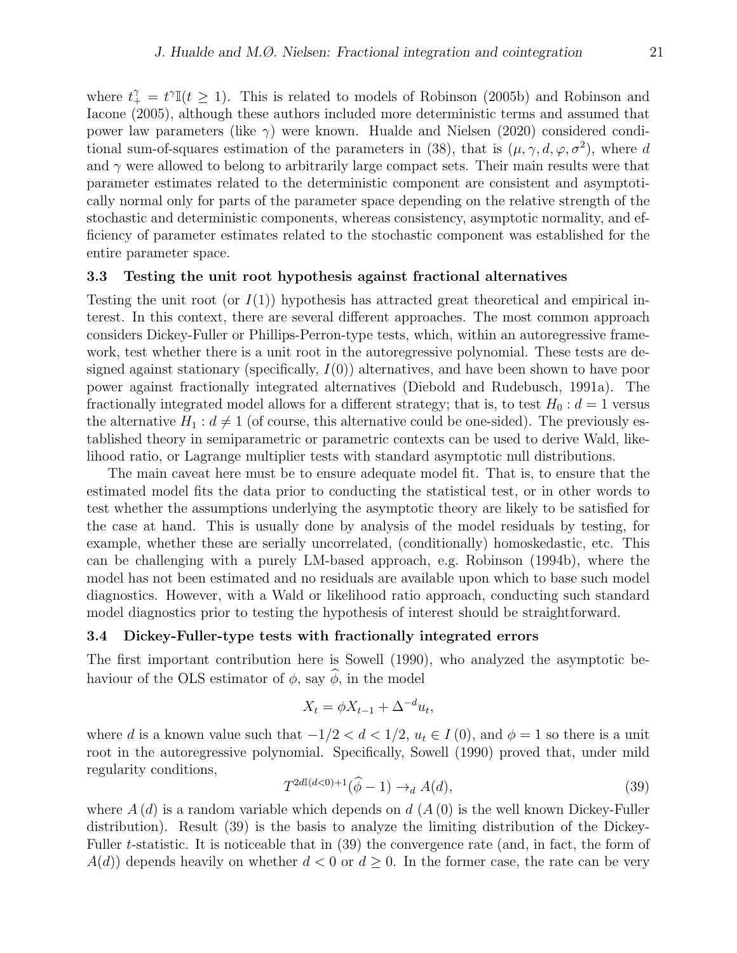where  $t_{+}^{\gamma} = t^{\gamma} \mathbb{I}(t \geq 1)$ . This is related to models of Robinson (2005b) and Robinson and Iacone (2005), although these authors included more deterministic terms and assumed that power law parameters (like  $\gamma$ ) were known. Hualde and Nielsen (2020) considered conditional sum-of-squares estimation of the parameters in (38), that is  $(\mu, \gamma, d, \varphi, \sigma^2)$ , where d and  $\gamma$  were allowed to belong to arbitrarily large compact sets. Their main results were that parameter estimates related to the deterministic component are consistent and asymptotically normal only for parts of the parameter space depending on the relative strength of the stochastic and deterministic components, whereas consistency, asymptotic normality, and efficiency of parameter estimates related to the stochastic component was established for the entire parameter space.

#### 3.3 Testing the unit root hypothesis against fractional alternatives

Testing the unit root (or  $I(1)$ ) hypothesis has attracted great theoretical and empirical interest. In this context, there are several different approaches. The most common approach considers Dickey-Fuller or Phillips-Perron-type tests, which, within an autoregressive framework, test whether there is a unit root in the autoregressive polynomial. These tests are designed against stationary (specifically,  $I(0)$ ) alternatives, and have been shown to have poor power against fractionally integrated alternatives (Diebold and Rudebusch, 1991a). The fractionally integrated model allows for a different strategy; that is, to test  $H_0: d = 1$  versus the alternative  $H_1: d \neq 1$  (of course, this alternative could be one-sided). The previously established theory in semiparametric or parametric contexts can be used to derive Wald, likelihood ratio, or Lagrange multiplier tests with standard asymptotic null distributions.

The main caveat here must be to ensure adequate model fit. That is, to ensure that the estimated model fits the data prior to conducting the statistical test, or in other words to test whether the assumptions underlying the asymptotic theory are likely to be satisfied for the case at hand. This is usually done by analysis of the model residuals by testing, for example, whether these are serially uncorrelated, (conditionally) homoskedastic, etc. This can be challenging with a purely LM-based approach, e.g. Robinson (1994b), where the model has not been estimated and no residuals are available upon which to base such model diagnostics. However, with a Wald or likelihood ratio approach, conducting such standard model diagnostics prior to testing the hypothesis of interest should be straightforward.

#### 3.4 Dickey-Fuller-type tests with fractionally integrated errors

The first important contribution here is Sowell (1990), who analyzed the asymptotic behaviour of the OLS estimator of  $\phi$ , say  $\phi$ , in the model

$$
X_t = \phi X_{t-1} + \Delta^{-d} u_t,
$$

where d is a known value such that  $-1/2 < d < 1/2$ ,  $u_t \in I(0)$ , and  $\phi = 1$  so there is a unit root in the autoregressive polynomial. Specifically, Sowell (1990) proved that, under mild regularity conditions,

$$
T^{2d\mathbb{I}(d<0)+1}(\widehat{\phi}-1) \to_d A(d),\tag{39}
$$

where  $A(d)$  is a random variable which depends on  $d(A(0))$  is the well known Dickey-Fuller distribution). Result (39) is the basis to analyze the limiting distribution of the Dickey-Fuller t-statistic. It is noticeable that in (39) the convergence rate (and, in fact, the form of  $A(d)$  depends heavily on whether  $d < 0$  or  $d \geq 0$ . In the former case, the rate can be very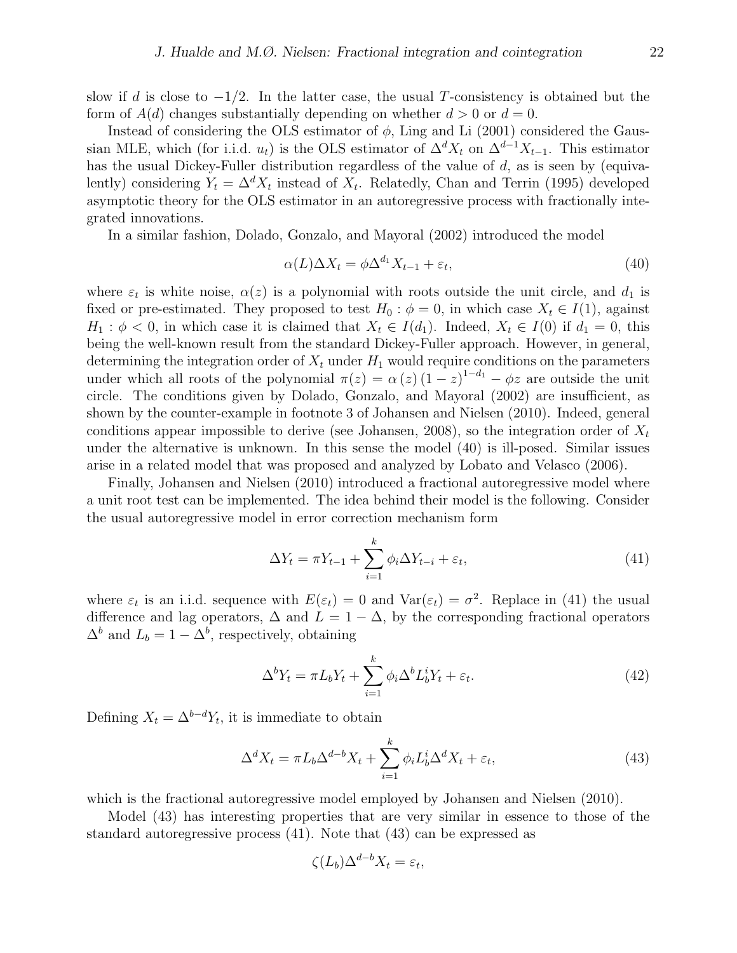slow if d is close to  $-1/2$ . In the latter case, the usual T-consistency is obtained but the form of  $A(d)$  changes substantially depending on whether  $d > 0$  or  $d = 0$ .

Instead of considering the OLS estimator of  $\phi$ , Ling and Li (2001) considered the Gaussian MLE, which (for i.i.d.  $u_t$ ) is the OLS estimator of  $\Delta^d X_t$  on  $\Delta^{d-1} X_{t-1}$ . This estimator has the usual Dickey-Fuller distribution regardless of the value of  $d$ , as is seen by (equivalently) considering  $Y_t = \Delta^d X_t$  instead of  $X_t$ . Relatedly, Chan and Terrin (1995) developed asymptotic theory for the OLS estimator in an autoregressive process with fractionally integrated innovations.

In a similar fashion, Dolado, Gonzalo, and Mayoral (2002) introduced the model

$$
\alpha(L)\Delta X_t = \phi \Delta^{d_1} X_{t-1} + \varepsilon_t,\tag{40}
$$

where  $\varepsilon_t$  is white noise,  $\alpha(z)$  is a polynomial with roots outside the unit circle, and  $d_1$  is fixed or pre-estimated. They proposed to test  $H_0$ :  $\phi = 0$ , in which case  $X_t \in I(1)$ , against  $H_1: \phi < 0$ , in which case it is claimed that  $X_t \in I(d_1)$ . Indeed,  $X_t \in I(0)$  if  $d_1 = 0$ , this being the well-known result from the standard Dickey-Fuller approach. However, in general, determining the integration order of  $X_t$  under  $H_1$  would require conditions on the parameters under which all roots of the polynomial  $\pi(z) = \alpha(z) (1-z)^{1-d_1} - \phi z$  are outside the unit circle. The conditions given by Dolado, Gonzalo, and Mayoral (2002) are insufficient, as shown by the counter-example in footnote 3 of Johansen and Nielsen (2010). Indeed, general conditions appear impossible to derive (see Johansen, 2008), so the integration order of  $X_t$ under the alternative is unknown. In this sense the model (40) is ill-posed. Similar issues arise in a related model that was proposed and analyzed by Lobato and Velasco (2006).

Finally, Johansen and Nielsen (2010) introduced a fractional autoregressive model where a unit root test can be implemented. The idea behind their model is the following. Consider the usual autoregressive model in error correction mechanism form

$$
\Delta Y_t = \pi Y_{t-1} + \sum_{i=1}^k \phi_i \Delta Y_{t-i} + \varepsilon_t,\tag{41}
$$

where  $\varepsilon_t$  is an i.i.d. sequence with  $E(\varepsilon_t) = 0$  and  $Var(\varepsilon_t) = \sigma^2$ . Replace in (41) the usual difference and lag operators,  $\Delta$  and  $L = 1 - \Delta$ , by the corresponding fractional operators  $\Delta^b$  and  $L_b = 1 - \Delta^b$ , respectively, obtaining

$$
\Delta^b Y_t = \pi L_b Y_t + \sum_{i=1}^k \phi_i \Delta^b L_b^i Y_t + \varepsilon_t.
$$
\n(42)

Defining  $X_t = \Delta^{b-d} Y_t$ , it is immediate to obtain

$$
\Delta^d X_t = \pi L_b \Delta^{d-b} X_t + \sum_{i=1}^k \phi_i L_b^i \Delta^d X_t + \varepsilon_t,
$$
\n(43)

which is the fractional autoregressive model employed by Johansen and Nielsen (2010).

Model (43) has interesting properties that are very similar in essence to those of the standard autoregressive process (41). Note that (43) can be expressed as

$$
\zeta(L_b)\Delta^{d-b}X_t=\varepsilon_t,
$$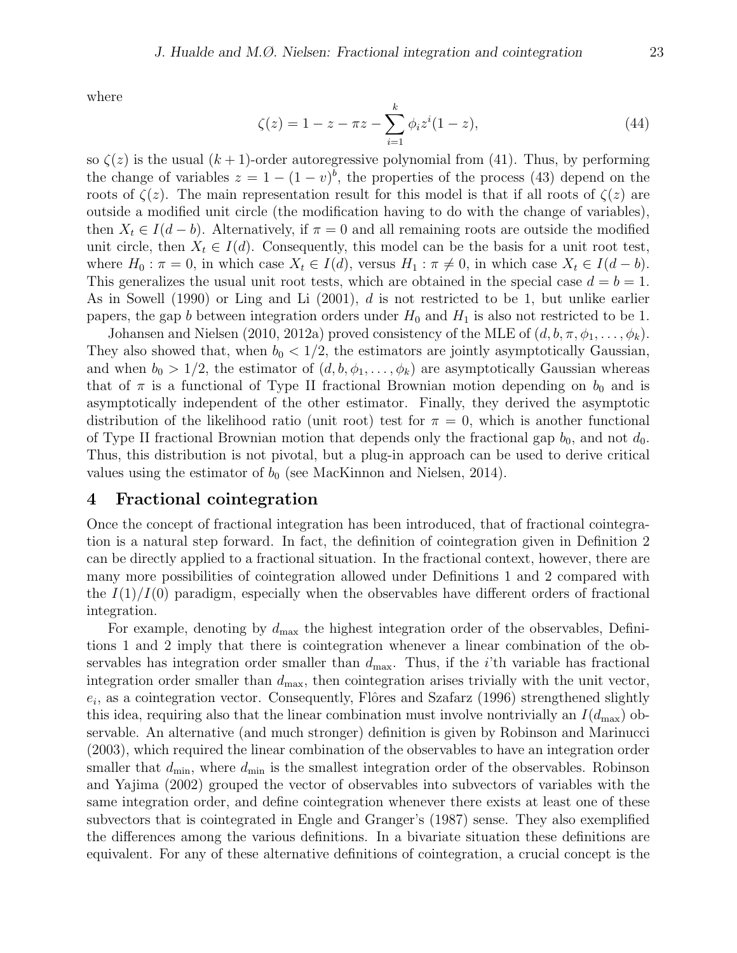where

$$
\zeta(z) = 1 - z - \pi z - \sum_{i=1}^{k} \phi_i z^i (1 - z), \tag{44}
$$

so  $\zeta(z)$  is the usual  $(k+1)$ -order autoregressive polynomial from (41). Thus, by performing the change of variables  $z = 1 - (1 - v)^b$ , the properties of the process (43) depend on the roots of  $\zeta(z)$ . The main representation result for this model is that if all roots of  $\zeta(z)$  are outside a modified unit circle (the modification having to do with the change of variables), then  $X_t \in I(d-b)$ . Alternatively, if  $\pi = 0$  and all remaining roots are outside the modified unit circle, then  $X_t \in I(d)$ . Consequently, this model can be the basis for a unit root test, where  $H_0: \pi = 0$ , in which case  $X_t \in I(d)$ , versus  $H_1: \pi \neq 0$ , in which case  $X_t \in I(d - b)$ . This generalizes the usual unit root tests, which are obtained in the special case  $d = b = 1$ . As in Sowell (1990) or Ling and Li (2001), d is not restricted to be 1, but unlike earlier papers, the gap b between integration orders under  $H_0$  and  $H_1$  is also not restricted to be 1.

Johansen and Nielsen (2010, 2012a) proved consistency of the MLE of  $(d, b, \pi, \phi_1, \ldots, \phi_k)$ . They also showed that, when  $b_0 < 1/2$ , the estimators are jointly asymptotically Gaussian, and when  $b_0 > 1/2$ , the estimator of  $(d, b, \phi_1, \ldots, \phi_k)$  are asymptotically Gaussian whereas that of  $\pi$  is a functional of Type II fractional Brownian motion depending on  $b_0$  and is asymptotically independent of the other estimator. Finally, they derived the asymptotic distribution of the likelihood ratio (unit root) test for  $\pi = 0$ , which is another functional of Type II fractional Brownian motion that depends only the fractional gap  $b_0$ , and not  $d_0$ . Thus, this distribution is not pivotal, but a plug-in approach can be used to derive critical values using the estimator of  $b_0$  (see MacKinnon and Nielsen, 2014).

### 4 Fractional cointegration

Once the concept of fractional integration has been introduced, that of fractional cointegration is a natural step forward. In fact, the definition of cointegration given in Definition 2 can be directly applied to a fractional situation. In the fractional context, however, there are many more possibilities of cointegration allowed under Definitions 1 and 2 compared with the  $I(1)/I(0)$  paradigm, especially when the observables have different orders of fractional integration.

For example, denoting by  $d_{\text{max}}$  the highest integration order of the observables, Definitions 1 and 2 imply that there is cointegration whenever a linear combination of the observables has integration order smaller than  $d_{\text{max}}$ . Thus, if the *i*'th variable has fractional integration order smaller than  $d_{\text{max}}$ , then cointegration arises trivially with the unit vector,  $e_i$ , as a cointegration vector. Consequently, Flôres and Szafarz (1996) strengthened slightly this idea, requiring also that the linear combination must involve nontrivially an  $I(d_{\text{max}})$  observable. An alternative (and much stronger) definition is given by Robinson and Marinucci (2003), which required the linear combination of the observables to have an integration order smaller that  $d_{\text{min}}$ , where  $d_{\text{min}}$  is the smallest integration order of the observables. Robinson and Yajima (2002) grouped the vector of observables into subvectors of variables with the same integration order, and define cointegration whenever there exists at least one of these subvectors that is cointegrated in Engle and Granger's (1987) sense. They also exemplified the differences among the various definitions. In a bivariate situation these definitions are equivalent. For any of these alternative definitions of cointegration, a crucial concept is the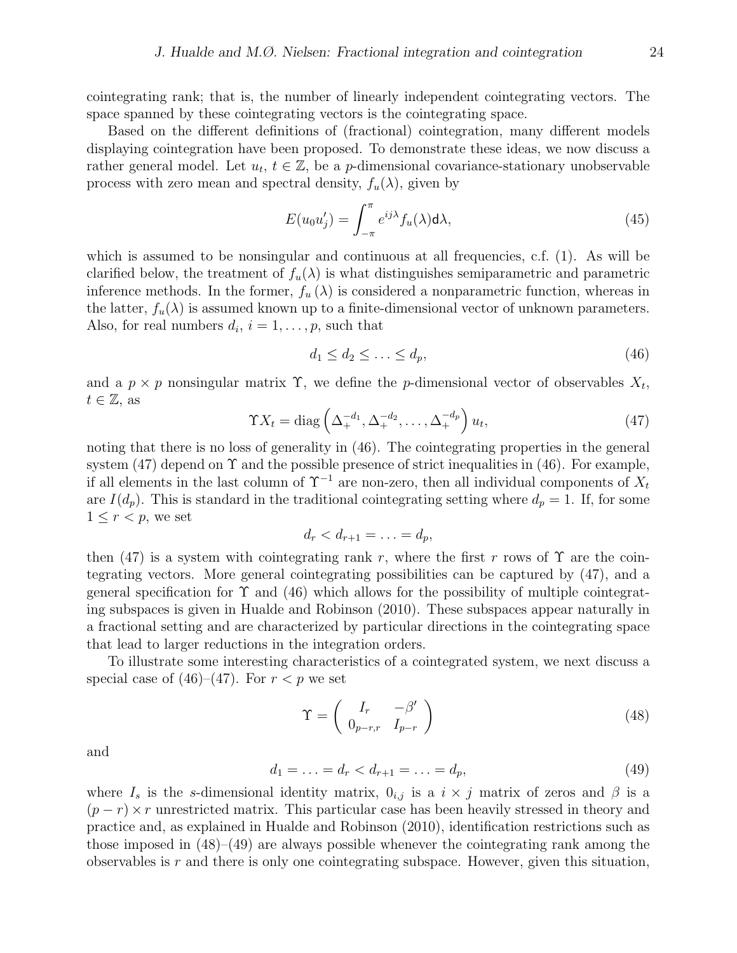cointegrating rank; that is, the number of linearly independent cointegrating vectors. The space spanned by these cointegrating vectors is the cointegrating space.

Based on the different definitions of (fractional) cointegration, many different models displaying cointegration have been proposed. To demonstrate these ideas, we now discuss a rather general model. Let  $u_t, t \in \mathbb{Z}$ , be a p-dimensional covariance-stationary unobservable process with zero mean and spectral density,  $f_u(\lambda)$ , given by

$$
E(u_0 u'_j) = \int_{-\pi}^{\pi} e^{ij\lambda} f_u(\lambda) d\lambda,
$$
\n(45)

which is assumed to be nonsingular and continuous at all frequencies, c.f. (1). As will be clarified below, the treatment of  $f_u(\lambda)$  is what distinguishes semiparametric and parametric inference methods. In the former,  $f_u(\lambda)$  is considered a nonparametric function, whereas in the latter,  $f_u(\lambda)$  is assumed known up to a finite-dimensional vector of unknown parameters. Also, for real numbers  $d_i$ ,  $i = 1, \ldots, p$ , such that

$$
d_1 \le d_2 \le \ldots \le d_p,\tag{46}
$$

and a  $p \times p$  nonsingular matrix  $\Upsilon$ , we define the *p*-dimensional vector of observables  $X_t$ ,  $t \in \mathbb{Z}$ , as

$$
\Upsilon X_t = \text{diag}\left(\Delta_+^{-d_1}, \Delta_+^{-d_2}, \dots, \Delta_+^{-d_p}\right) u_t,\tag{47}
$$

noting that there is no loss of generality in (46). The cointegrating properties in the general system  $(47)$  depend on  $\Upsilon$  and the possible presence of strict inequalities in  $(46)$ . For example, if all elements in the last column of  $\Upsilon^{-1}$  are non-zero, then all individual components of  $X_t$ are  $I(d_p)$ . This is standard in the traditional cointegrating setting where  $d_p = 1$ . If, for some  $1 \leq r < p$ , we set

$$
d_r < d_{r+1} = \ldots = d_p,
$$

then (47) is a system with cointegrating rank r, where the first r rows of  $\Upsilon$  are the cointegrating vectors. More general cointegrating possibilities can be captured by (47), and a general specification for  $\Upsilon$  and (46) which allows for the possibility of multiple cointegrating subspaces is given in Hualde and Robinson (2010). These subspaces appear naturally in a fractional setting and are characterized by particular directions in the cointegrating space that lead to larger reductions in the integration orders.

To illustrate some interesting characteristics of a cointegrated system, we next discuss a special case of  $(46)–(47)$ . For  $r < p$  we set

$$
\Upsilon = \left(\begin{array}{cc} I_r & -\beta' \\ 0_{p-r,r} & I_{p-r} \end{array}\right) \tag{48}
$$

and

$$
d_1 = \ldots = d_r < d_{r+1} = \ldots = d_p,\tag{49}
$$

where  $I_s$  is the s-dimensional identity matrix,  $0_{i,j}$  is a  $i \times j$  matrix of zeros and  $\beta$  is a  $(p - r) \times r$  unrestricted matrix. This particular case has been heavily stressed in theory and practice and, as explained in Hualde and Robinson (2010), identification restrictions such as those imposed in  $(48)$ – $(49)$  are always possible whenever the cointegrating rank among the observables is  $r$  and there is only one cointegrating subspace. However, given this situation,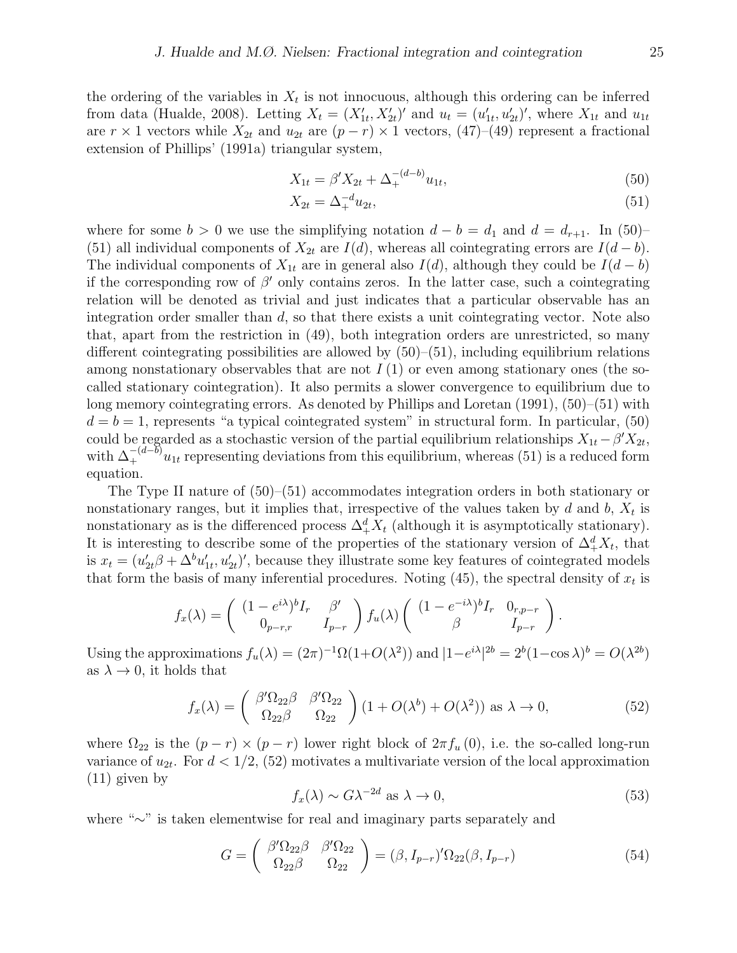the ordering of the variables in  $X_t$  is not innocuous, although this ordering can be inferred from data (Hualde, 2008). Letting  $X_t = (X'_{1t}, X'_{2t})'$  and  $u_t = (u'_{1t}, u'_{2t})'$ , where  $X_{1t}$  and  $u_{1t}$ are  $r \times 1$  vectors while  $X_{2t}$  and  $u_{2t}$  are  $(p - r) \times 1$  vectors,  $(47)$ – $(49)$  represent a fractional extension of Phillips' (1991a) triangular system,

$$
X_{1t} = \beta' X_{2t} + \Delta_{+}^{-(d-b)} u_{1t},\tag{50}
$$

$$
X_{2t} = \Delta_+^{-d} u_{2t},\tag{51}
$$

where for some  $b > 0$  we use the simplifying notation  $d - b = d_1$  and  $d = d_{r+1}$ . In (50)– (51) all individual components of  $X_{2t}$  are  $I(d)$ , whereas all cointegrating errors are  $I(d - b)$ . The individual components of  $X_{1t}$  are in general also  $I(d)$ , although they could be  $I(d - b)$ if the corresponding row of  $\beta'$  only contains zeros. In the latter case, such a cointegrating relation will be denoted as trivial and just indicates that a particular observable has an integration order smaller than  $d$ , so that there exists a unit cointegrating vector. Note also that, apart from the restriction in (49), both integration orders are unrestricted, so many different cointegrating possibilities are allowed by  $(50)$ – $(51)$ , including equilibrium relations among nonstationary observables that are not  $I(1)$  or even among stationary ones (the socalled stationary cointegration). It also permits a slower convergence to equilibrium due to long memory cointegrating errors. As denoted by Phillips and Loretan (1991), (50)–(51) with  $d = b = 1$ , represents "a typical cointegrated system" in structural form. In particular, (50) could be regarded as a stochastic version of the partial equilibrium relationships  $X_{1t} - \beta' X_{2t}$ , with  $\Delta_+^{-(d-\bar{b})}u_{1t}$  representing deviations from this equilibrium, whereas (51) is a reduced form equation.

The Type II nature of (50)–(51) accommodates integration orders in both stationary or nonstationary ranges, but it implies that, irrespective of the values taken by  $d$  and  $b, X_t$  is nonstationary as is the differenced process  $\Delta_+^d X_t$  (although it is asymptotically stationary). It is interesting to describe some of the properties of the stationary version of  $\Delta_+^d X_t$ , that is  $x_t = (u'_{2t}\beta + \Delta^b u'_{1t}, u'_{2t})'$ , because they illustrate some key features of cointegrated models that form the basis of many inferential procedures. Noting  $(45)$ , the spectral density of  $x_t$  is

$$
f_x(\lambda) = \begin{pmatrix} (1 - e^{i\lambda})^b I_r & \beta' \\ 0_{p-r,r} & I_{p-r} \end{pmatrix} f_u(\lambda) \begin{pmatrix} (1 - e^{-i\lambda})^b I_r & 0_{r,p-r} \\ \beta & I_{p-r} \end{pmatrix}.
$$

Using the approximations  $f_u(\lambda) = (2\pi)^{-1}\Omega(1+O(\lambda^2))$  and  $|1-e^{i\lambda}|^{2b} = 2^b(1-\cos\lambda)^b = O(\lambda^{2b})$ as  $\lambda \to 0$ , it holds that

$$
f_x(\lambda) = \begin{pmatrix} \beta' \Omega_{22} \beta & \beta' \Omega_{22} \\ \Omega_{22} \beta & \Omega_{22} \end{pmatrix} (1 + O(\lambda^b) + O(\lambda^2)) \text{ as } \lambda \to 0,
$$
 (52)

where  $\Omega_{22}$  is the  $(p - r) \times (p - r)$  lower right block of  $2\pi f_u(0)$ , i.e. the so-called long-run variance of  $u_{2t}$ . For  $d < 1/2$ , (52) motivates a multivariate version of the local approximation (11) given by

$$
f_x(\lambda) \sim G\lambda^{-2d} \text{ as } \lambda \to 0,
$$
\n(53)

where "∼" is taken elementwise for real and imaginary parts separately and

$$
G = \begin{pmatrix} \beta' \Omega_{22} \beta & \beta' \Omega_{22} \\ \Omega_{22} \beta & \Omega_{22} \end{pmatrix} = (\beta, I_{p-r})' \Omega_{22} (\beta, I_{p-r})
$$
(54)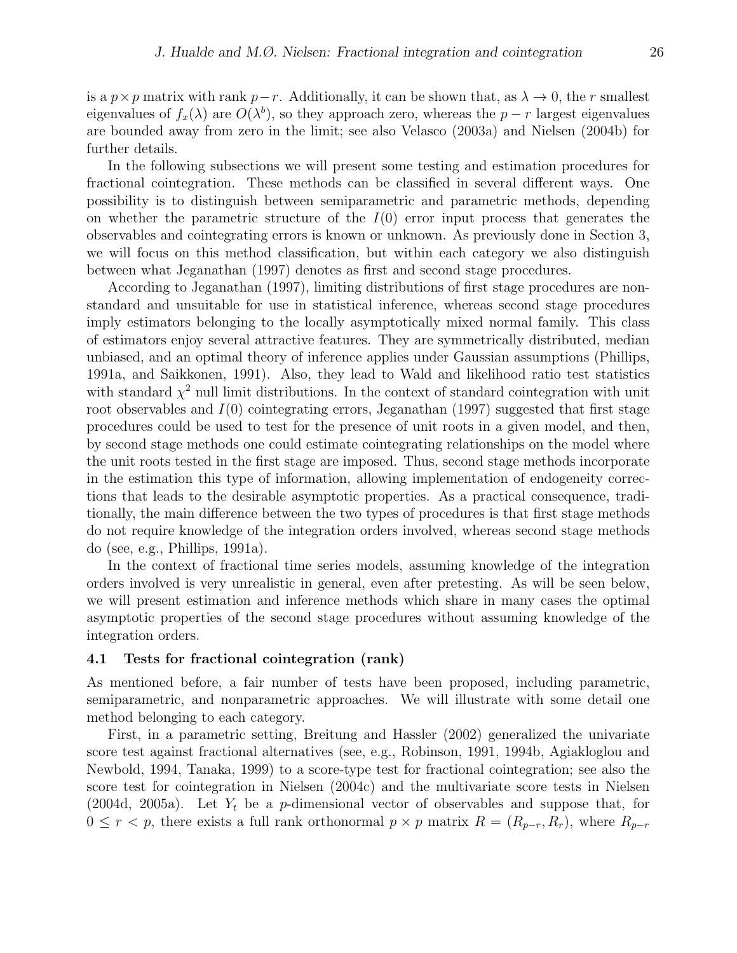is a  $p \times p$  matrix with rank  $p-r$ . Additionally, it can be shown that, as  $\lambda \to 0$ , the r smallest eigenvalues of  $f_x(\lambda)$  are  $O(\lambda^b)$ , so they approach zero, whereas the  $p-r$  largest eigenvalues are bounded away from zero in the limit; see also Velasco (2003a) and Nielsen (2004b) for further details.

In the following subsections we will present some testing and estimation procedures for fractional cointegration. These methods can be classified in several different ways. One possibility is to distinguish between semiparametric and parametric methods, depending on whether the parametric structure of the  $I(0)$  error input process that generates the observables and cointegrating errors is known or unknown. As previously done in Section 3, we will focus on this method classification, but within each category we also distinguish between what Jeganathan (1997) denotes as first and second stage procedures.

According to Jeganathan (1997), limiting distributions of first stage procedures are nonstandard and unsuitable for use in statistical inference, whereas second stage procedures imply estimators belonging to the locally asymptotically mixed normal family. This class of estimators enjoy several attractive features. They are symmetrically distributed, median unbiased, and an optimal theory of inference applies under Gaussian assumptions (Phillips, 1991a, and Saikkonen, 1991). Also, they lead to Wald and likelihood ratio test statistics with standard  $\chi^2$  null limit distributions. In the context of standard cointegration with unit root observables and  $I(0)$  cointegrating errors, Jeganathan (1997) suggested that first stage procedures could be used to test for the presence of unit roots in a given model, and then, by second stage methods one could estimate cointegrating relationships on the model where the unit roots tested in the first stage are imposed. Thus, second stage methods incorporate in the estimation this type of information, allowing implementation of endogeneity corrections that leads to the desirable asymptotic properties. As a practical consequence, traditionally, the main difference between the two types of procedures is that first stage methods do not require knowledge of the integration orders involved, whereas second stage methods do (see, e.g., Phillips, 1991a).

In the context of fractional time series models, assuming knowledge of the integration orders involved is very unrealistic in general, even after pretesting. As will be seen below, we will present estimation and inference methods which share in many cases the optimal asymptotic properties of the second stage procedures without assuming knowledge of the integration orders.

#### 4.1 Tests for fractional cointegration (rank)

As mentioned before, a fair number of tests have been proposed, including parametric, semiparametric, and nonparametric approaches. We will illustrate with some detail one method belonging to each category.

First, in a parametric setting, Breitung and Hassler (2002) generalized the univariate score test against fractional alternatives (see, e.g., Robinson, 1991, 1994b, Agiakloglou and Newbold, 1994, Tanaka, 1999) to a score-type test for fractional cointegration; see also the score test for cointegration in Nielsen (2004c) and the multivariate score tests in Nielsen (2004d, 2005a). Let  $Y_t$  be a p-dimensional vector of observables and suppose that, for  $0 \leq r < p$ , there exists a full rank orthonormal  $p \times p$  matrix  $R = (R_{p-r}, R_r)$ , where  $R_{p-r}$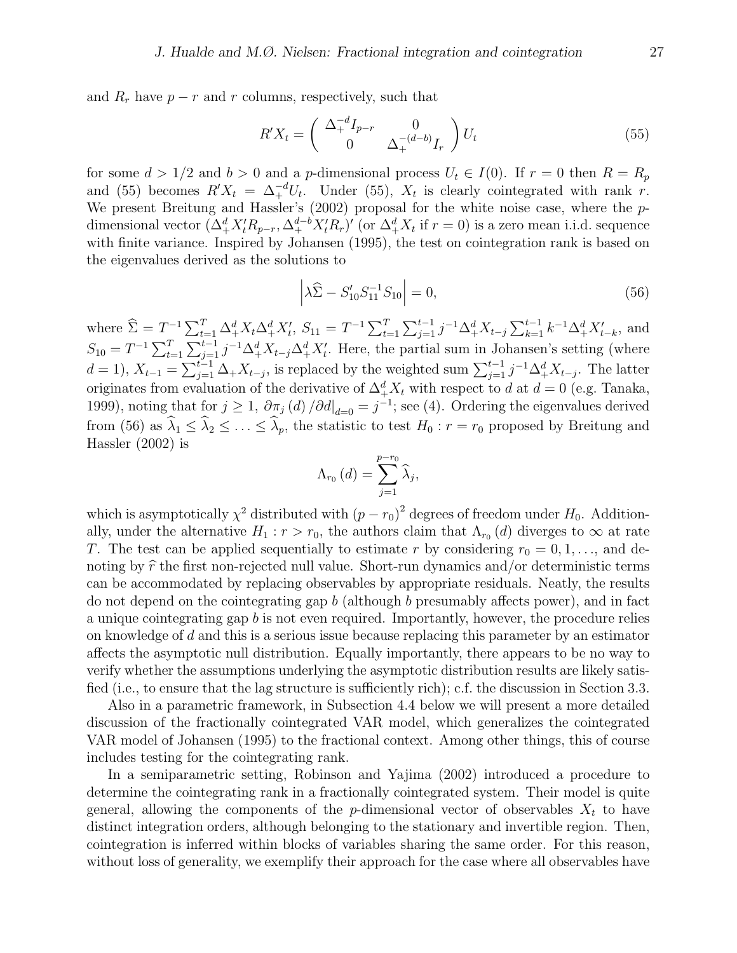and  $R_r$  have  $p - r$  and r columns, respectively, such that

$$
R'X_t = \begin{pmatrix} \Delta_+^{-d}I_{p-r} & 0\\ 0 & \Delta_+^{-(d-b)}I_r \end{pmatrix} U_t
$$
 (55)

for some  $d > 1/2$  and  $b > 0$  and a p-dimensional process  $U_t \in I(0)$ . If  $r = 0$  then  $R = R_p$ and (55) becomes  $R'X_t = \Delta_+^{-d}U_t$ . Under (55),  $X_t$  is clearly cointegrated with rank r. We present Breitung and Hassler's (2002) proposal for the white noise case, where the pdimensional vector  $(\Delta^d_+ X_t'R_{p-r}, \Delta^{d-b}_+ X_t'R_r)'$  (or  $\Delta^d_+ X_t$  if  $r = 0$ ) is a zero mean i.i.d. sequence with finite variance. Inspired by Johansen (1995), the test on cointegration rank is based on the eigenvalues derived as the solutions to

$$
\left| \lambda \widehat{\Sigma} - S'_{10} S_{11}^{-1} S_{10} \right| = 0, \tag{56}
$$

where  $\widehat{\Sigma} = T^{-1} \sum_{t=1}^{T} \Delta_{+}^{d} X_t \Delta_{+}^{d} X_t'$ ,  $S_{11} = T^{-1} \sum_{t=1}^{T} \sum_{j=1}^{t-1} j^{-1} \Delta_{+}^{d} X_{t-j} \sum_{k=1}^{t-1} k^{-1} \Delta_{+}^{d} X_{t-k}'$ , and  $S_{10} = T^{-1} \sum_{t=1}^{T} \sum_{j=1}^{t-1} j^{-1} \Delta_+^d X_{t-j} \Delta_+^d X_t'$ . Here, the partial sum in Johansen's setting (where  $d=1$ ,  $X_{t-1} = \sum_{j=1}^{t-1} \Delta_{+} X_{t-j}$ , is replaced by the weighted sum  $\sum_{j=1}^{t-1} j^{-1} \Delta_{+}^{d} X_{t-j}$ . The latter originates from evaluation of the derivative of  $\Delta_+^d X_t$  with respect to d at  $d=0$  (e.g. Tanaka, 1999), noting that for  $j \geq 1$ ,  $\partial \pi_j(d) / \partial d \vert_{d=0} = j^{-1}$ ; see (4). Ordering the eigenvalues derived from (56) as  $\hat{\lambda}_1 \leq \hat{\lambda}_2 \leq \ldots \leq \hat{\lambda}_p$ , the statistic to test  $H_0 : r = r_0$  proposed by Breitung and Hassler (2002) is

$$
\Lambda_{r_0}\left(d\right) = \sum_{j=1}^{p-r_0} \widehat{\lambda}_j,
$$

which is asymptotically  $\chi^2$  distributed with  $(p - r_0)^2$  degrees of freedom under  $H_0$ . Additionally, under the alternative  $H_1: r > r_0$ , the authors claim that  $\Lambda_{r_0}(d)$  diverges to  $\infty$  at rate T. The test can be applied sequentially to estimate r by considering  $r_0 = 0, 1, \ldots$ , and denoting by  $\hat{r}$  the first non-rejected null value. Short-run dynamics and/or deterministic terms can be accommodated by replacing observables by appropriate residuals. Neatly, the results do not depend on the cointegrating gap b (although b presumably affects power), and in fact a unique cointegrating gap  $b$  is not even required. Importantly, however, the procedure relies on knowledge of d and this is a serious issue because replacing this parameter by an estimator affects the asymptotic null distribution. Equally importantly, there appears to be no way to verify whether the assumptions underlying the asymptotic distribution results are likely satisfied (i.e., to ensure that the lag structure is sufficiently rich); c.f. the discussion in Section 3.3.

Also in a parametric framework, in Subsection 4.4 below we will present a more detailed discussion of the fractionally cointegrated VAR model, which generalizes the cointegrated VAR model of Johansen (1995) to the fractional context. Among other things, this of course includes testing for the cointegrating rank.

In a semiparametric setting, Robinson and Yajima (2002) introduced a procedure to determine the cointegrating rank in a fractionally cointegrated system. Their model is quite general, allowing the components of the p-dimensional vector of observables  $X_t$  to have distinct integration orders, although belonging to the stationary and invertible region. Then, cointegration is inferred within blocks of variables sharing the same order. For this reason, without loss of generality, we exemplify their approach for the case where all observables have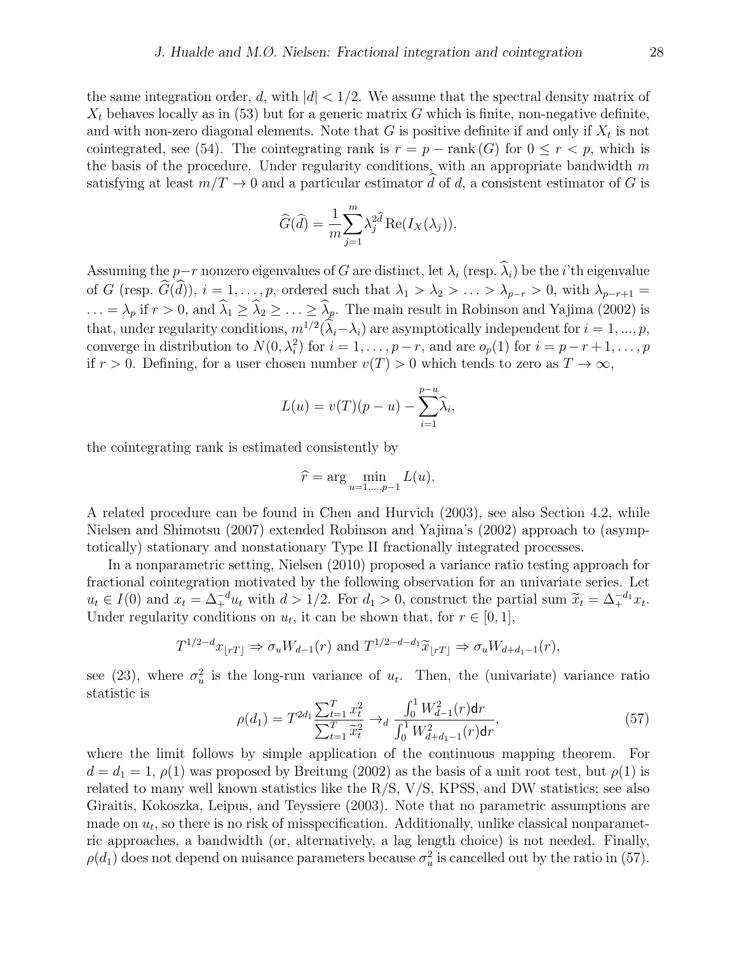the same integration order, d, with  $|d| < 1/2$ . We assume that the spectral density matrix of  $X_t$  behaves locally as in (53) but for a generic matrix G which is finite, non-negative definite, and with non-zero diagonal elements. Note that  $G$  is positive definite if and only if  $X_t$  is not cointegrated, see (54). The cointegrating rank is  $r = p - \text{rank}(G)$  for  $0 \le r < p$ , which is the basis of the procedure. Under regularity conditions, with an appropriate bandwidth  $m$ satisfying at least  $m/T \to 0$  and a particular estimator d of d, a consistent estimator of G is

$$
\widehat{G}(\widehat{d}) = \frac{1}{m} \sum_{j=1}^{m} \lambda_j^{2\widehat{d}} \operatorname{Re}(I_X(\lambda_j)).
$$

Assuming the p-r nonzero eigenvalues of G are distinct, let  $\lambda_i$  (resp.  $\widehat{\lambda}_i$ ) be the *i*'th eigenvalue of G (resp.  $\widehat{G}(\widehat{d})$ ),  $i = 1, \ldots, p$ , ordered such that  $\lambda_1 > \lambda_2 > \ldots > \lambda_{p-r} > 0$ , with  $\lambda_{p-r+1} =$  $\ldots = \lambda_p$  if  $r > 0$ , and  $\widehat{\lambda}_1 \geq \widehat{\lambda}_2 \geq \ldots \geq \widehat{\lambda}_p$ . The main result in Robinson and Yajima (2002) is that, under regularity conditions,  $m^{1/2}(\lambda_i-\lambda_i)$  are asymptotically independent for  $i=1,...,p$ , converge in distribution to  $N(0, \lambda_i^2)$  for  $i = 1, \ldots, p-r$ , and are  $o_p(1)$  for  $i = p-r+1, \ldots, p$ if  $r > 0$ . Defining, for a user chosen number  $v(T) > 0$  which tends to zero as  $T \to \infty$ ,

$$
L(u) = v(T)(p - u) - \sum_{i=1}^{p-u} \widehat{\lambda}_i,
$$

the cointegrating rank is estimated consistently by

$$
\widehat{r} = \arg\min_{u=1,\dots,p-1} L(u).
$$

A related procedure can be found in Chen and Hurvich (2003), see also Section 4.2, while Nielsen and Shimotsu (2007) extended Robinson and Yajima's (2002) approach to (asymptotically) stationary and nonstationary Type II fractionally integrated processes.

In a nonparametric setting, Nielsen (2010) proposed a variance ratio testing approach for fractional cointegration motivated by the following observation for an univariate series. Let  $u_t \in I(0)$  and  $x_t = \Delta_+^{-d} u_t$  with  $d > 1/2$ . For  $d_1 > 0$ , construct the partial sum  $\widetilde{x}_t = \Delta_+^{-d_1} x_t$ .<br>Under regularity equitions on  $u_t$  it can be shown that for  $x \in [0, 1]$ . Under regularity conditions on  $u_t$ , it can be shown that, for  $r \in [0,1]$ ,

$$
T^{1/2-d}x_{\lfloor rT\rfloor} \Rightarrow \sigma_u W_{d-1}(r)
$$
 and  $T^{1/2-d-d_1}\widetilde{x}_{\lfloor rT\rfloor} \Rightarrow \sigma_u W_{d+d_1-1}(r)$ ,

see (23), where  $\sigma_u^2$  is the long-run variance of  $u_t$ . Then, the (univariate) variance ratio statistic is

$$
\rho(d_1) = T^{2d_1} \frac{\sum_{t=1}^T x_t^2}{\sum_{t=1}^T \widetilde{x}_t^2} \to_d \frac{\int_0^1 W_{d-1}^2(r) dr}{\int_0^1 W_{d+d_1-1}^2(r) dr},\tag{57}
$$

where the limit follows by simple application of the continuous mapping theorem. For  $d = d_1 = 1, \rho(1)$  was proposed by Breitung (2002) as the basis of a unit root test, but  $\rho(1)$  is related to many well known statistics like the R/S, V/S, KPSS, and DW statistics; see also Giraitis, Kokoszka, Leipus, and Teyssiere (2003). Note that no parametric assumptions are made on  $u_t$ , so there is no risk of misspecification. Additionally, unlike classical nonparametric approaches, a bandwidth (or, alternatively, a lag length choice) is not needed. Finally,  $\rho(d_1)$  does not depend on nuisance parameters because  $\sigma_u^2$  is cancelled out by the ratio in (57).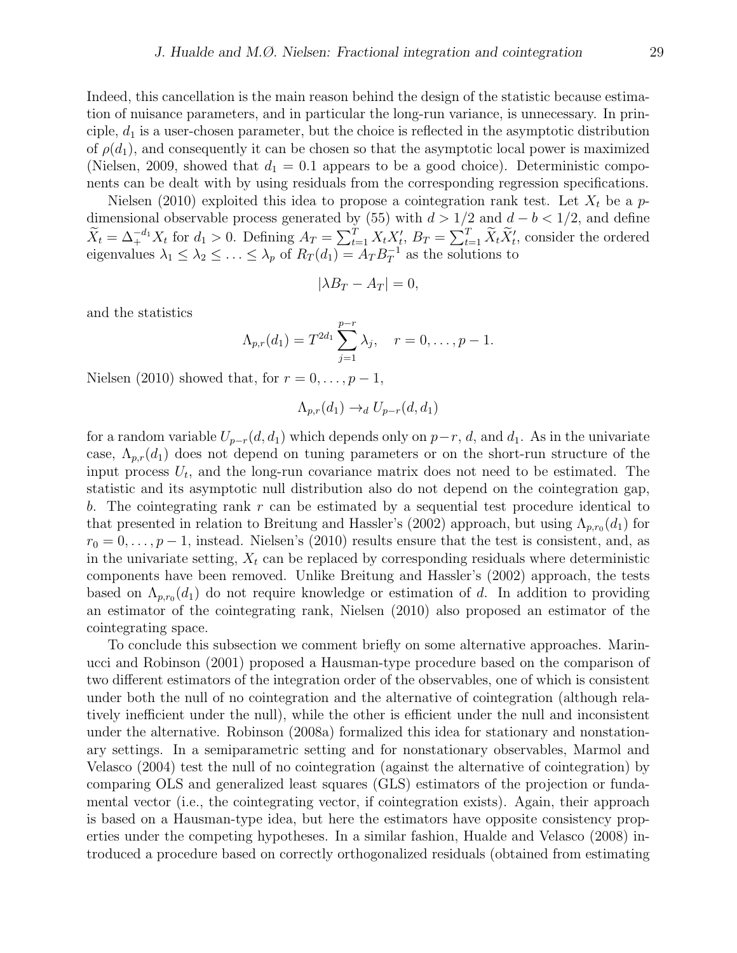Indeed, this cancellation is the main reason behind the design of the statistic because estimation of nuisance parameters, and in particular the long-run variance, is unnecessary. In principle,  $d_1$  is a user-chosen parameter, but the choice is reflected in the asymptotic distribution of  $\rho(d_1)$ , and consequently it can be chosen so that the asymptotic local power is maximized (Nielsen, 2009, showed that  $d_1 = 0.1$  appears to be a good choice). Deterministic components can be dealt with by using residuals from the corresponding regression specifications.

Nielsen (2010) exploited this idea to propose a cointegration rank test. Let  $X_t$  be a pdimensional observable process generated by (55) with  $d > 1/2$  and  $d - b < 1/2$ , and define  $\widetilde{X}_t = \Delta_+^{-d_1} X_t$  for  $d_1 > 0$ . Defining  $A_T = \sum_{t=1}^T X_t X_t$ ,  $B_T = \sum_{t=1}^T \widetilde{X}_t \widetilde{X}_t$ , consider the ordered eigenvalues  $\lambda_1 \leq \lambda_2 \leq \ldots \leq \lambda_p$  of  $R_T(d_1) = A_T B_T^{-1}$  $T^{-1}$  as the solutions to

$$
|\lambda B_T - A_T| = 0,
$$

and the statistics

$$
\Lambda_{p,r}(d_1) = T^{2d_1} \sum_{j=1}^{p-r} \lambda_j, \quad r = 0, \ldots, p-1.
$$

Nielsen (2010) showed that, for  $r = 0, \ldots, p-1$ ,

$$
\Lambda_{p,r}(d_1) \to_d U_{p-r}(d,d_1)
$$

for a random variable  $U_{p-r}(d, d_1)$  which depends only on  $p-r, d$ , and  $d_1$ . As in the univariate case,  $\Lambda_{p,r}(d_1)$  does not depend on tuning parameters or on the short-run structure of the input process  $U_t$ , and the long-run covariance matrix does not need to be estimated. The statistic and its asymptotic null distribution also do not depend on the cointegration gap, b. The cointegrating rank  $r$  can be estimated by a sequential test procedure identical to that presented in relation to Breitung and Hassler's (2002) approach, but using  $\Lambda_{p,r_0}(d_1)$  for  $r_0 = 0, \ldots, p-1$ , instead. Nielsen's (2010) results ensure that the test is consistent, and, as in the univariate setting,  $X_t$  can be replaced by corresponding residuals where deterministic components have been removed. Unlike Breitung and Hassler's (2002) approach, the tests based on  $\Lambda_{p,r_0}(d_1)$  do not require knowledge or estimation of d. In addition to providing an estimator of the cointegrating rank, Nielsen (2010) also proposed an estimator of the cointegrating space.

To conclude this subsection we comment briefly on some alternative approaches. Marinucci and Robinson (2001) proposed a Hausman-type procedure based on the comparison of two different estimators of the integration order of the observables, one of which is consistent under both the null of no cointegration and the alternative of cointegration (although relatively inefficient under the null), while the other is efficient under the null and inconsistent under the alternative. Robinson (2008a) formalized this idea for stationary and nonstationary settings. In a semiparametric setting and for nonstationary observables, Marmol and Velasco (2004) test the null of no cointegration (against the alternative of cointegration) by comparing OLS and generalized least squares (GLS) estimators of the projection or fundamental vector (i.e., the cointegrating vector, if cointegration exists). Again, their approach is based on a Hausman-type idea, but here the estimators have opposite consistency properties under the competing hypotheses. In a similar fashion, Hualde and Velasco (2008) introduced a procedure based on correctly orthogonalized residuals (obtained from estimating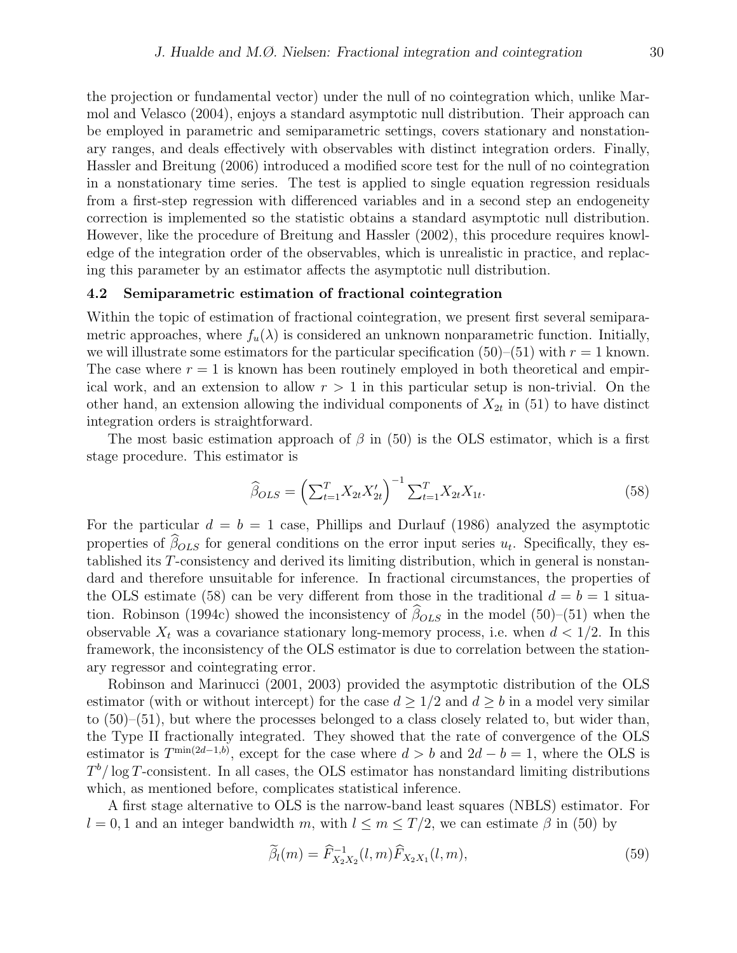the projection or fundamental vector) under the null of no cointegration which, unlike Marmol and Velasco (2004), enjoys a standard asymptotic null distribution. Their approach can be employed in parametric and semiparametric settings, covers stationary and nonstationary ranges, and deals effectively with observables with distinct integration orders. Finally, Hassler and Breitung (2006) introduced a modified score test for the null of no cointegration in a nonstationary time series. The test is applied to single equation regression residuals from a first-step regression with differenced variables and in a second step an endogeneity correction is implemented so the statistic obtains a standard asymptotic null distribution. However, like the procedure of Breitung and Hassler (2002), this procedure requires knowledge of the integration order of the observables, which is unrealistic in practice, and replacing this parameter by an estimator affects the asymptotic null distribution.

#### 4.2 Semiparametric estimation of fractional cointegration

Within the topic of estimation of fractional cointegration, we present first several semiparametric approaches, where  $f_u(\lambda)$  is considered an unknown nonparametric function. Initially, we will illustrate some estimators for the particular specification  $(50)$ – $(51)$  with  $r = 1$  known. The case where  $r = 1$  is known has been routinely employed in both theoretical and empirical work, and an extension to allow  $r > 1$  in this particular setup is non-trivial. On the other hand, an extension allowing the individual components of  $X_{2t}$  in (51) to have distinct integration orders is straightforward.

The most basic estimation approach of  $\beta$  in (50) is the OLS estimator, which is a first stage procedure. This estimator is

$$
\widehat{\beta}_{OLS} = \left(\sum_{t=1}^{T} X_{2t} X_{2t}'\right)^{-1} \sum_{t=1}^{T} X_{2t} X_{1t}.
$$
\n(58)

For the particular  $d = b = 1$  case, Phillips and Durlauf (1986) analyzed the asymptotic properties of  $\beta_{OLS}$  for general conditions on the error input series  $u_t$ . Specifically, they established its T-consistency and derived its limiting distribution, which in general is nonstandard and therefore unsuitable for inference. In fractional circumstances, the properties of the OLS estimate (58) can be very different from those in the traditional  $d = b = 1$  situation. Robinson (1994c) showed the inconsistency of  $\hat{\beta}_{OLS}$  in the model (50)–(51) when the observable  $X_t$  was a covariance stationary long-memory process, i.e. when  $d < 1/2$ . In this framework, the inconsistency of the OLS estimator is due to correlation between the stationary regressor and cointegrating error.

Robinson and Marinucci (2001, 2003) provided the asymptotic distribution of the OLS estimator (with or without intercept) for the case  $d \geq 1/2$  and  $d \geq b$  in a model very similar to (50)–(51), but where the processes belonged to a class closely related to, but wider than, the Type II fractionally integrated. They showed that the rate of convergence of the OLS estimator is  $T^{\min(2d-1,b)}$ , except for the case where  $d > b$  and  $2d - b = 1$ , where the OLS is  $T<sup>b</sup>/\log T$ -consistent. In all cases, the OLS estimator has nonstandard limiting distributions which, as mentioned before, complicates statistical inference.

A first stage alternative to OLS is the narrow-band least squares (NBLS) estimator. For  $l = 0, 1$  and an integer bandwidth m, with  $l \leq m \leq T/2$ , we can estimate  $\beta$  in (50) by

$$
\widetilde{\beta}_l(m) = \widehat{F}_{X_2 X_2}^{-1}(l, m) \widehat{F}_{X_2 X_1}(l, m), \tag{59}
$$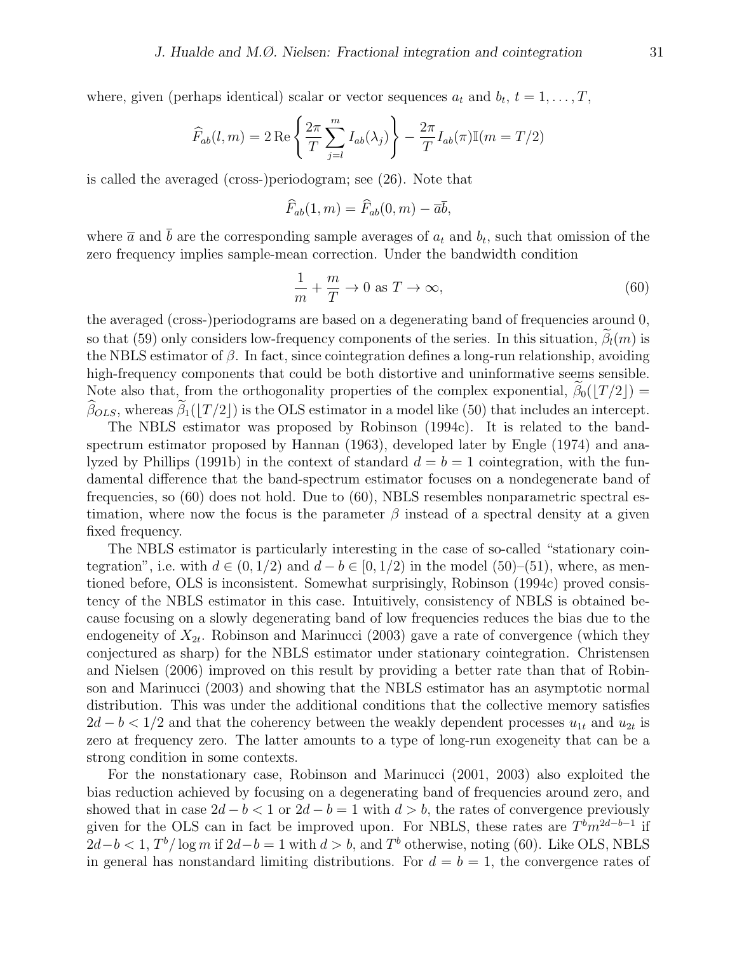where, given (perhaps identical) scalar or vector sequences  $a_t$  and  $b_t$ ,  $t = 1, \ldots, T$ ,

$$
\widehat{F}_{ab}(l,m) = 2 \operatorname{Re} \left\{ \frac{2\pi}{T} \sum_{j=l}^{m} I_{ab}(\lambda_j) \right\} - \frac{2\pi}{T} I_{ab}(\pi) \mathbb{I}(m = T/2)
$$

is called the averaged (cross-)periodogram; see (26). Note that

$$
\widehat{F}_{ab}(1,m) = \widehat{F}_{ab}(0,m) - \overline{a}\overline{b},
$$

where  $\bar{a}$  and b are the corresponding sample averages of  $a_t$  and  $b_t$ , such that omission of the zero frequency implies sample-mean correction. Under the bandwidth condition

$$
\frac{1}{m} + \frac{m}{T} \to 0 \text{ as } T \to \infty,
$$
\n(60)

the averaged (cross-)periodograms are based on a degenerating band of frequencies around 0, so that (59) only considers low-frequency components of the series. In this situation,  $\beta_l(m)$  is the NBLS estimator of  $\beta$ . In fact, since cointegration defines a long-run relationship, avoiding high-frequency components that could be both distortive and uninformative seems sensible. Note also that, from the orthogonality properties of the complex exponential,  $\beta_0(|T/2|)$  =  $\widehat{\beta}_{OLS}$ , whereas  $\widetilde{\beta}_1(|T/2|)$  is the OLS estimator in a model like (50) that includes an intercept.

The NBLS estimator was proposed by Robinson (1994c). It is related to the bandspectrum estimator proposed by Hannan (1963), developed later by Engle (1974) and analyzed by Phillips (1991b) in the context of standard  $d = b = 1$  cointegration, with the fundamental difference that the band-spectrum estimator focuses on a nondegenerate band of frequencies, so (60) does not hold. Due to (60), NBLS resembles nonparametric spectral estimation, where now the focus is the parameter  $\beta$  instead of a spectral density at a given fixed frequency.

The NBLS estimator is particularly interesting in the case of so-called "stationary cointegration", i.e. with  $d \in (0, 1/2)$  and  $d - b \in [0, 1/2)$  in the model  $(50)$ – $(51)$ , where, as mentioned before, OLS is inconsistent. Somewhat surprisingly, Robinson (1994c) proved consistency of the NBLS estimator in this case. Intuitively, consistency of NBLS is obtained because focusing on a slowly degenerating band of low frequencies reduces the bias due to the endogeneity of  $X_{2t}$ . Robinson and Marinucci (2003) gave a rate of convergence (which they conjectured as sharp) for the NBLS estimator under stationary cointegration. Christensen and Nielsen (2006) improved on this result by providing a better rate than that of Robinson and Marinucci (2003) and showing that the NBLS estimator has an asymptotic normal distribution. This was under the additional conditions that the collective memory satisfies  $2d - b < 1/2$  and that the coherency between the weakly dependent processes  $u_{1t}$  and  $u_{2t}$  is zero at frequency zero. The latter amounts to a type of long-run exogeneity that can be a strong condition in some contexts.

For the nonstationary case, Robinson and Marinucci (2001, 2003) also exploited the bias reduction achieved by focusing on a degenerating band of frequencies around zero, and showed that in case  $2d - b < 1$  or  $2d - b = 1$  with  $d > b$ , the rates of convergence previously given for the OLS can in fact be improved upon. For NBLS, these rates are  $T^b m^{2d-b-1}$  if  $2d-b < 1$ ,  $T<sup>b</sup>/\log m$  if  $2d-b=1$  with  $d > b$ , and  $T<sup>b</sup>$  otherwise, noting (60). Like OLS, NBLS in general has nonstandard limiting distributions. For  $d = b = 1$ , the convergence rates of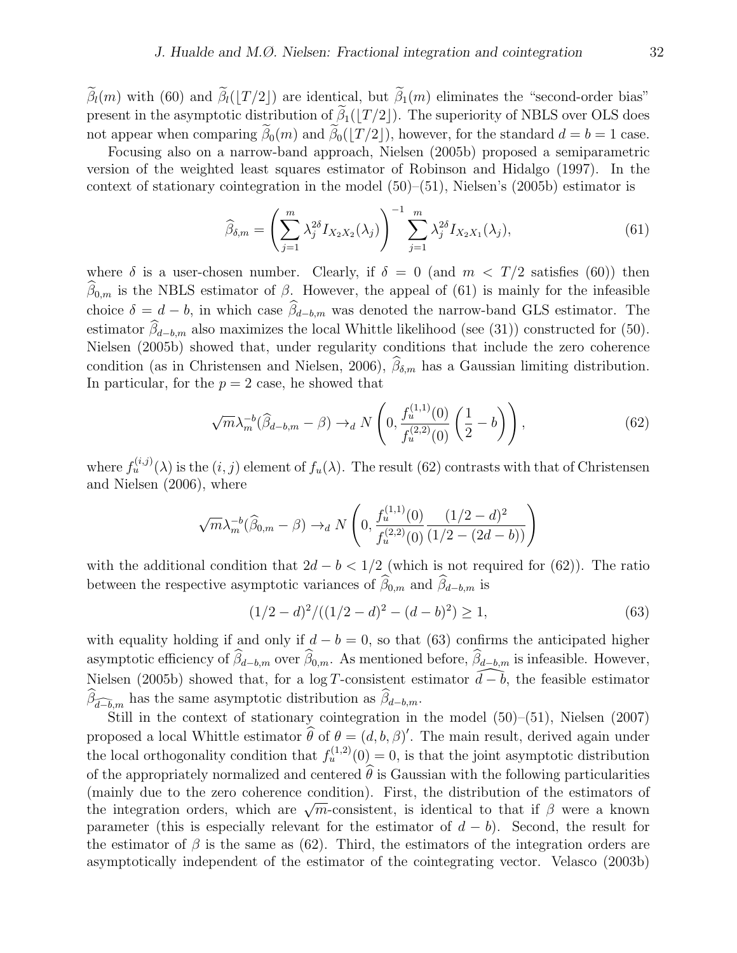$\tilde{\beta}_l(m)$  with (60) and  $\tilde{\beta}_l(|T/2|)$  are identical, but  $\tilde{\beta}_1(m)$  eliminates the "second-order bias" present in the asymptotic distribution of  $\widetilde{\beta}_1(|T/2|)$ . The superiority of NBLS over OLS does not appear when comparing  $\widetilde{\beta}_0(m)$  and  $\widetilde{\beta}_0(|T/2|)$ , however, for the standard  $d = b = 1$  case.

Focusing also on a narrow-band approach, Nielsen (2005b) proposed a semiparametric version of the weighted least squares estimator of Robinson and Hidalgo (1997). In the context of stationary cointegration in the model  $(50)$ – $(51)$ , Nielsen's  $(2005b)$  estimator is

$$
\widehat{\beta}_{\delta,m} = \left(\sum_{j=1}^{m} \lambda_j^{2\delta} I_{X_2 X_2}(\lambda_j)\right)^{-1} \sum_{j=1}^{m} \lambda_j^{2\delta} I_{X_2 X_1}(\lambda_j),\tag{61}
$$

where  $\delta$  is a user-chosen number. Clearly, if  $\delta = 0$  (and  $m < T/2$  satisfies (60)) then  $\widehat{\beta}_{0,m}$  is the NBLS estimator of  $\beta$ . However, the appeal of (61) is mainly for the infeasible choice  $\delta = d - b$ , in which case  $\hat{\beta}_{d-b,m}$  was denoted the narrow-band GLS estimator. The estimator  $\widehat{\beta}_{d-b,m}$  also maximizes the local Whittle likelihood (see (31)) constructed for (50). Nielsen (2005b) showed that, under regularity conditions that include the zero coherence condition (as in Christensen and Nielsen, 2006),  $\widehat{\beta}_{\delta,m}$  has a Gaussian limiting distribution. In particular, for the  $p = 2$  case, he showed that

$$
\sqrt{m}\lambda_m^{-b}(\hat{\beta}_{d-b,m} - \beta) \to_d N\left(0, \frac{f_u^{(1,1)}(0)}{f_u^{(2,2)}(0)}\left(\frac{1}{2} - b\right)\right),\tag{62}
$$

where  $f_u^{(i,j)}(\lambda)$  is the  $(i, j)$  element of  $f_u(\lambda)$ . The result (62) contrasts with that of Christensen and Nielsen (2006), where

$$
\sqrt{m} \lambda_m^{-b} (\widehat{\beta}_{0,m} - \beta) \rightarrow_d N\left(0, \frac{f_u^{(1,1)}(0)}{f_u^{(2,2)}(0)} \frac{(1/2 - d)^2}{(1/2 - (2d - b))}\right)
$$

with the additional condition that  $2d - b < 1/2$  (which is not required for (62)). The ratio between the respective asymptotic variances of  $\widehat{\beta}_{0,m}$  and  $\widehat{\beta}_{d-b,m}$  is

$$
(1/2 - d)^2 / ((1/2 - d)^2 - (d - b)^2) \ge 1,
$$
\n(63)

with equality holding if and only if  $d - b = 0$ , so that (63) confirms the anticipated higher asymptotic efficiency of  $\widehat{\beta}_{d-b,m}$  over  $\widehat{\beta}_{0,m}$ . As mentioned before,  $\widehat{\beta}_{d-b,m}$  is infeasible. However, Nielsen (2005b) showed that, for a log T-consistent estimator  $\widehat{d-b}$ , the feasible estimator  $\widehat{\beta}_{\widehat{d-b},m}$  has the same asymptotic distribution as  $\widehat{\beta}_{d-b,m}$ .

Still in the context of stationary cointegration in the model  $(50)$ – $(51)$ , Nielsen  $(2007)$ proposed a local Whittle estimator  $\hat{\theta}$  of  $\theta = (d, b, \beta)'$ . The main result, derived again under the local orthogonality condition that  $f_u^{(1,2)}(0) = 0$ , is that the joint asymptotic distribution of the appropriately normalized and centered  $\hat{\theta}$  is Gaussian with the following particularities (mainly due to the zero coherence condition). First, the distribution of the estimators of (manny due to the zero conerence condition). First, the distribution of the estimators of the integration orders, which are  $\sqrt{m}$ -consistent, is identical to that if  $\beta$  were a known parameter (this is especially relevant for the estimator of  $d - b$ ). Second, the result for the estimator of  $\beta$  is the same as (62). Third, the estimators of the integration orders are asymptotically independent of the estimator of the cointegrating vector. Velasco (2003b)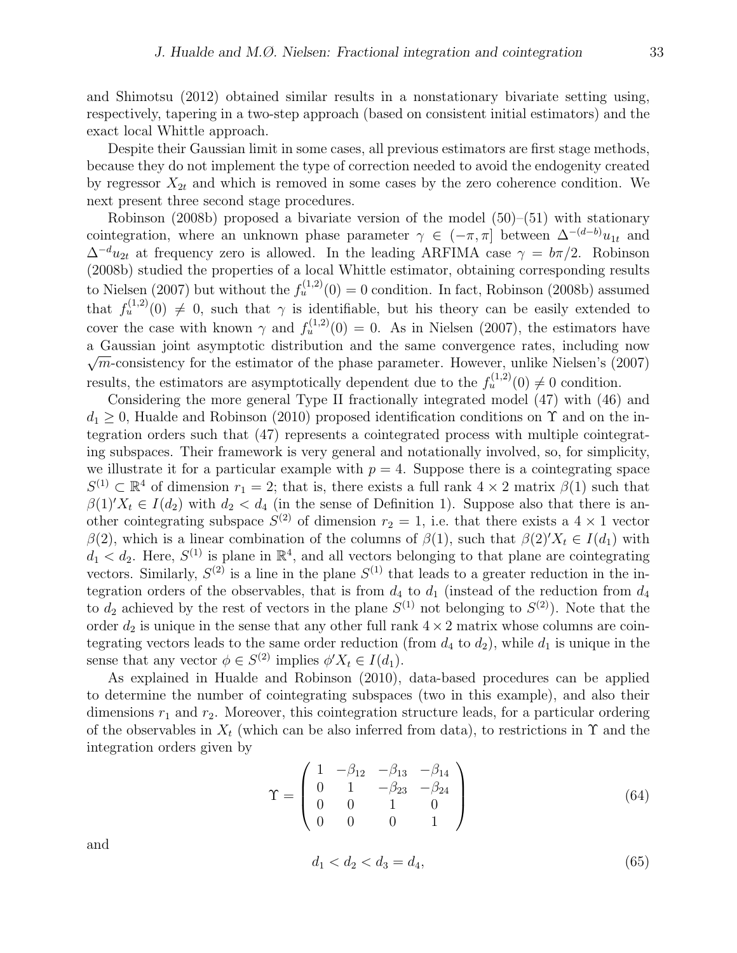and Shimotsu (2012) obtained similar results in a nonstationary bivariate setting using, respectively, tapering in a two-step approach (based on consistent initial estimators) and the exact local Whittle approach.

Despite their Gaussian limit in some cases, all previous estimators are first stage methods, because they do not implement the type of correction needed to avoid the endogenity created by regressor  $X_{2t}$  and which is removed in some cases by the zero coherence condition. We next present three second stage procedures.

Robinson (2008b) proposed a bivariate version of the model (50)–(51) with stationary cointegration, where an unknown phase parameter  $\gamma \in (-\pi, \pi]$  between  $\Delta^{-(d-b)}u_{1t}$  and  $\Delta^{-d}u_{2t}$  at frequency zero is allowed. In the leading ARFIMA case  $\gamma = b\pi/2$ . Robinson (2008b) studied the properties of a local Whittle estimator, obtaining corresponding results to Nielsen (2007) but without the  $f_u^{(1,2)}(0) = 0$  condition. In fact, Robinson (2008b) assumed that  $f_u^{(1,2)}(0) \neq 0$ , such that  $\gamma$  is identifiable, but his theory can be easily extended to cover the case with known  $\gamma$  and  $f_u^{(1,2)}(0) = 0$ . As in Nielsen (2007), the estimators have a Gaussian joint asymptotic distribution and the same convergence rates, including now  $\sqrt{m}$ -consistency for the estimator of the phase parameter. However, unlike Nielsen's (2007) results, the estimators are asymptotically dependent due to the  $f_u^{(1,2)}(0) \neq 0$  condition.

Considering the more general Type II fractionally integrated model (47) with (46) and  $d_1 > 0$ , Hualde and Robinson (2010) proposed identification conditions on  $\Upsilon$  and on the integration orders such that (47) represents a cointegrated process with multiple cointegrating subspaces. Their framework is very general and notationally involved, so, for simplicity, we illustrate it for a particular example with  $p = 4$ . Suppose there is a cointegrating space  $S^{(1)} \subset \mathbb{R}^4$  of dimension  $r_1 = 2$ ; that is, there exists a full rank  $4 \times 2$  matrix  $\beta(1)$  such that  $\beta(1)X_t \in I(d_2)$  with  $d_2 < d_4$  (in the sense of Definition 1). Suppose also that there is another cointegrating subspace  $S^{(2)}$  of dimension  $r_2 = 1$ , i.e. that there exists a  $4 \times 1$  vector β(2), which is a linear combination of the columns of  $β(1)$ , such that  $β(2)X_t ∈ I(d_1)$  with  $d_1 < d_2$ . Here,  $S^{(1)}$  is plane in  $\mathbb{R}^4$ , and all vectors belonging to that plane are cointegrating vectors. Similarly,  $S^{(2)}$  is a line in the plane  $S^{(1)}$  that leads to a greater reduction in the integration orders of the observables, that is from  $d_4$  to  $d_1$  (instead of the reduction from  $d_4$ to  $d_2$  achieved by the rest of vectors in the plane  $S^{(1)}$  not belonging to  $S^{(2)}$ ). Note that the order  $d_2$  is unique in the sense that any other full rank  $4 \times 2$  matrix whose columns are cointegrating vectors leads to the same order reduction (from  $d_4$  to  $d_2$ ), while  $d_1$  is unique in the sense that any vector  $\phi \in S^{(2)}$  implies  $\phi' X_t \in I(d_1)$ .

As explained in Hualde and Robinson (2010), data-based procedures can be applied to determine the number of cointegrating subspaces (two in this example), and also their dimensions  $r_1$  and  $r_2$ . Moreover, this cointegration structure leads, for a particular ordering of the observables in  $X_t$  (which can be also inferred from data), to restrictions in  $\Upsilon$  and the integration orders given by

$$
\Upsilon = \begin{pmatrix} 1 & -\beta_{12} & -\beta_{13} & -\beta_{14} \\ 0 & 1 & -\beta_{23} & -\beta_{24} \\ 0 & 0 & 1 & 0 \\ 0 & 0 & 0 & 1 \end{pmatrix}
$$
(64)

and

$$
d_1 < d_2 < d_3 = d_4,\tag{65}
$$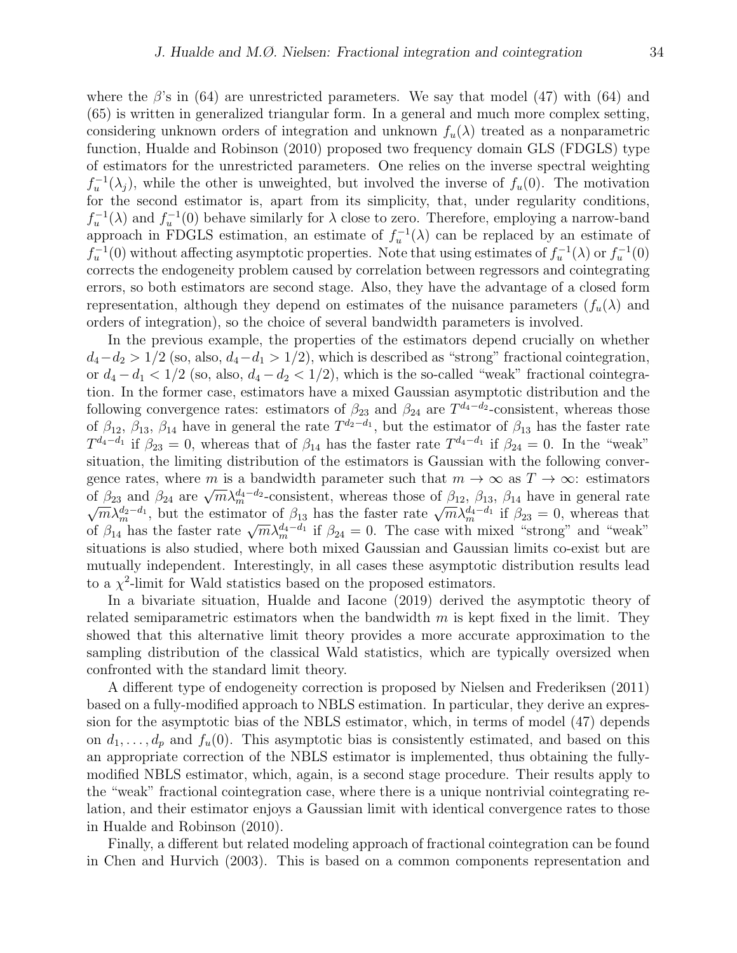where the  $\beta$ 's in (64) are unrestricted parameters. We say that model (47) with (64) and (65) is written in generalized triangular form. In a general and much more complex setting, considering unknown orders of integration and unknown  $f_u(\lambda)$  treated as a nonparametric function, Hualde and Robinson (2010) proposed two frequency domain GLS (FDGLS) type of estimators for the unrestricted parameters. One relies on the inverse spectral weighting  $f_u^{-1}(\lambda_j)$ , while the other is unweighted, but involved the inverse of  $f_u(0)$ . The motivation for the second estimator is, apart from its simplicity, that, under regularity conditions,  $f_u^{-1}(\lambda)$  and  $f_u^{-1}(0)$  behave similarly for  $\lambda$  close to zero. Therefore, employing a narrow-band approach in FDGLS estimation, an estimate of  $f_u^{-1}(\lambda)$  can be replaced by an estimate of  $f_u^{-1}(0)$  without affecting asymptotic properties. Note that using estimates of  $f_u^{-1}(\lambda)$  or  $f_u^{-1}(0)$ corrects the endogeneity problem caused by correlation between regressors and cointegrating errors, so both estimators are second stage. Also, they have the advantage of a closed form representation, although they depend on estimates of the nuisance parameters  $(f_u(\lambda))$  and orders of integration), so the choice of several bandwidth parameters is involved.

In the previous example, the properties of the estimators depend crucially on whether  $d_4-d_2 > 1/2$  (so, also,  $d_4-d_1 > 1/2$ ), which is described as "strong" fractional cointegration, or  $d_4 - d_1 < 1/2$  (so, also,  $d_4 - d_2 < 1/2$ ), which is the so-called "weak" fractional cointegration. In the former case, estimators have a mixed Gaussian asymptotic distribution and the following convergence rates: estimators of  $\beta_{23}$  and  $\beta_{24}$  are  $T^{d_4-d_2}$ -consistent, whereas those of  $\beta_{12}$ ,  $\beta_{13}$ ,  $\beta_{14}$  have in general the rate  $T^{d_2-d_1}$ , but the estimator of  $\beta_{13}$  has the faster rate  $T^{d_4-d_1}$  if  $\beta_{23}=0$ , whereas that of  $\beta_{14}$  has the faster rate  $T^{d_4-d_1}$  if  $\beta_{24}=0$ . In the "weak" situation, the limiting distribution of the estimators is Gaussian with the following convergence rates, where m is a bandwidth parameter such that  $m \to \infty$  as  $T \to \infty$ : estimators gence rates, where *m* is a bandwidth parameter such that  $m \to \infty$  as  $1 \to \infty$ . estimators of  $\beta_{23}$  and  $\beta_{24}$  are  $\sqrt{m} \lambda_m^{d_4-d_2}$ -consistent, whereas those of  $\beta_{12}$ ,  $\beta_{13}$ ,  $\beta_{14}$  have in general rate  $\sqrt$  $\sqrt{m} \lambda_m^{\pi}$ , but the estimator of  $p_{13}$  has the faster rate  $\sqrt{m} \lambda_m^{d_4-d_1}$  if  $\beta_{24} = 0$ . The case with mixed "strong" and "weak" situations is also studied, where both mixed Gaussian and Gaussian limits co-exist but are mutually independent. Interestingly, in all cases these asymptotic distribution results lead to a  $\chi^2$ -limit for Wald statistics based on the proposed estimators.

In a bivariate situation, Hualde and Iacone (2019) derived the asymptotic theory of related semiparametric estimators when the bandwidth  $m$  is kept fixed in the limit. They showed that this alternative limit theory provides a more accurate approximation to the sampling distribution of the classical Wald statistics, which are typically oversized when confronted with the standard limit theory.

A different type of endogeneity correction is proposed by Nielsen and Frederiksen (2011) based on a fully-modified approach to NBLS estimation. In particular, they derive an expression for the asymptotic bias of the NBLS estimator, which, in terms of model (47) depends on  $d_1, \ldots, d_p$  and  $f_u(0)$ . This asymptotic bias is consistently estimated, and based on this an appropriate correction of the NBLS estimator is implemented, thus obtaining the fullymodified NBLS estimator, which, again, is a second stage procedure. Their results apply to the "weak" fractional cointegration case, where there is a unique nontrivial cointegrating relation, and their estimator enjoys a Gaussian limit with identical convergence rates to those in Hualde and Robinson (2010).

Finally, a different but related modeling approach of fractional cointegration can be found in Chen and Hurvich (2003). This is based on a common components representation and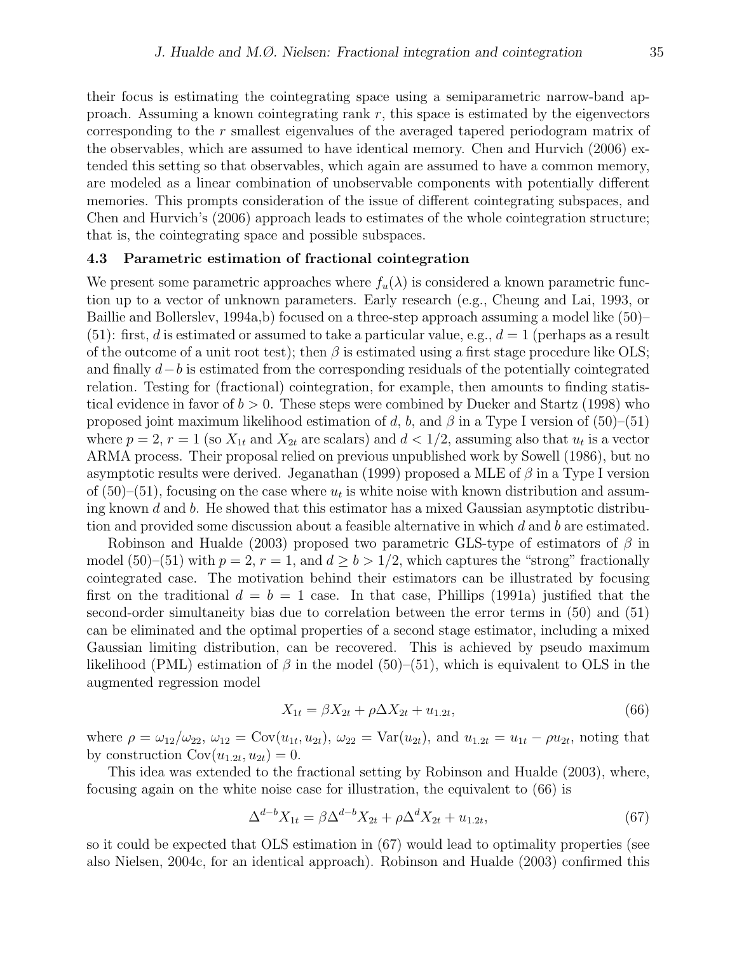their focus is estimating the cointegrating space using a semiparametric narrow-band approach. Assuming a known cointegrating rank  $r$ , this space is estimated by the eigenvectors corresponding to the r smallest eigenvalues of the averaged tapered periodogram matrix of the observables, which are assumed to have identical memory. Chen and Hurvich (2006) extended this setting so that observables, which again are assumed to have a common memory, are modeled as a linear combination of unobservable components with potentially different memories. This prompts consideration of the issue of different cointegrating subspaces, and Chen and Hurvich's (2006) approach leads to estimates of the whole cointegration structure; that is, the cointegrating space and possible subspaces.

#### 4.3 Parametric estimation of fractional cointegration

We present some parametric approaches where  $f_u(\lambda)$  is considered a known parametric function up to a vector of unknown parameters. Early research (e.g., Cheung and Lai, 1993, or Baillie and Bollerslev, 1994a,b) focused on a three-step approach assuming a model like (50)– (51): first, d is estimated or assumed to take a particular value, e.g.,  $d = 1$  (perhaps as a result of the outcome of a unit root test); then  $\beta$  is estimated using a first stage procedure like OLS; and finally d−b is estimated from the corresponding residuals of the potentially cointegrated relation. Testing for (fractional) cointegration, for example, then amounts to finding statistical evidence in favor of  $b > 0$ . These steps were combined by Dueker and Startz (1998) who proposed joint maximum likelihood estimation of d, b, and  $\beta$  in a Type I version of (50)–(51) where  $p = 2$ ,  $r = 1$  (so  $X_{1t}$  and  $X_{2t}$  are scalars) and  $d < 1/2$ , assuming also that  $u_t$  is a vector ARMA process. Their proposal relied on previous unpublished work by Sowell (1986), but no asymptotic results were derived. Jeganathan (1999) proposed a MLE of  $\beta$  in a Type I version of  $(50)$ – $(51)$ , focusing on the case where  $u_t$  is white noise with known distribution and assuming known  $d$  and  $b$ . He showed that this estimator has a mixed Gaussian asymptotic distribution and provided some discussion about a feasible alternative in which  $d$  and  $b$  are estimated.

Robinson and Hualde (2003) proposed two parametric GLS-type of estimators of  $\beta$  in model (50)–(51) with  $p = 2$ ,  $r = 1$ , and  $d \ge b > 1/2$ , which captures the "strong" fractionally cointegrated case. The motivation behind their estimators can be illustrated by focusing first on the traditional  $d = b = 1$  case. In that case, Phillips (1991a) justified that the second-order simultaneity bias due to correlation between the error terms in (50) and (51) can be eliminated and the optimal properties of a second stage estimator, including a mixed Gaussian limiting distribution, can be recovered. This is achieved by pseudo maximum likelihood (PML) estimation of  $\beta$  in the model (50)–(51), which is equivalent to OLS in the augmented regression model

$$
X_{1t} = \beta X_{2t} + \rho \Delta X_{2t} + u_{1.2t},\tag{66}
$$

where  $\rho = \omega_{12}/\omega_{22}$ ,  $\omega_{12} = \text{Cov}(u_{1t}, u_{2t})$ ,  $\omega_{22} = \text{Var}(u_{2t})$ , and  $u_{1.2t} = u_{1t} - \rho u_{2t}$ , noting that by construction  $Cov(u_{1.2t}, u_{2t}) = 0$ .

This idea was extended to the fractional setting by Robinson and Hualde (2003), where, focusing again on the white noise case for illustration, the equivalent to (66) is

$$
\Delta^{d-b} X_{1t} = \beta \Delta^{d-b} X_{2t} + \rho \Delta^d X_{2t} + u_{1.2t},\tag{67}
$$

so it could be expected that OLS estimation in (67) would lead to optimality properties (see also Nielsen, 2004c, for an identical approach). Robinson and Hualde (2003) confirmed this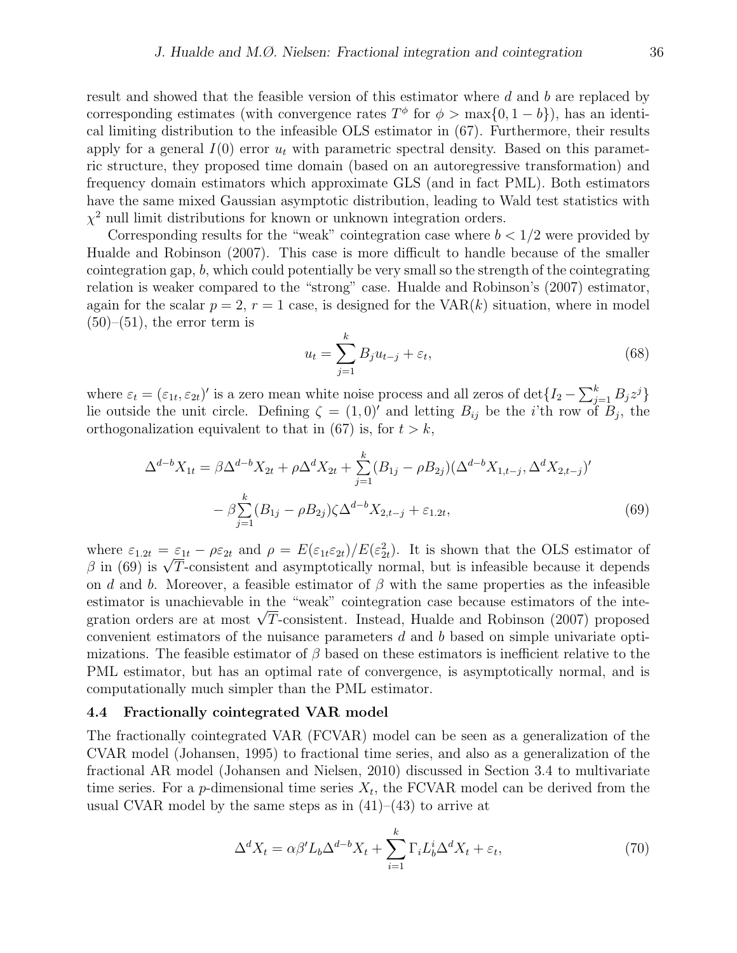result and showed that the feasible version of this estimator where d and b are replaced by corresponding estimates (with convergence rates  $T^{\phi}$  for  $\phi > \max\{0, 1 - b\}$ ), has an identical limiting distribution to the infeasible OLS estimator in (67). Furthermore, their results apply for a general  $I(0)$  error  $u_t$  with parametric spectral density. Based on this parametric structure, they proposed time domain (based on an autoregressive transformation) and frequency domain estimators which approximate GLS (and in fact PML). Both estimators have the same mixed Gaussian asymptotic distribution, leading to Wald test statistics with  $\chi^2$  null limit distributions for known or unknown integration orders.

Corresponding results for the "weak" cointegration case where  $b < 1/2$  were provided by Hualde and Robinson (2007). This case is more difficult to handle because of the smaller cointegration gap, b, which could potentially be very small so the strength of the cointegrating relation is weaker compared to the "strong" case. Hualde and Robinson's (2007) estimator, again for the scalar  $p = 2$ ,  $r = 1$  case, is designed for the VAR $(k)$  situation, where in model  $(50)$ – $(51)$ , the error term is

$$
u_t = \sum_{j=1}^k B_j u_{t-j} + \varepsilon_t,\tag{68}
$$

where  $\varepsilon_t = (\varepsilon_{1t}, \varepsilon_{2t})'$  is a zero mean white noise process and all zeros of  $\det\{I_2 - \sum_{j=1}^k B_j z^j\}$ lie outside the unit circle. Defining  $\zeta = (1,0)'$  and letting  $B_{ij}$  be the *i*'th row of  $B_j$ , the orthogonalization equivalent to that in (67) is, for  $t > k$ ,

$$
\Delta^{d-b}X_{1t} = \beta \Delta^{d-b}X_{2t} + \rho \Delta^d X_{2t} + \sum_{j=1}^k (B_{1j} - \rho B_{2j})(\Delta^{d-b}X_{1,t-j}, \Delta^d X_{2,t-j})'
$$

$$
- \beta \sum_{j=1}^k (B_{1j} - \rho B_{2j})\zeta \Delta^{d-b}X_{2,t-j} + \varepsilon_{1.2t},
$$
(69)

where  $\varepsilon_{1,2t} = \varepsilon_{1t} - \rho \varepsilon_{2t}$  and  $\rho = E(\varepsilon_{1t} \varepsilon_{2t})/E(\varepsilon_{2t}^2)$ . It is shown that the OLS estimator of where  $\varepsilon_{1,2t} = \varepsilon_{1t} - \rho \varepsilon_{2t}$  and  $\rho = E(\varepsilon_{1t} \varepsilon_{2t})/E(\varepsilon_{2t}^2)$ . It is shown that the OLS estimator of  $\beta$  in (69) is  $\sqrt{T}$ -consistent and asymptotically normal, but is infeasible because it depends on d and b. Moreover, a feasible estimator of  $\beta$  with the same properties as the infeasible estimator is unachievable in the "weak" cointegration case because estimators of the inteestimator is unacnievable in the "weak" cointegration case because estimators of the integration orders are at most  $\sqrt{T}$ -consistent. Instead, Hualde and Robinson (2007) proposed convenient estimators of the nuisance parameters d and b based on simple univariate optimizations. The feasible estimator of  $\beta$  based on these estimators is inefficient relative to the PML estimator, but has an optimal rate of convergence, is asymptotically normal, and is computationally much simpler than the PML estimator.

#### 4.4 Fractionally cointegrated VAR model

The fractionally cointegrated VAR (FCVAR) model can be seen as a generalization of the CVAR model (Johansen, 1995) to fractional time series, and also as a generalization of the fractional AR model (Johansen and Nielsen, 2010) discussed in Section 3.4 to multivariate time series. For a *p*-dimensional time series  $X_t$ , the FCVAR model can be derived from the usual CVAR model by the same steps as in  $(41)–(43)$  to arrive at

$$
\Delta^d X_t = \alpha \beta' L_b \Delta^{d-b} X_t + \sum_{i=1}^k \Gamma_i L_b^i \Delta^d X_t + \varepsilon_t,
$$
\n(70)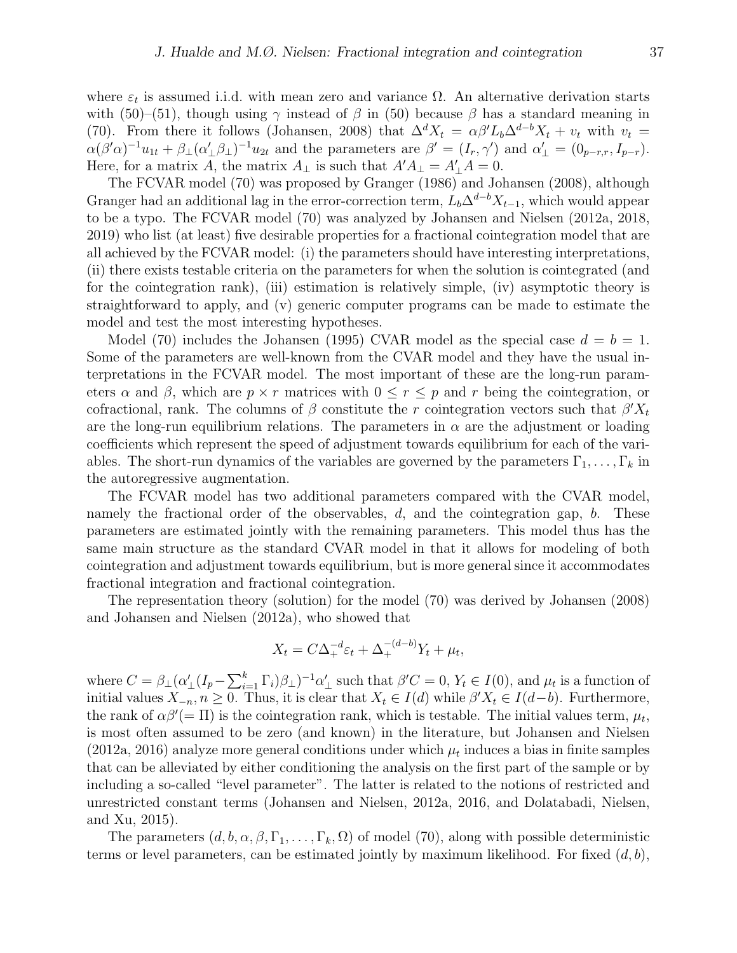where  $\varepsilon_t$  is assumed i.i.d. with mean zero and variance  $\Omega$ . An alternative derivation starts with (50)–(51), though using  $\gamma$  instead of  $\beta$  in (50) because  $\beta$  has a standard meaning in (70). From there it follows (Johansen, 2008) that  $\Delta^d X_t = \alpha \beta' L_b \Delta^{d-b} X_t + v_t$  with  $v_t =$  $\alpha(\beta'\alpha)^{-1}u_{1t} + \beta_{\perp}(\alpha'_{\perp}\beta_{\perp})^{-1}u_{2t}$  and the parameters are  $\beta' = (I_r, \gamma')$  and  $\alpha'_{\perp} = (0_{p-r,r}, I_{p-r})$ . Here, for a matrix A, the matrix  $A_{\perp}$  is such that  $A'A_{\perp} = A'_{\perp}A = 0$ .

The FCVAR model (70) was proposed by Granger (1986) and Johansen (2008), although Granger had an additional lag in the error-correction term,  $L_b\Delta^{d-b}X_{t-1}$ , which would appear to be a typo. The FCVAR model (70) was analyzed by Johansen and Nielsen (2012a, 2018, 2019) who list (at least) five desirable properties for a fractional cointegration model that are all achieved by the FCVAR model: (i) the parameters should have interesting interpretations, (ii) there exists testable criteria on the parameters for when the solution is cointegrated (and for the cointegration rank), (iii) estimation is relatively simple, (iv) asymptotic theory is straightforward to apply, and (v) generic computer programs can be made to estimate the model and test the most interesting hypotheses.

Model (70) includes the Johansen (1995) CVAR model as the special case  $d = b = 1$ . Some of the parameters are well-known from the CVAR model and they have the usual interpretations in the FCVAR model. The most important of these are the long-run parameters  $\alpha$  and  $\beta$ , which are  $p \times r$  matrices with  $0 \leq r \leq p$  and r being the cointegration, or cofractional, rank. The columns of  $\beta$  constitute the r cointegration vectors such that  $\beta' X_t$ are the long-run equilibrium relations. The parameters in  $\alpha$  are the adjustment or loading coefficients which represent the speed of adjustment towards equilibrium for each of the variables. The short-run dynamics of the variables are governed by the parameters  $\Gamma_1, \ldots, \Gamma_k$  in the autoregressive augmentation.

The FCVAR model has two additional parameters compared with the CVAR model, namely the fractional order of the observables,  $d$ , and the cointegration gap,  $b$ . These parameters are estimated jointly with the remaining parameters. This model thus has the same main structure as the standard CVAR model in that it allows for modeling of both cointegration and adjustment towards equilibrium, but is more general since it accommodates fractional integration and fractional cointegration.

The representation theory (solution) for the model (70) was derived by Johansen (2008) and Johansen and Nielsen (2012a), who showed that

$$
X_t = C\Delta_+^{-d}\varepsilon_t + \Delta_+^{-(d-b)}Y_t + \mu_t,
$$

where  $C = \beta_{\perp} (\alpha'_{\perp} (I_p - \sum_{i=1}^k \Gamma_i) \beta_{\perp})^{-1} \alpha'_{\perp}$  such that  $\beta' C = 0, Y_t \in I(0)$ , and  $\mu_t$  is a function of initial values  $X_{-n}$ ,  $n \geq 0$ . Thus, it is clear that  $X_t \in I(d)$  while  $\beta' X_t \in I(d-b)$ . Furthermore, the rank of  $\alpha\beta'$ (= II) is the cointegration rank, which is testable. The initial values term,  $\mu_t$ , is most often assumed to be zero (and known) in the literature, but Johansen and Nielsen  $(2012a, 2016)$  analyze more general conditions under which  $\mu_t$  induces a bias in finite samples that can be alleviated by either conditioning the analysis on the first part of the sample or by including a so-called "level parameter". The latter is related to the notions of restricted and unrestricted constant terms (Johansen and Nielsen, 2012a, 2016, and Dolatabadi, Nielsen, and Xu, 2015).

The parameters  $(d, b, \alpha, \beta, \Gamma_1, \ldots, \Gamma_k, \Omega)$  of model (70), along with possible deterministic terms or level parameters, can be estimated jointly by maximum likelihood. For fixed  $(d, b)$ ,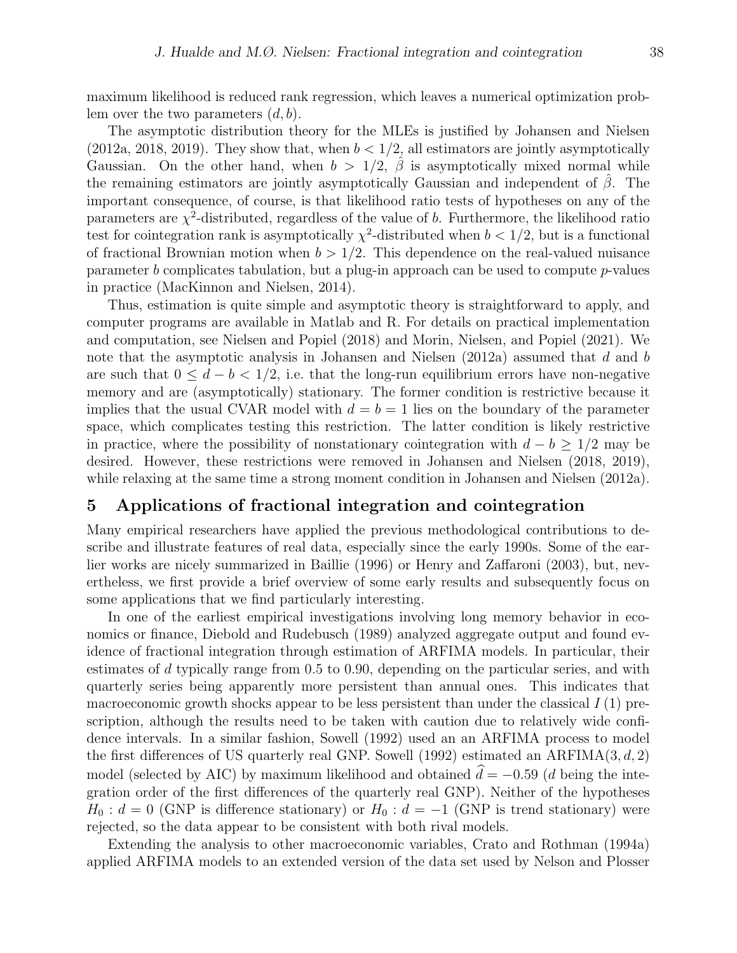maximum likelihood is reduced rank regression, which leaves a numerical optimization problem over the two parameters  $(d, b)$ .

The asymptotic distribution theory for the MLEs is justified by Johansen and Nielsen (2012a, 2018, 2019). They show that, when  $b < 1/2$ , all estimators are jointly asymptotically Gaussian. On the other hand, when  $b > 1/2$ ,  $\hat{\beta}$  is asymptotically mixed normal while the remaining estimators are jointly asymptotically Gaussian and independent of  $\beta$ . The important consequence, of course, is that likelihood ratio tests of hypotheses on any of the parameters are  $\chi^2$ -distributed, regardless of the value of b. Furthermore, the likelihood ratio test for cointegration rank is asymptotically  $\chi^2$ -distributed when  $b < 1/2$ , but is a functional of fractional Brownian motion when  $b > 1/2$ . This dependence on the real-valued nuisance parameter b complicates tabulation, but a plug-in approach can be used to compute  $p$ -values in practice (MacKinnon and Nielsen, 2014).

Thus, estimation is quite simple and asymptotic theory is straightforward to apply, and computer programs are available in Matlab and R. For details on practical implementation and computation, see Nielsen and Popiel (2018) and Morin, Nielsen, and Popiel (2021). We note that the asymptotic analysis in Johansen and Nielsen (2012a) assumed that d and b are such that  $0 \leq d - b < 1/2$ , i.e. that the long-run equilibrium errors have non-negative memory and are (asymptotically) stationary. The former condition is restrictive because it implies that the usual CVAR model with  $d = b = 1$  lies on the boundary of the parameter space, which complicates testing this restriction. The latter condition is likely restrictive in practice, where the possibility of nonstationary cointegration with  $d - b \geq 1/2$  may be desired. However, these restrictions were removed in Johansen and Nielsen (2018, 2019), while relaxing at the same time a strong moment condition in Johansen and Nielsen (2012a).

# 5 Applications of fractional integration and cointegration

Many empirical researchers have applied the previous methodological contributions to describe and illustrate features of real data, especially since the early 1990s. Some of the earlier works are nicely summarized in Baillie (1996) or Henry and Zaffaroni (2003), but, nevertheless, we first provide a brief overview of some early results and subsequently focus on some applications that we find particularly interesting.

In one of the earliest empirical investigations involving long memory behavior in economics or finance, Diebold and Rudebusch (1989) analyzed aggregate output and found evidence of fractional integration through estimation of ARFIMA models. In particular, their estimates of d typically range from 0.5 to 0.90, depending on the particular series, and with quarterly series being apparently more persistent than annual ones. This indicates that macroeconomic growth shocks appear to be less persistent than under the classical  $I(1)$  prescription, although the results need to be taken with caution due to relatively wide confidence intervals. In a similar fashion, Sowell (1992) used an an ARFIMA process to model the first differences of US quarterly real GNP. Sowell (1992) estimated an ARFIMA $(3, d, 2)$ model (selected by AIC) by maximum likelihood and obtained  $\hat{d} = -0.59$  (d being the integration order of the first differences of the quarterly real GNP). Neither of the hypotheses  $H_0: d = 0$  (GNP is difference stationary) or  $H_0: d = -1$  (GNP is trend stationary) were rejected, so the data appear to be consistent with both rival models.

Extending the analysis to other macroeconomic variables, Crato and Rothman (1994a) applied ARFIMA models to an extended version of the data set used by Nelson and Plosser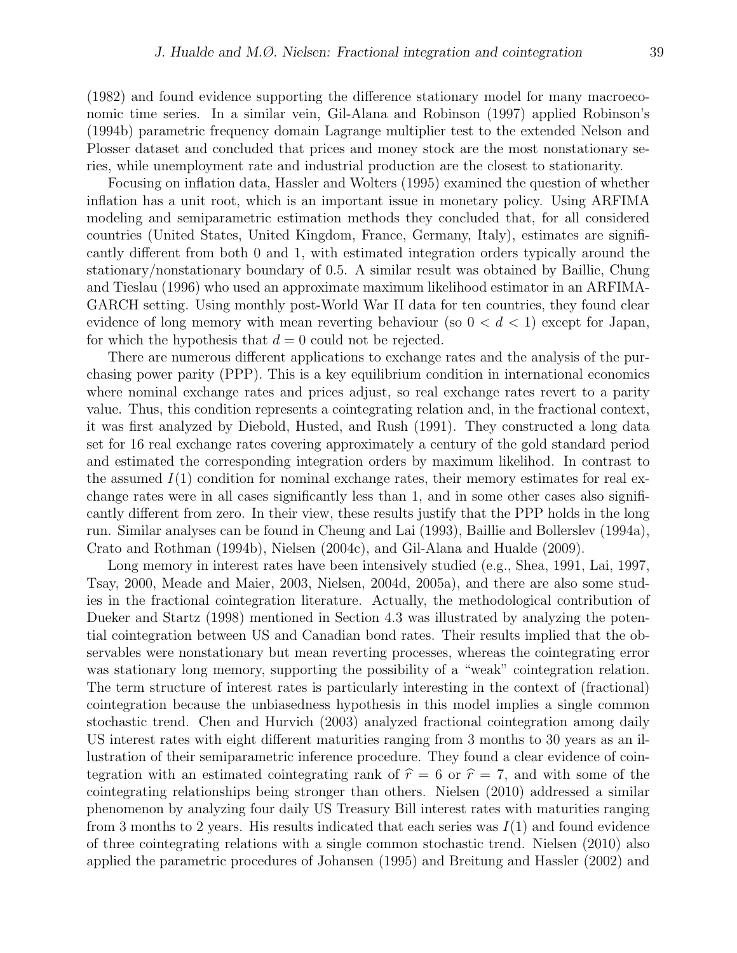(1982) and found evidence supporting the difference stationary model for many macroeconomic time series. In a similar vein, Gil-Alana and Robinson (1997) applied Robinson's (1994b) parametric frequency domain Lagrange multiplier test to the extended Nelson and Plosser dataset and concluded that prices and money stock are the most nonstationary series, while unemployment rate and industrial production are the closest to stationarity.

Focusing on inflation data, Hassler and Wolters (1995) examined the question of whether inflation has a unit root, which is an important issue in monetary policy. Using ARFIMA modeling and semiparametric estimation methods they concluded that, for all considered countries (United States, United Kingdom, France, Germany, Italy), estimates are significantly different from both 0 and 1, with estimated integration orders typically around the stationary/nonstationary boundary of 0.5. A similar result was obtained by Baillie, Chung and Tieslau (1996) who used an approximate maximum likelihood estimator in an ARFIMA-GARCH setting. Using monthly post-World War II data for ten countries, they found clear evidence of long memory with mean reverting behaviour (so  $0 < d < 1$ ) except for Japan, for which the hypothesis that  $d = 0$  could not be rejected.

There are numerous different applications to exchange rates and the analysis of the purchasing power parity (PPP). This is a key equilibrium condition in international economics where nominal exchange rates and prices adjust, so real exchange rates revert to a parity value. Thus, this condition represents a cointegrating relation and, in the fractional context, it was first analyzed by Diebold, Husted, and Rush (1991). They constructed a long data set for 16 real exchange rates covering approximately a century of the gold standard period and estimated the corresponding integration orders by maximum likelihod. In contrast to the assumed  $I(1)$  condition for nominal exchange rates, their memory estimates for real exchange rates were in all cases significantly less than 1, and in some other cases also significantly different from zero. In their view, these results justify that the PPP holds in the long run. Similar analyses can be found in Cheung and Lai (1993), Baillie and Bollerslev (1994a), Crato and Rothman (1994b), Nielsen (2004c), and Gil-Alana and Hualde (2009).

Long memory in interest rates have been intensively studied (e.g., Shea, 1991, Lai, 1997, Tsay, 2000, Meade and Maier, 2003, Nielsen, 2004d, 2005a), and there are also some studies in the fractional cointegration literature. Actually, the methodological contribution of Dueker and Startz (1998) mentioned in Section 4.3 was illustrated by analyzing the potential cointegration between US and Canadian bond rates. Their results implied that the observables were nonstationary but mean reverting processes, whereas the cointegrating error was stationary long memory, supporting the possibility of a "weak" cointegration relation. The term structure of interest rates is particularly interesting in the context of (fractional) cointegration because the unbiasedness hypothesis in this model implies a single common stochastic trend. Chen and Hurvich (2003) analyzed fractional cointegration among daily US interest rates with eight different maturities ranging from 3 months to 30 years as an illustration of their semiparametric inference procedure. They found a clear evidence of cointegration with an estimated cointegrating rank of  $\hat{r} = 6$  or  $\hat{r} = 7$ , and with some of the cointegrating relationships being stronger than others. Nielsen (2010) addressed a similar phenomenon by analyzing four daily US Treasury Bill interest rates with maturities ranging from 3 months to 2 years. His results indicated that each series was  $I(1)$  and found evidence of three cointegrating relations with a single common stochastic trend. Nielsen (2010) also applied the parametric procedures of Johansen (1995) and Breitung and Hassler (2002) and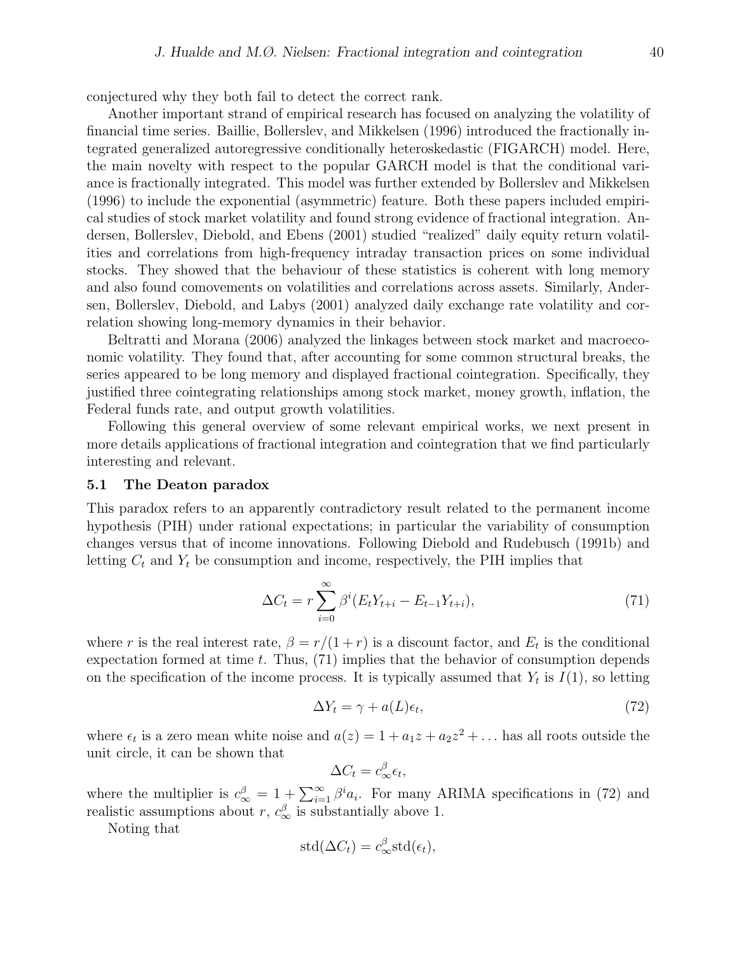conjectured why they both fail to detect the correct rank.

Another important strand of empirical research has focused on analyzing the volatility of financial time series. Baillie, Bollerslev, and Mikkelsen (1996) introduced the fractionally integrated generalized autoregressive conditionally heteroskedastic (FIGARCH) model. Here, the main novelty with respect to the popular GARCH model is that the conditional variance is fractionally integrated. This model was further extended by Bollerslev and Mikkelsen (1996) to include the exponential (asymmetric) feature. Both these papers included empirical studies of stock market volatility and found strong evidence of fractional integration. Andersen, Bollerslev, Diebold, and Ebens (2001) studied "realized" daily equity return volatilities and correlations from high-frequency intraday transaction prices on some individual stocks. They showed that the behaviour of these statistics is coherent with long memory and also found comovements on volatilities and correlations across assets. Similarly, Andersen, Bollerslev, Diebold, and Labys (2001) analyzed daily exchange rate volatility and correlation showing long-memory dynamics in their behavior.

Beltratti and Morana (2006) analyzed the linkages between stock market and macroeconomic volatility. They found that, after accounting for some common structural breaks, the series appeared to be long memory and displayed fractional cointegration. Specifically, they justified three cointegrating relationships among stock market, money growth, inflation, the Federal funds rate, and output growth volatilities.

Following this general overview of some relevant empirical works, we next present in more details applications of fractional integration and cointegration that we find particularly interesting and relevant.

#### 5.1 The Deaton paradox

This paradox refers to an apparently contradictory result related to the permanent income hypothesis (PIH) under rational expectations; in particular the variability of consumption changes versus that of income innovations. Following Diebold and Rudebusch (1991b) and letting  $C_t$  and  $Y_t$  be consumption and income, respectively, the PIH implies that

$$
\Delta C_t = r \sum_{i=0}^{\infty} \beta^i (E_t Y_{t+i} - E_{t-1} Y_{t+i}), \qquad (71)
$$

where r is the real interest rate,  $\beta = r/(1+r)$  is a discount factor, and  $E_t$  is the conditional expectation formed at time t. Thus,  $(71)$  implies that the behavior of consumption depends on the specification of the income process. It is typically assumed that  $Y_t$  is  $I(1)$ , so letting

$$
\Delta Y_t = \gamma + a(L)\epsilon_t,\tag{72}
$$

where  $\epsilon_t$  is a zero mean white noise and  $a(z) = 1 + a_1 z + a_2 z^2 + \dots$  has all roots outside the unit circle, it can be shown that

$$
\Delta C_t = c_{\infty}^{\beta} \epsilon_t,
$$

where the multiplier is  $c_{\infty}^{\beta} = 1 + \sum_{i=1}^{\infty} \beta^i a_i$ . For many ARIMA specifications in (72) and realistic assumptions about r,  $c^{\beta}_{\infty}$  is substantially above 1.

Noting that

$$
std(\Delta C_t) = c_{\infty}^{\beta} std(\epsilon_t),
$$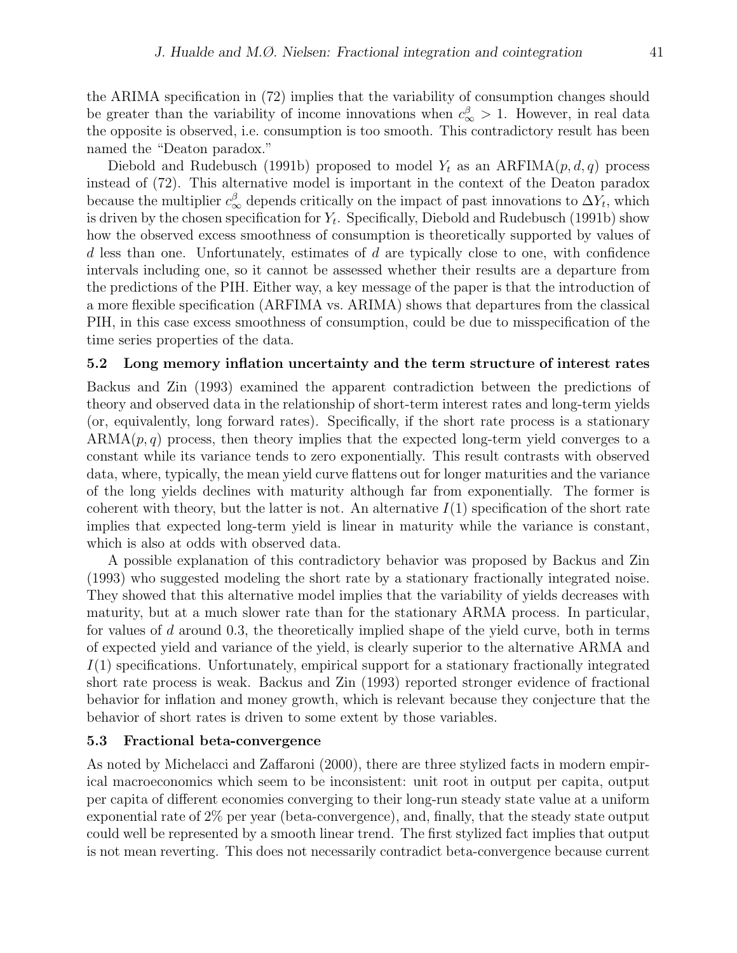the ARIMA specification in (72) implies that the variability of consumption changes should be greater than the variability of income innovations when  $c_{\infty}^{\beta} > 1$ . However, in real data the opposite is observed, i.e. consumption is too smooth. This contradictory result has been named the "Deaton paradox."

Diebold and Rudebusch (1991b) proposed to model  $Y_t$  as an  $ARFIMA(p, d, q)$  process instead of (72). This alternative model is important in the context of the Deaton paradox because the multiplier  $c_{\infty}^{\beta}$  depends critically on the impact of past innovations to  $\Delta Y_t$ , which is driven by the chosen specification for  $Y_t$ . Specifically, Diebold and Rudebusch (1991b) show how the observed excess smoothness of consumption is theoretically supported by values of  $d$  less than one. Unfortunately, estimates of  $d$  are typically close to one, with confidence intervals including one, so it cannot be assessed whether their results are a departure from the predictions of the PIH. Either way, a key message of the paper is that the introduction of a more flexible specification (ARFIMA vs. ARIMA) shows that departures from the classical PIH, in this case excess smoothness of consumption, could be due to misspecification of the time series properties of the data.

#### 5.2 Long memory inflation uncertainty and the term structure of interest rates

Backus and Zin (1993) examined the apparent contradiction between the predictions of theory and observed data in the relationship of short-term interest rates and long-term yields (or, equivalently, long forward rates). Specifically, if the short rate process is a stationary  $ARMA(p, q)$  process, then theory implies that the expected long-term yield converges to a constant while its variance tends to zero exponentially. This result contrasts with observed data, where, typically, the mean yield curve flattens out for longer maturities and the variance of the long yields declines with maturity although far from exponentially. The former is coherent with theory, but the latter is not. An alternative  $I(1)$  specification of the short rate implies that expected long-term yield is linear in maturity while the variance is constant, which is also at odds with observed data.

A possible explanation of this contradictory behavior was proposed by Backus and Zin (1993) who suggested modeling the short rate by a stationary fractionally integrated noise. They showed that this alternative model implies that the variability of yields decreases with maturity, but at a much slower rate than for the stationary ARMA process. In particular, for values of d around 0.3, the theoretically implied shape of the yield curve, both in terms of expected yield and variance of the yield, is clearly superior to the alternative ARMA and  $I(1)$  specifications. Unfortunately, empirical support for a stationary fractionally integrated short rate process is weak. Backus and Zin (1993) reported stronger evidence of fractional behavior for inflation and money growth, which is relevant because they conjecture that the behavior of short rates is driven to some extent by those variables.

#### 5.3 Fractional beta-convergence

As noted by Michelacci and Zaffaroni (2000), there are three stylized facts in modern empirical macroeconomics which seem to be inconsistent: unit root in output per capita, output per capita of different economies converging to their long-run steady state value at a uniform exponential rate of 2% per year (beta-convergence), and, finally, that the steady state output could well be represented by a smooth linear trend. The first stylized fact implies that output is not mean reverting. This does not necessarily contradict beta-convergence because current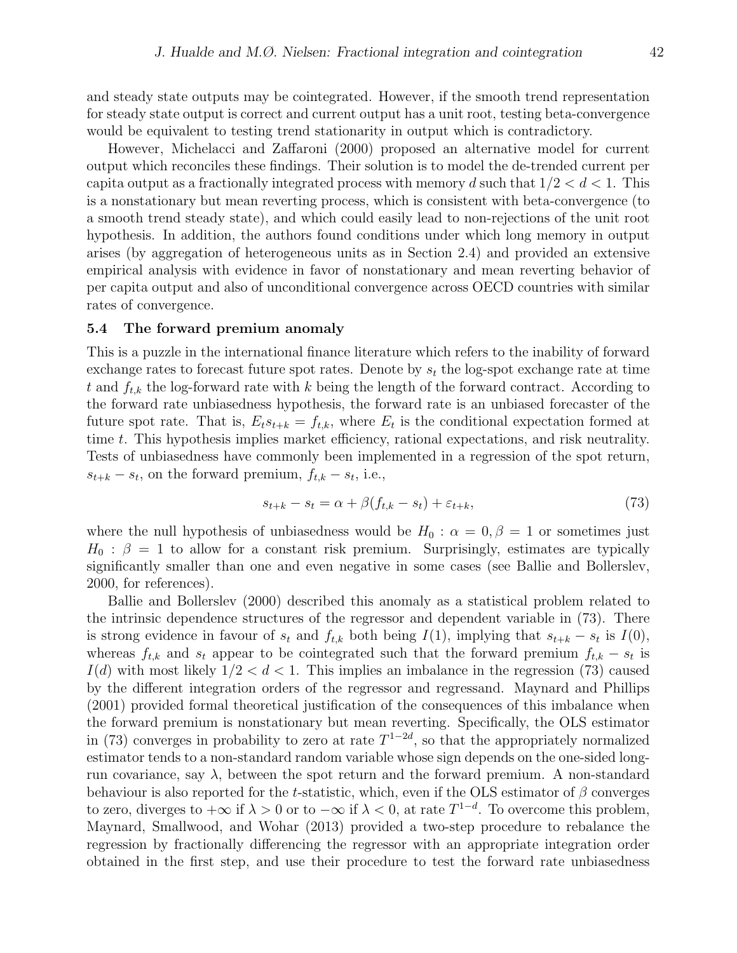and steady state outputs may be cointegrated. However, if the smooth trend representation for steady state output is correct and current output has a unit root, testing beta-convergence would be equivalent to testing trend stationarity in output which is contradictory.

However, Michelacci and Zaffaroni (2000) proposed an alternative model for current output which reconciles these findings. Their solution is to model the de-trended current per capita output as a fractionally integrated process with memory d such that  $1/2 < d < 1$ . This is a nonstationary but mean reverting process, which is consistent with beta-convergence (to a smooth trend steady state), and which could easily lead to non-rejections of the unit root hypothesis. In addition, the authors found conditions under which long memory in output arises (by aggregation of heterogeneous units as in Section 2.4) and provided an extensive empirical analysis with evidence in favor of nonstationary and mean reverting behavior of per capita output and also of unconditional convergence across OECD countries with similar rates of convergence.

#### 5.4 The forward premium anomaly

This is a puzzle in the international finance literature which refers to the inability of forward exchange rates to forecast future spot rates. Denote by  $s_t$  the log-spot exchange rate at time t and  $f_{t,k}$  the log-forward rate with k being the length of the forward contract. According to the forward rate unbiasedness hypothesis, the forward rate is an unbiased forecaster of the future spot rate. That is,  $E_t s_{t+k} = f_{t,k}$ , where  $E_t$  is the conditional expectation formed at time t. This hypothesis implies market efficiency, rational expectations, and risk neutrality. Tests of unbiasedness have commonly been implemented in a regression of the spot return,  $s_{t+k} - s_t$ , on the forward premium,  $f_{t,k} - s_t$ , i.e.,

$$
s_{t+k} - s_t = \alpha + \beta(f_{t,k} - s_t) + \varepsilon_{t+k},\tag{73}
$$

where the null hypothesis of unbiasedness would be  $H_0$ :  $\alpha = 0, \beta = 1$  or sometimes just  $H_0$ :  $\beta = 1$  to allow for a constant risk premium. Surprisingly, estimates are typically significantly smaller than one and even negative in some cases (see Ballie and Bollerslev, 2000, for references).

Ballie and Bollerslev (2000) described this anomaly as a statistical problem related to the intrinsic dependence structures of the regressor and dependent variable in (73). There is strong evidence in favour of  $s_t$  and  $f_{t,k}$  both being  $I(1)$ , implying that  $s_{t+k} - s_t$  is  $I(0)$ , whereas  $f_{t,k}$  and  $s_t$  appear to be cointegrated such that the forward premium  $f_{t,k} - s_t$  is  $I(d)$  with most likely  $1/2 < d < 1$ . This implies an imbalance in the regression (73) caused by the different integration orders of the regressor and regressand. Maynard and Phillips (2001) provided formal theoretical justification of the consequences of this imbalance when the forward premium is nonstationary but mean reverting. Specifically, the OLS estimator in (73) converges in probability to zero at rate  $T^{1-2d}$ , so that the appropriately normalized estimator tends to a non-standard random variable whose sign depends on the one-sided longrun covariance, say  $\lambda$ , between the spot return and the forward premium. A non-standard behaviour is also reported for the t-statistic, which, even if the OLS estimator of  $\beta$  converges to zero, diverges to  $+\infty$  if  $\lambda > 0$  or to  $-\infty$  if  $\lambda < 0$ , at rate  $T^{1-d}$ . To overcome this problem, Maynard, Smallwood, and Wohar (2013) provided a two-step procedure to rebalance the regression by fractionally differencing the regressor with an appropriate integration order obtained in the first step, and use their procedure to test the forward rate unbiasedness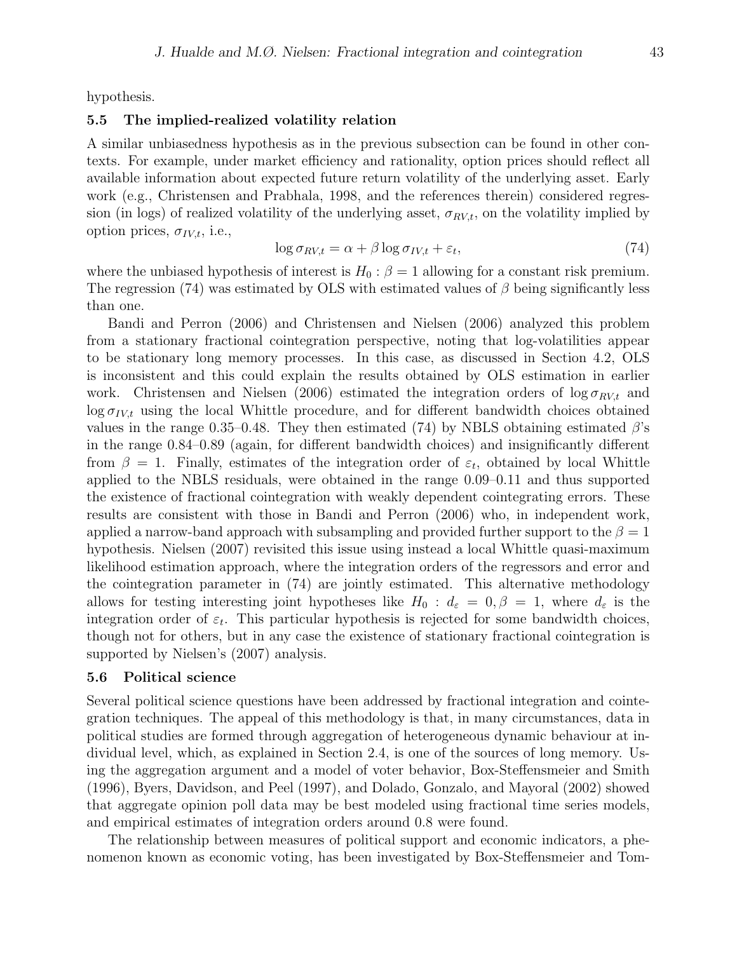hypothesis.

## 5.5 The implied-realized volatility relation

A similar unbiasedness hypothesis as in the previous subsection can be found in other contexts. For example, under market efficiency and rationality, option prices should reflect all available information about expected future return volatility of the underlying asset. Early work (e.g., Christensen and Prabhala, 1998, and the references therein) considered regression (in logs) of realized volatility of the underlying asset,  $\sigma_{RV,t}$ , on the volatility implied by option prices,  $\sigma_{IV,t}$ , i.e.,

$$
\log \sigma_{RV,t} = \alpha + \beta \log \sigma_{IV,t} + \varepsilon_t,\tag{74}
$$

where the unbiased hypothesis of interest is  $H_0$  :  $\beta = 1$  allowing for a constant risk premium. The regression (74) was estimated by OLS with estimated values of  $\beta$  being significantly less than one.

Bandi and Perron (2006) and Christensen and Nielsen (2006) analyzed this problem from a stationary fractional cointegration perspective, noting that log-volatilities appear to be stationary long memory processes. In this case, as discussed in Section 4.2, OLS is inconsistent and this could explain the results obtained by OLS estimation in earlier work. Christensen and Nielsen (2006) estimated the integration orders of  $\log \sigma_{RV,t}$  and  $\log \sigma_{IV,t}$  using the local Whittle procedure, and for different bandwidth choices obtained values in the range 0.35–0.48. They then estimated (74) by NBLS obtaining estimated  $\beta$ 's in the range 0.84–0.89 (again, for different bandwidth choices) and insignificantly different from  $\beta = 1$ . Finally, estimates of the integration order of  $\varepsilon_t$ , obtained by local Whittle applied to the NBLS residuals, were obtained in the range 0.09–0.11 and thus supported the existence of fractional cointegration with weakly dependent cointegrating errors. These results are consistent with those in Bandi and Perron (2006) who, in independent work, applied a narrow-band approach with subsampling and provided further support to the  $\beta = 1$ hypothesis. Nielsen (2007) revisited this issue using instead a local Whittle quasi-maximum likelihood estimation approach, where the integration orders of the regressors and error and the cointegration parameter in (74) are jointly estimated. This alternative methodology allows for testing interesting joint hypotheses like  $H_0$ :  $d_{\varepsilon} = 0, \beta = 1$ , where  $d_{\varepsilon}$  is the integration order of  $\varepsilon_t$ . This particular hypothesis is rejected for some bandwidth choices, though not for others, but in any case the existence of stationary fractional cointegration is supported by Nielsen's (2007) analysis.

## 5.6 Political science

Several political science questions have been addressed by fractional integration and cointegration techniques. The appeal of this methodology is that, in many circumstances, data in political studies are formed through aggregation of heterogeneous dynamic behaviour at individual level, which, as explained in Section 2.4, is one of the sources of long memory. Using the aggregation argument and a model of voter behavior, Box-Steffensmeier and Smith (1996), Byers, Davidson, and Peel (1997), and Dolado, Gonzalo, and Mayoral (2002) showed that aggregate opinion poll data may be best modeled using fractional time series models, and empirical estimates of integration orders around 0.8 were found.

The relationship between measures of political support and economic indicators, a phenomenon known as economic voting, has been investigated by Box-Steffensmeier and Tom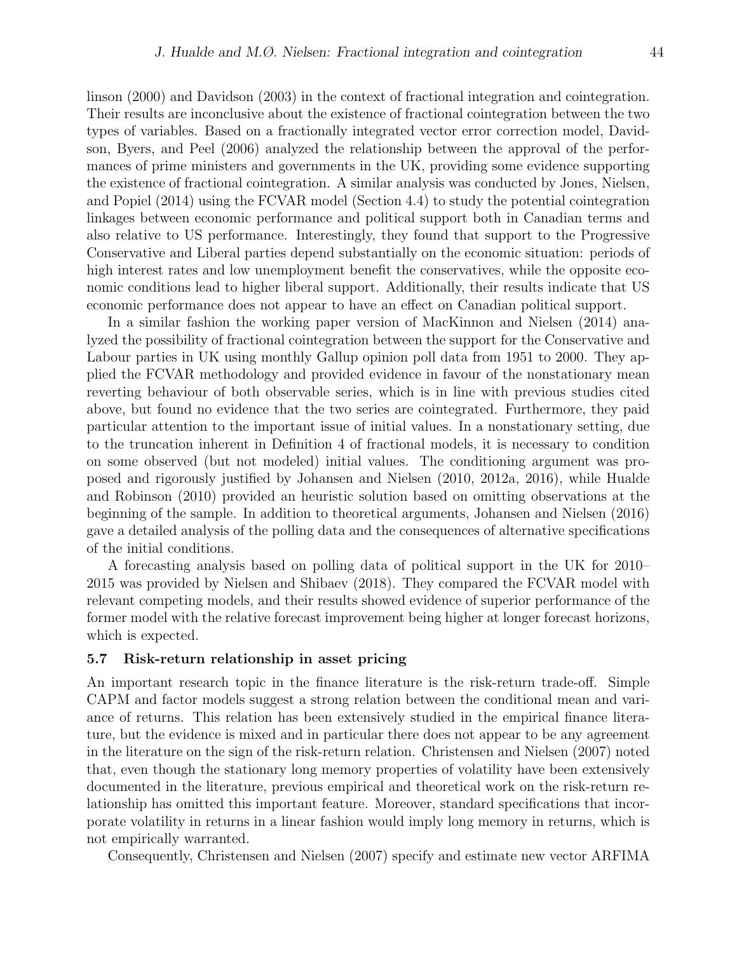linson (2000) and Davidson (2003) in the context of fractional integration and cointegration. Their results are inconclusive about the existence of fractional cointegration between the two types of variables. Based on a fractionally integrated vector error correction model, Davidson, Byers, and Peel (2006) analyzed the relationship between the approval of the performances of prime ministers and governments in the UK, providing some evidence supporting the existence of fractional cointegration. A similar analysis was conducted by Jones, Nielsen, and Popiel (2014) using the FCVAR model (Section 4.4) to study the potential cointegration linkages between economic performance and political support both in Canadian terms and also relative to US performance. Interestingly, they found that support to the Progressive Conservative and Liberal parties depend substantially on the economic situation: periods of high interest rates and low unemployment benefit the conservatives, while the opposite economic conditions lead to higher liberal support. Additionally, their results indicate that US economic performance does not appear to have an effect on Canadian political support.

In a similar fashion the working paper version of MacKinnon and Nielsen (2014) analyzed the possibility of fractional cointegration between the support for the Conservative and Labour parties in UK using monthly Gallup opinion poll data from 1951 to 2000. They applied the FCVAR methodology and provided evidence in favour of the nonstationary mean reverting behaviour of both observable series, which is in line with previous studies cited above, but found no evidence that the two series are cointegrated. Furthermore, they paid particular attention to the important issue of initial values. In a nonstationary setting, due to the truncation inherent in Definition 4 of fractional models, it is necessary to condition on some observed (but not modeled) initial values. The conditioning argument was proposed and rigorously justified by Johansen and Nielsen (2010, 2012a, 2016), while Hualde and Robinson (2010) provided an heuristic solution based on omitting observations at the beginning of the sample. In addition to theoretical arguments, Johansen and Nielsen (2016) gave a detailed analysis of the polling data and the consequences of alternative specifications of the initial conditions.

A forecasting analysis based on polling data of political support in the UK for 2010– 2015 was provided by Nielsen and Shibaev (2018). They compared the FCVAR model with relevant competing models, and their results showed evidence of superior performance of the former model with the relative forecast improvement being higher at longer forecast horizons, which is expected.

#### 5.7 Risk-return relationship in asset pricing

An important research topic in the finance literature is the risk-return trade-off. Simple CAPM and factor models suggest a strong relation between the conditional mean and variance of returns. This relation has been extensively studied in the empirical finance literature, but the evidence is mixed and in particular there does not appear to be any agreement in the literature on the sign of the risk-return relation. Christensen and Nielsen (2007) noted that, even though the stationary long memory properties of volatility have been extensively documented in the literature, previous empirical and theoretical work on the risk-return relationship has omitted this important feature. Moreover, standard specifications that incorporate volatility in returns in a linear fashion would imply long memory in returns, which is not empirically warranted.

Consequently, Christensen and Nielsen (2007) specify and estimate new vector ARFIMA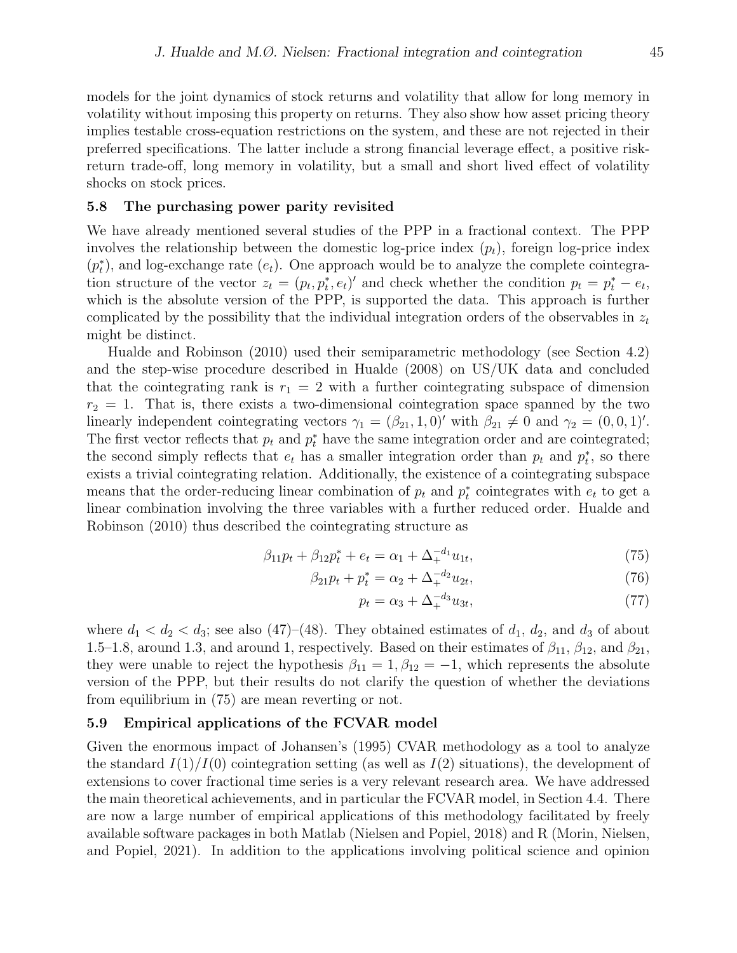models for the joint dynamics of stock returns and volatility that allow for long memory in volatility without imposing this property on returns. They also show how asset pricing theory implies testable cross-equation restrictions on the system, and these are not rejected in their preferred specifications. The latter include a strong financial leverage effect, a positive riskreturn trade-off, long memory in volatility, but a small and short lived effect of volatility shocks on stock prices.

#### 5.8 The purchasing power parity revisited

We have already mentioned several studies of the PPP in a fractional context. The PPP involves the relationship between the domestic log-price index  $(p_t)$ , foreign log-price index  $(p_t^*)$ , and log-exchange rate  $(e_t)$ . One approach would be to analyze the complete cointegration structure of the vector  $z_t = (p_t, p_t^*, e_t)'$  and check whether the condition  $p_t = p_t^* - e_t$ , which is the absolute version of the PPP, is supported the data. This approach is further complicated by the possibility that the individual integration orders of the observables in  $z_t$ might be distinct.

Hualde and Robinson (2010) used their semiparametric methodology (see Section 4.2) and the step-wise procedure described in Hualde (2008) on US/UK data and concluded that the cointegrating rank is  $r_1 = 2$  with a further cointegrating subspace of dimension  $r_2 = 1$ . That is, there exists a two-dimensional cointegration space spanned by the two linearly independent cointegrating vectors  $\gamma_1 = (\beta_{21}, 1, 0)'$  with  $\beta_{21} \neq 0$  and  $\gamma_2 = (0, 0, 1)'$ . The first vector reflects that  $p_t$  and  $p_t^*$  have the same integration order and are cointegrated; the second simply reflects that  $e_t$  has a smaller integration order than  $p_t$  and  $p_t^*$ , so there exists a trivial cointegrating relation. Additionally, the existence of a cointegrating subspace means that the order-reducing linear combination of  $p_t$  and  $p_t^*$  cointegrates with  $e_t$  to get a linear combination involving the three variables with a further reduced order. Hualde and Robinson (2010) thus described the cointegrating structure as

$$
\beta_{11}p_t + \beta_{12}p_t^* + e_t = \alpha_1 + \Delta_+^{-d_1}u_{1t},\tag{75}
$$

$$
\beta_{21}p_t + p_t^* = \alpha_2 + \Delta_+^{-d_2} u_{2t},\tag{76}
$$

$$
p_t = \alpha_3 + \Delta_+^{-d_3} u_{3t},\tag{77}
$$

where  $d_1 < d_2 < d_3$ ; see also (47)–(48). They obtained estimates of  $d_1, d_2$ , and  $d_3$  of about 1.5–1.8, around 1.3, and around 1, respectively. Based on their estimates of  $\beta_{11}$ ,  $\beta_{12}$ , and  $\beta_{21}$ , they were unable to reject the hypothesis  $\beta_{11} = 1, \beta_{12} = -1$ , which represents the absolute version of the PPP, but their results do not clarify the question of whether the deviations from equilibrium in (75) are mean reverting or not.

### 5.9 Empirical applications of the FCVAR model

Given the enormous impact of Johansen's (1995) CVAR methodology as a tool to analyze the standard  $I(1)/I(0)$  cointegration setting (as well as  $I(2)$  situations), the development of extensions to cover fractional time series is a very relevant research area. We have addressed the main theoretical achievements, and in particular the FCVAR model, in Section 4.4. There are now a large number of empirical applications of this methodology facilitated by freely available software packages in both Matlab (Nielsen and Popiel, 2018) and R (Morin, Nielsen, and Popiel, 2021). In addition to the applications involving political science and opinion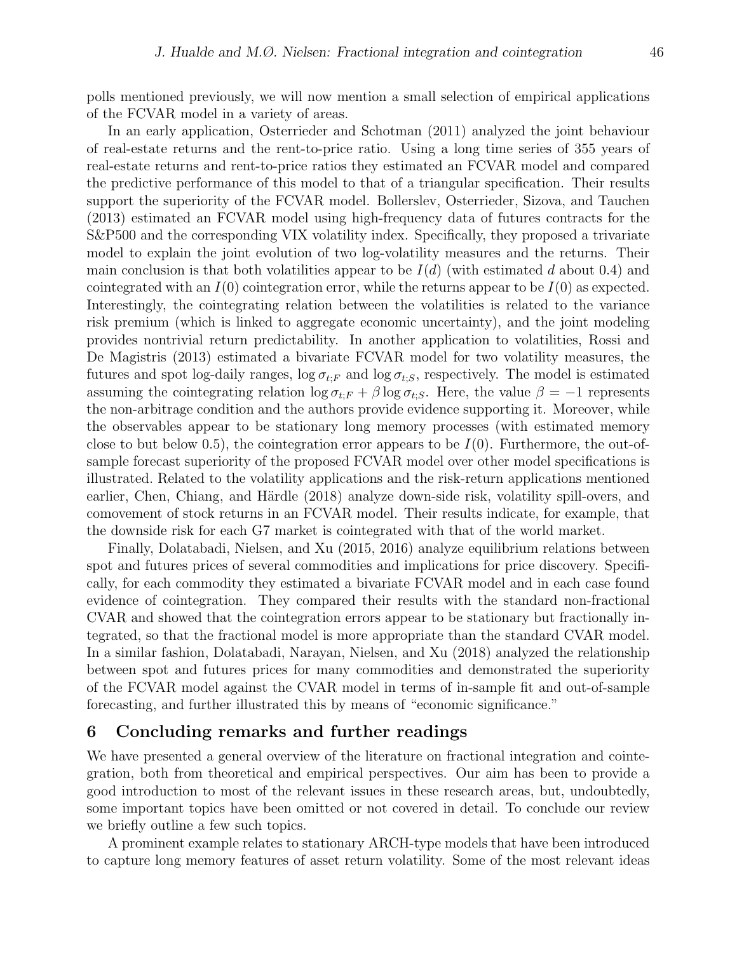polls mentioned previously, we will now mention a small selection of empirical applications of the FCVAR model in a variety of areas.

In an early application, Osterrieder and Schotman (2011) analyzed the joint behaviour of real-estate returns and the rent-to-price ratio. Using a long time series of 355 years of real-estate returns and rent-to-price ratios they estimated an FCVAR model and compared the predictive performance of this model to that of a triangular specification. Their results support the superiority of the FCVAR model. Bollerslev, Osterrieder, Sizova, and Tauchen (2013) estimated an FCVAR model using high-frequency data of futures contracts for the S&P500 and the corresponding VIX volatility index. Specifically, they proposed a trivariate model to explain the joint evolution of two log-volatility measures and the returns. Their main conclusion is that both volatilities appear to be  $I(d)$  (with estimated d about 0.4) and cointegrated with an  $I(0)$  cointegration error, while the returns appear to be  $I(0)$  as expected. Interestingly, the cointegrating relation between the volatilities is related to the variance risk premium (which is linked to aggregate economic uncertainty), and the joint modeling provides nontrivial return predictability. In another application to volatilities, Rossi and De Magistris (2013) estimated a bivariate FCVAR model for two volatility measures, the futures and spot log-daily ranges,  $\log \sigma_{t,F}$  and  $\log \sigma_{t,S}$ , respectively. The model is estimated assuming the cointegrating relation  $\log \sigma_{t,F} + \beta \log \sigma_{t,S}$ . Here, the value  $\beta = -1$  represents the non-arbitrage condition and the authors provide evidence supporting it. Moreover, while the observables appear to be stationary long memory processes (with estimated memory close to but below 0.5), the cointegration error appears to be  $I(0)$ . Furthermore, the out-ofsample forecast superiority of the proposed FCVAR model over other model specifications is illustrated. Related to the volatility applications and the risk-return applications mentioned earlier, Chen, Chiang, and Härdle (2018) analyze down-side risk, volatility spill-overs, and comovement of stock returns in an FCVAR model. Their results indicate, for example, that the downside risk for each G7 market is cointegrated with that of the world market.

Finally, Dolatabadi, Nielsen, and Xu (2015, 2016) analyze equilibrium relations between spot and futures prices of several commodities and implications for price discovery. Specifically, for each commodity they estimated a bivariate FCVAR model and in each case found evidence of cointegration. They compared their results with the standard non-fractional CVAR and showed that the cointegration errors appear to be stationary but fractionally integrated, so that the fractional model is more appropriate than the standard CVAR model. In a similar fashion, Dolatabadi, Narayan, Nielsen, and Xu (2018) analyzed the relationship between spot and futures prices for many commodities and demonstrated the superiority of the FCVAR model against the CVAR model in terms of in-sample fit and out-of-sample forecasting, and further illustrated this by means of "economic significance."

## 6 Concluding remarks and further readings

We have presented a general overview of the literature on fractional integration and cointegration, both from theoretical and empirical perspectives. Our aim has been to provide a good introduction to most of the relevant issues in these research areas, but, undoubtedly, some important topics have been omitted or not covered in detail. To conclude our review we briefly outline a few such topics.

A prominent example relates to stationary ARCH-type models that have been introduced to capture long memory features of asset return volatility. Some of the most relevant ideas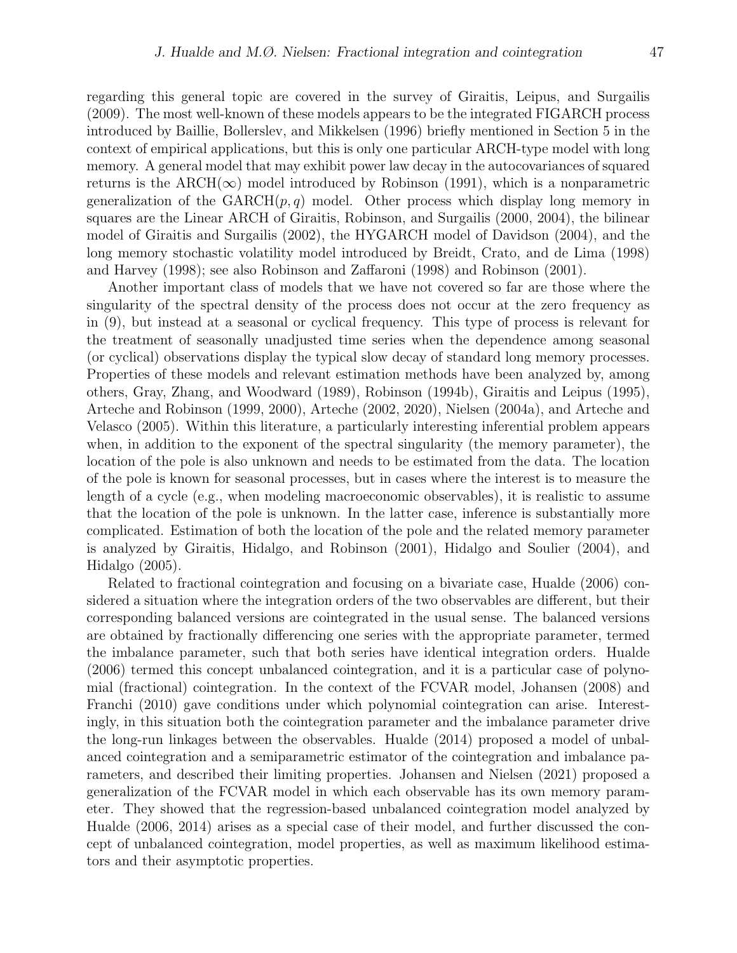regarding this general topic are covered in the survey of Giraitis, Leipus, and Surgailis (2009). The most well-known of these models appears to be the integrated FIGARCH process introduced by Baillie, Bollerslev, and Mikkelsen (1996) briefly mentioned in Section 5 in the context of empirical applications, but this is only one particular ARCH-type model with long memory. A general model that may exhibit power law decay in the autocovariances of squared returns is the ARCH( $\infty$ ) model introduced by Robinson (1991), which is a nonparametric generalization of the  $GARCH(p,q)$  model. Other process which display long memory in squares are the Linear ARCH of Giraitis, Robinson, and Surgailis (2000, 2004), the bilinear model of Giraitis and Surgailis (2002), the HYGARCH model of Davidson (2004), and the long memory stochastic volatility model introduced by Breidt, Crato, and de Lima (1998) and Harvey (1998); see also Robinson and Zaffaroni (1998) and Robinson (2001).

Another important class of models that we have not covered so far are those where the singularity of the spectral density of the process does not occur at the zero frequency as in (9), but instead at a seasonal or cyclical frequency. This type of process is relevant for the treatment of seasonally unadjusted time series when the dependence among seasonal (or cyclical) observations display the typical slow decay of standard long memory processes. Properties of these models and relevant estimation methods have been analyzed by, among others, Gray, Zhang, and Woodward (1989), Robinson (1994b), Giraitis and Leipus (1995), Arteche and Robinson (1999, 2000), Arteche (2002, 2020), Nielsen (2004a), and Arteche and Velasco (2005). Within this literature, a particularly interesting inferential problem appears when, in addition to the exponent of the spectral singularity (the memory parameter), the location of the pole is also unknown and needs to be estimated from the data. The location of the pole is known for seasonal processes, but in cases where the interest is to measure the length of a cycle (e.g., when modeling macroeconomic observables), it is realistic to assume that the location of the pole is unknown. In the latter case, inference is substantially more complicated. Estimation of both the location of the pole and the related memory parameter is analyzed by Giraitis, Hidalgo, and Robinson (2001), Hidalgo and Soulier (2004), and Hidalgo (2005).

Related to fractional cointegration and focusing on a bivariate case, Hualde (2006) considered a situation where the integration orders of the two observables are different, but their corresponding balanced versions are cointegrated in the usual sense. The balanced versions are obtained by fractionally differencing one series with the appropriate parameter, termed the imbalance parameter, such that both series have identical integration orders. Hualde (2006) termed this concept unbalanced cointegration, and it is a particular case of polynomial (fractional) cointegration. In the context of the FCVAR model, Johansen (2008) and Franchi (2010) gave conditions under which polynomial cointegration can arise. Interestingly, in this situation both the cointegration parameter and the imbalance parameter drive the long-run linkages between the observables. Hualde (2014) proposed a model of unbalanced cointegration and a semiparametric estimator of the cointegration and imbalance parameters, and described their limiting properties. Johansen and Nielsen (2021) proposed a generalization of the FCVAR model in which each observable has its own memory parameter. They showed that the regression-based unbalanced cointegration model analyzed by Hualde (2006, 2014) arises as a special case of their model, and further discussed the concept of unbalanced cointegration, model properties, as well as maximum likelihood estimators and their asymptotic properties.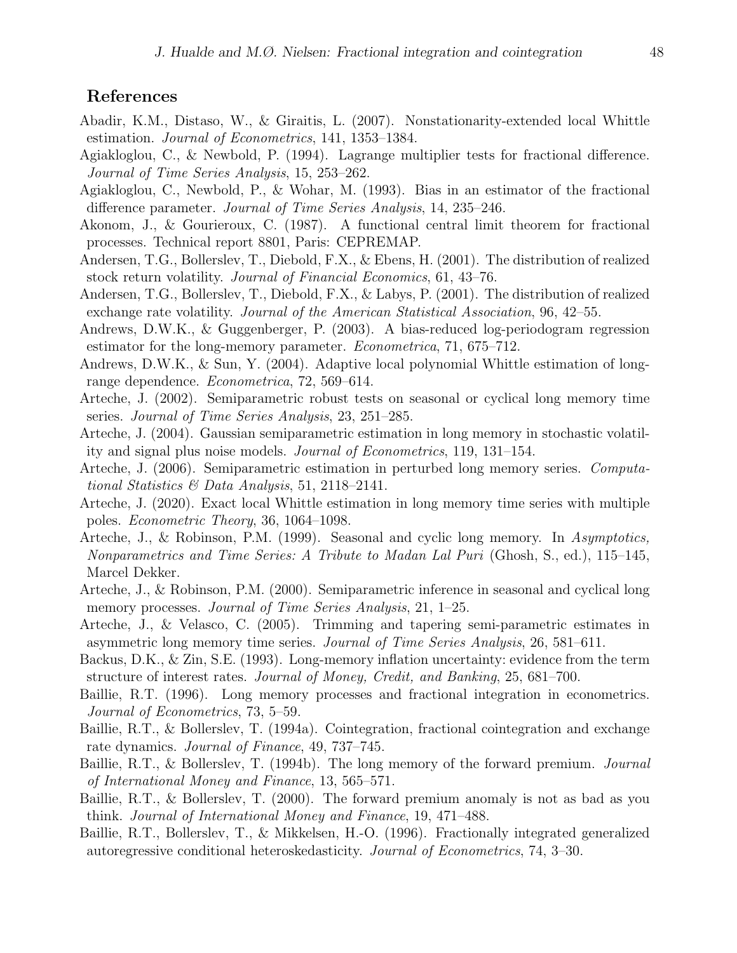# References

- Abadir, K.M., Distaso, W., & Giraitis, L. (2007). Nonstationarity-extended local Whittle estimation. Journal of Econometrics, 141, 1353–1384.
- Agiakloglou, C., & Newbold, P. (1994). Lagrange multiplier tests for fractional difference. Journal of Time Series Analysis, 15, 253–262.
- Agiakloglou, C., Newbold, P., & Wohar, M. (1993). Bias in an estimator of the fractional difference parameter. Journal of Time Series Analysis, 14, 235–246.
- Akonom, J., & Gourieroux, C. (1987). A functional central limit theorem for fractional processes. Technical report 8801, Paris: CEPREMAP.
- Andersen, T.G., Bollerslev, T., Diebold, F.X., & Ebens, H. (2001). The distribution of realized stock return volatility. Journal of Financial Economics, 61, 43–76.
- Andersen, T.G., Bollerslev, T., Diebold, F.X., & Labys, P. (2001). The distribution of realized exchange rate volatility. Journal of the American Statistical Association, 96, 42–55.
- Andrews, D.W.K., & Guggenberger, P. (2003). A bias-reduced log-periodogram regression estimator for the long-memory parameter. Econometrica, 71, 675–712.
- Andrews, D.W.K., & Sun, Y. (2004). Adaptive local polynomial Whittle estimation of longrange dependence. Econometrica, 72, 569–614.
- Arteche, J. (2002). Semiparametric robust tests on seasonal or cyclical long memory time series. Journal of Time Series Analysis, 23, 251–285.
- Arteche, J. (2004). Gaussian semiparametric estimation in long memory in stochastic volatility and signal plus noise models. Journal of Econometrics, 119, 131–154.
- Arteche, J. (2006). Semiparametric estimation in perturbed long memory series. Computational Statistics & Data Analysis, 51, 2118–2141.
- Arteche, J. (2020). Exact local Whittle estimation in long memory time series with multiple poles. Econometric Theory, 36, 1064–1098.
- Arteche, J., & Robinson, P.M. (1999). Seasonal and cyclic long memory. In Asymptotics, Nonparametrics and Time Series: A Tribute to Madan Lal Puri (Ghosh, S., ed.), 115–145, Marcel Dekker.
- Arteche, J., & Robinson, P.M. (2000). Semiparametric inference in seasonal and cyclical long memory processes. *Journal of Time Series Analysis*, 21, 1–25.
- Arteche, J., & Velasco, C. (2005). Trimming and tapering semi-parametric estimates in asymmetric long memory time series. Journal of Time Series Analysis, 26, 581–611.
- Backus, D.K., & Zin, S.E. (1993). Long-memory inflation uncertainty: evidence from the term structure of interest rates. Journal of Money, Credit, and Banking, 25, 681–700.
- Baillie, R.T. (1996). Long memory processes and fractional integration in econometrics. Journal of Econometrics, 73, 5–59.
- Baillie, R.T., & Bollerslev, T. (1994a). Cointegration, fractional cointegration and exchange rate dynamics. Journal of Finance, 49, 737–745.
- Baillie, R.T., & Bollerslev, T. (1994b). The long memory of the forward premium. Journal of International Money and Finance, 13, 565–571.
- Baillie, R.T., & Bollerslev, T. (2000). The forward premium anomaly is not as bad as you think. Journal of International Money and Finance, 19, 471–488.
- Baillie, R.T., Bollerslev, T., & Mikkelsen, H.-O. (1996). Fractionally integrated generalized autoregressive conditional heteroskedasticity. Journal of Econometrics, 74, 3–30.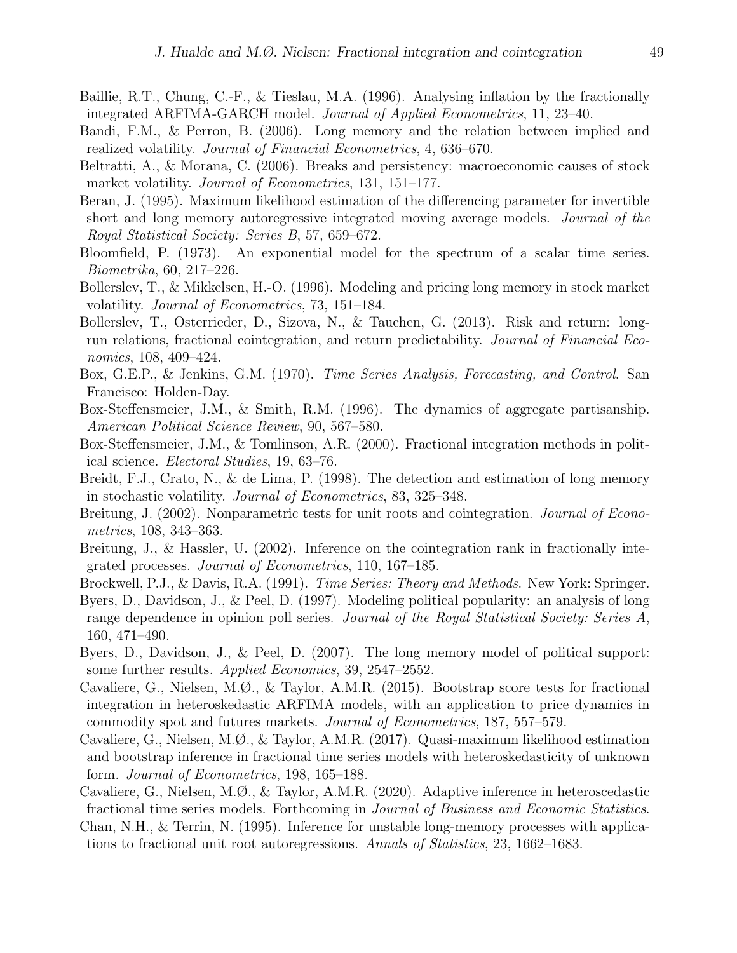- Baillie, R.T., Chung, C.-F., & Tieslau, M.A. (1996). Analysing inflation by the fractionally integrated ARFIMA-GARCH model. Journal of Applied Econometrics, 11, 23–40.
- Bandi, F.M., & Perron, B. (2006). Long memory and the relation between implied and realized volatility. Journal of Financial Econometrics, 4, 636–670.
- Beltratti, A., & Morana, C. (2006). Breaks and persistency: macroeconomic causes of stock market volatility. *Journal of Econometrics*, 131, 151–177.
- Beran, J. (1995). Maximum likelihood estimation of the differencing parameter for invertible short and long memory autoregressive integrated moving average models. Journal of the Royal Statistical Society: Series B, 57, 659–672.
- Bloomfield, P. (1973). An exponential model for the spectrum of a scalar time series. Biometrika, 60, 217–226.
- Bollerslev, T., & Mikkelsen, H.-O. (1996). Modeling and pricing long memory in stock market volatility. Journal of Econometrics, 73, 151–184.
- Bollerslev, T., Osterrieder, D., Sizova, N., & Tauchen, G. (2013). Risk and return: longrun relations, fractional cointegration, and return predictability. Journal of Financial Economics, 108, 409–424.
- Box, G.E.P., & Jenkins, G.M. (1970). *Time Series Analysis, Forecasting, and Control.* San Francisco: Holden-Day.
- Box-Steffensmeier, J.M., & Smith, R.M. (1996). The dynamics of aggregate partisanship. American Political Science Review, 90, 567–580.
- Box-Steffensmeier, J.M., & Tomlinson, A.R. (2000). Fractional integration methods in political science. Electoral Studies, 19, 63–76.
- Breidt, F.J., Crato, N., & de Lima, P. (1998). The detection and estimation of long memory in stochastic volatility. Journal of Econometrics, 83, 325–348.
- Breitung, J. (2002). Nonparametric tests for unit roots and cointegration. *Journal of Econo*metrics, 108, 343–363.
- Breitung, J., & Hassler, U. (2002). Inference on the cointegration rank in fractionally integrated processes. Journal of Econometrics, 110, 167–185.
- Brockwell, P.J., & Davis, R.A. (1991). Time Series: Theory and Methods. New York: Springer.
- Byers, D., Davidson, J., & Peel, D. (1997). Modeling political popularity: an analysis of long range dependence in opinion poll series. Journal of the Royal Statistical Society: Series A, 160, 471–490.
- Byers, D., Davidson, J., & Peel, D. (2007). The long memory model of political support: some further results. Applied Economics, 39, 2547–2552.
- Cavaliere, G., Nielsen, M.Ø., & Taylor, A.M.R. (2015). Bootstrap score tests for fractional integration in heteroskedastic ARFIMA models, with an application to price dynamics in commodity spot and futures markets. Journal of Econometrics, 187, 557–579.
- Cavaliere, G., Nielsen, M.Ø., & Taylor, A.M.R. (2017). Quasi-maximum likelihood estimation and bootstrap inference in fractional time series models with heteroskedasticity of unknown form. Journal of Econometrics, 198, 165–188.
- Cavaliere, G., Nielsen, M.Ø., & Taylor, A.M.R. (2020). Adaptive inference in heteroscedastic fractional time series models. Forthcoming in Journal of Business and Economic Statistics.
- Chan, N.H., & Terrin, N. (1995). Inference for unstable long-memory processes with applications to fractional unit root autoregressions. Annals of Statistics, 23, 1662–1683.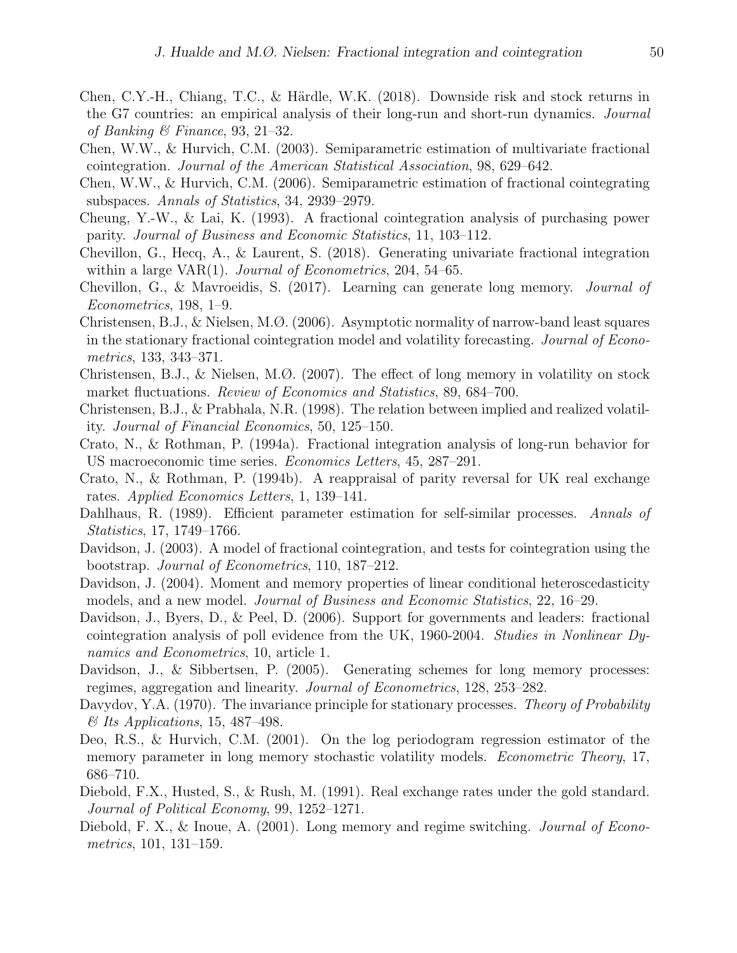- Chen, C.Y.-H., Chiang, T.C., & Härdle, W.K. (2018). Downside risk and stock returns in the G7 countries: an empirical analysis of their long-run and short-run dynamics. Journal of Banking & Finance, 93, 21–32.
- Chen, W.W., & Hurvich, C.M. (2003). Semiparametric estimation of multivariate fractional cointegration. Journal of the American Statistical Association, 98, 629–642.
- Chen, W.W., & Hurvich, C.M. (2006). Semiparametric estimation of fractional cointegrating subspaces. Annals of Statistics, 34, 2939–2979.
- Cheung, Y.-W., & Lai, K. (1993). A fractional cointegration analysis of purchasing power parity. Journal of Business and Economic Statistics, 11, 103–112.
- Chevillon, G., Hecq, A., & Laurent, S. (2018). Generating univariate fractional integration within a large VAR $(1)$ . Journal of Econometrics, 204, 54–65.
- Chevillon, G., & Mavroeidis, S. (2017). Learning can generate long memory. Journal of Econometrics, 198, 1–9.
- Christensen, B.J., & Nielsen, M.Ø. (2006). Asymptotic normality of narrow-band least squares in the stationary fractional cointegration model and volatility forecasting. Journal of Econometrics, 133, 343–371.
- Christensen, B.J., & Nielsen, M.Ø. (2007). The effect of long memory in volatility on stock market fluctuations. Review of Economics and Statistics, 89, 684–700.
- Christensen, B.J., & Prabhala, N.R. (1998). The relation between implied and realized volatility. Journal of Financial Economics, 50, 125–150.
- Crato, N., & Rothman, P. (1994a). Fractional integration analysis of long-run behavior for US macroeconomic time series. Economics Letters, 45, 287–291.
- Crato, N., & Rothman, P. (1994b). A reappraisal of parity reversal for UK real exchange rates. Applied Economics Letters, 1, 139–141.
- Dahlhaus, R. (1989). Efficient parameter estimation for self-similar processes. Annals of Statistics, 17, 1749–1766.
- Davidson, J. (2003). A model of fractional cointegration, and tests for cointegration using the bootstrap. Journal of Econometrics, 110, 187–212.
- Davidson, J. (2004). Moment and memory properties of linear conditional heteroscedasticity models, and a new model. Journal of Business and Economic Statistics, 22, 16–29.
- Davidson, J., Byers, D., & Peel, D. (2006). Support for governments and leaders: fractional cointegration analysis of poll evidence from the UK, 1960-2004. Studies in Nonlinear Dynamics and Econometrics, 10, article 1.
- Davidson, J., & Sibbertsen, P. (2005). Generating schemes for long memory processes: regimes, aggregation and linearity. Journal of Econometrics, 128, 253–282.
- Davydov, Y.A. (1970). The invariance principle for stationary processes. *Theory of Probability*  $\mathcal{B}$  Its Applications, 15, 487-498.
- Deo, R.S., & Hurvich, C.M. (2001). On the log periodogram regression estimator of the memory parameter in long memory stochastic volatility models. *Econometric Theory*, 17, 686–710.
- Diebold, F.X., Husted, S., & Rush, M. (1991). Real exchange rates under the gold standard. Journal of Political Economy, 99, 1252–1271.
- Diebold, F. X., & Inoue, A. (2001). Long memory and regime switching. *Journal of Econo*metrics, 101, 131–159.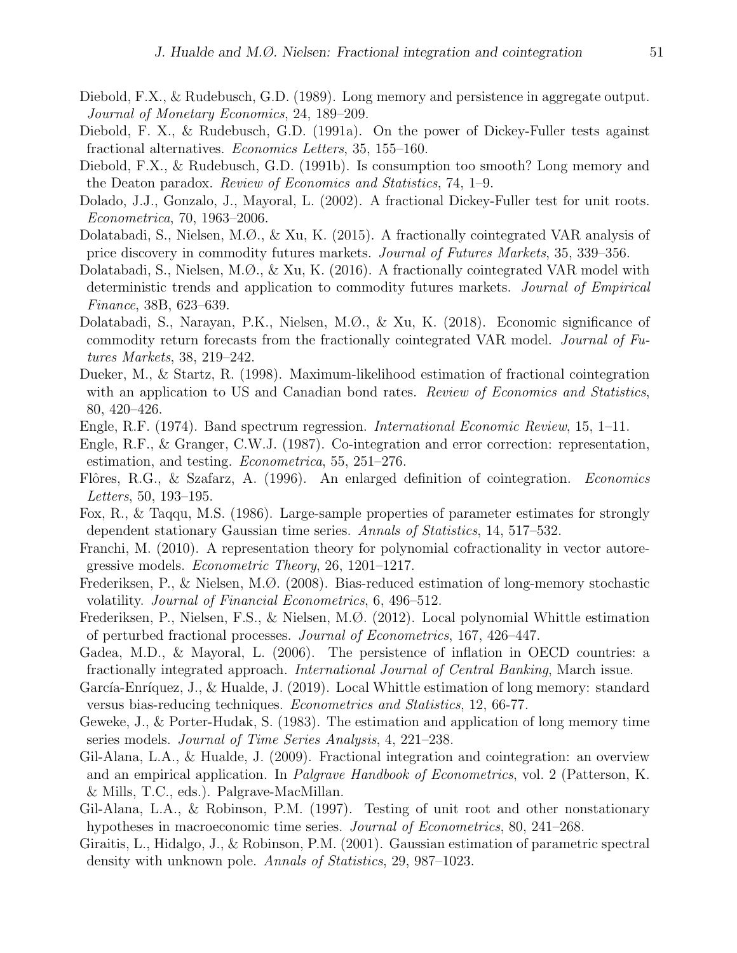- Diebold, F.X., & Rudebusch, G.D. (1989). Long memory and persistence in aggregate output. Journal of Monetary Economics, 24, 189–209.
- Diebold, F. X., & Rudebusch, G.D. (1991a). On the power of Dickey-Fuller tests against fractional alternatives. Economics Letters, 35, 155–160.
- Diebold, F.X., & Rudebusch, G.D. (1991b). Is consumption too smooth? Long memory and the Deaton paradox. Review of Economics and Statistics, 74, 1–9.
- Dolado, J.J., Gonzalo, J., Mayoral, L. (2002). A fractional Dickey-Fuller test for unit roots. Econometrica, 70, 1963–2006.
- Dolatabadi, S., Nielsen, M.Ø., & Xu, K. (2015). A fractionally cointegrated VAR analysis of price discovery in commodity futures markets. Journal of Futures Markets, 35, 339–356.
- Dolatabadi, S., Nielsen, M.Ø., & Xu, K. (2016). A fractionally cointegrated VAR model with deterministic trends and application to commodity futures markets. Journal of Empirical Finance, 38B, 623–639.
- Dolatabadi, S., Narayan, P.K., Nielsen, M.Ø., & Xu, K. (2018). Economic significance of commodity return forecasts from the fractionally cointegrated VAR model. Journal of Futures Markets, 38, 219–242.
- Dueker, M., & Startz, R. (1998). Maximum-likelihood estimation of fractional cointegration with an application to US and Canadian bond rates. Review of Economics and Statistics, 80, 420–426.
- Engle, R.F. (1974). Band spectrum regression. International Economic Review, 15, 1–11.
- Engle, R.F., & Granger, C.W.J. (1987). Co-integration and error correction: representation, estimation, and testing. Econometrica, 55, 251–276.
- Flôres, R.G., & Szafarz, A. (1996). An enlarged definition of cointegration. *Economics* Letters, 50, 193–195.
- Fox, R., & Taqqu, M.S. (1986). Large-sample properties of parameter estimates for strongly dependent stationary Gaussian time series. Annals of Statistics, 14, 517–532.
- Franchi, M. (2010). A representation theory for polynomial cofractionality in vector autoregressive models. Econometric Theory, 26, 1201–1217.
- Frederiksen, P., & Nielsen, M.Ø. (2008). Bias-reduced estimation of long-memory stochastic volatility. Journal of Financial Econometrics, 6, 496–512.
- Frederiksen, P., Nielsen, F.S., & Nielsen, M.Ø. (2012). Local polynomial Whittle estimation of perturbed fractional processes. Journal of Econometrics, 167, 426–447.
- Gadea, M.D., & Mayoral, L. (2006). The persistence of inflation in OECD countries: a fractionally integrated approach. International Journal of Central Banking, March issue.
- García-Enríquez, J., & Hualde, J. (2019). Local Whittle estimation of long memory: standard versus bias-reducing techniques. Econometrics and Statistics, 12, 66-77.
- Geweke, J., & Porter-Hudak, S. (1983). The estimation and application of long memory time series models. Journal of Time Series Analysis, 4, 221–238.
- Gil-Alana, L.A., & Hualde, J. (2009). Fractional integration and cointegration: an overview and an empirical application. In Palgrave Handbook of Econometrics, vol. 2 (Patterson, K. & Mills, T.C., eds.). Palgrave-MacMillan.
- Gil-Alana, L.A., & Robinson, P.M. (1997). Testing of unit root and other nonstationary hypotheses in macroeconomic time series. Journal of Econometrics, 80, 241–268.
- Giraitis, L., Hidalgo, J., & Robinson, P.M. (2001). Gaussian estimation of parametric spectral density with unknown pole. Annals of Statistics, 29, 987–1023.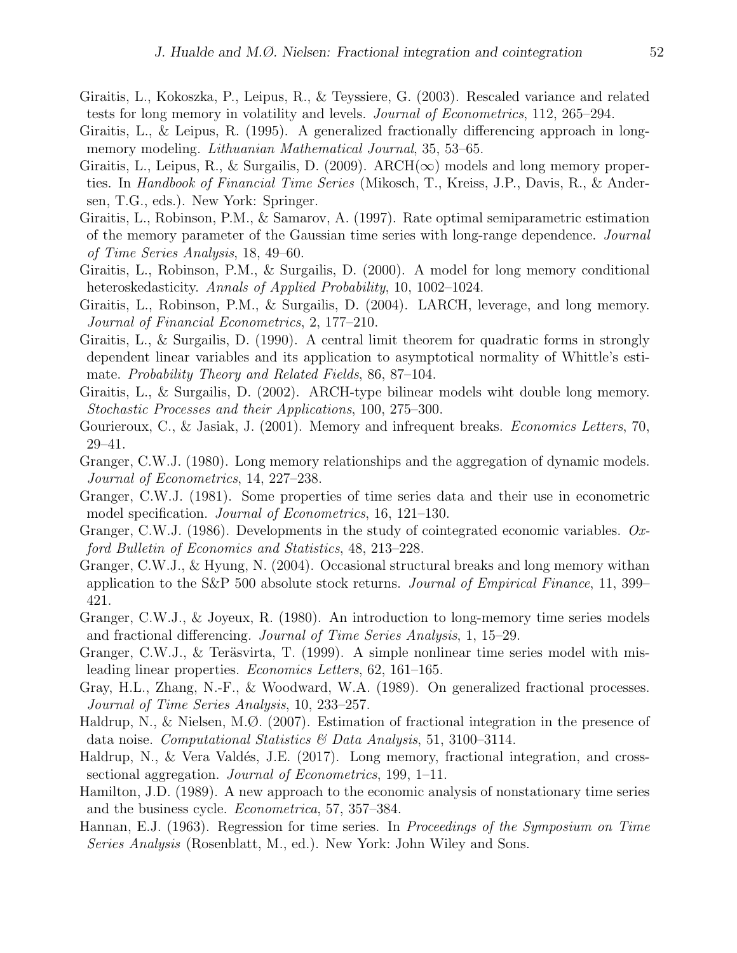- Giraitis, L., Kokoszka, P., Leipus, R., & Teyssiere, G. (2003). Rescaled variance and related tests for long memory in volatility and levels. Journal of Econometrics, 112, 265–294.
- Giraitis, L., & Leipus, R. (1995). A generalized fractionally differencing approach in longmemory modeling. *Lithuanian Mathematical Journal*, 35, 53–65.
- Giraitis, L., Leipus, R., & Surgailis, D. (2009). ARCH( $\infty$ ) models and long memory properties. In *Handbook of Financial Time Series* (Mikosch, T., Kreiss, J.P., Davis, R., & Andersen, T.G., eds.). New York: Springer.
- Giraitis, L., Robinson, P.M., & Samarov, A. (1997). Rate optimal semiparametric estimation of the memory parameter of the Gaussian time series with long-range dependence. Journal of Time Series Analysis, 18, 49–60.
- Giraitis, L., Robinson, P.M., & Surgailis, D. (2000). A model for long memory conditional heteroskedasticity. Annals of Applied Probability, 10, 1002–1024.
- Giraitis, L., Robinson, P.M., & Surgailis, D. (2004). LARCH, leverage, and long memory. Journal of Financial Econometrics, 2, 177–210.
- Giraitis, L., & Surgailis, D. (1990). A central limit theorem for quadratic forms in strongly dependent linear variables and its application to asymptotical normality of Whittle's estimate. Probability Theory and Related Fields, 86, 87–104.
- Giraitis, L., & Surgailis, D. (2002). ARCH-type bilinear models wiht double long memory. Stochastic Processes and their Applications, 100, 275–300.
- Gourieroux, C., & Jasiak, J. (2001). Memory and infrequent breaks. *Economics Letters*, 70, 29–41.
- Granger, C.W.J. (1980). Long memory relationships and the aggregation of dynamic models. Journal of Econometrics, 14, 227–238.
- Granger, C.W.J. (1981). Some properties of time series data and their use in econometric model specification. Journal of Econometrics, 16, 121–130.
- Granger, C.W.J. (1986). Developments in the study of cointegrated economic variables. Oxford Bulletin of Economics and Statistics, 48, 213–228.
- Granger, C.W.J., & Hyung, N. (2004). Occasional structural breaks and long memory withan application to the S&P 500 absolute stock returns. Journal of Empirical Finance, 11, 399– 421.
- Granger, C.W.J., & Joyeux, R. (1980). An introduction to long-memory time series models and fractional differencing. Journal of Time Series Analysis, 1, 15–29.
- Granger, C.W.J.,  $\&$  Teräsvirta, T. (1999). A simple nonlinear time series model with misleading linear properties. Economics Letters, 62, 161–165.
- Gray, H.L., Zhang, N.-F., & Woodward, W.A. (1989). On generalized fractional processes. Journal of Time Series Analysis, 10, 233–257.
- Haldrup, N., & Nielsen, M.Ø. (2007). Estimation of fractional integration in the presence of data noise. Computational Statistics & Data Analysis, 51, 3100–3114.
- Haldrup, N., & Vera Valdés, J.E.  $(2017)$ . Long memory, fractional integration, and crosssectional aggregation. *Journal of Econometrics*, 199, 1–11.
- Hamilton, J.D. (1989). A new approach to the economic analysis of nonstationary time series and the business cycle. Econometrica, 57, 357–384.
- Hannan, E.J. (1963). Regression for time series. In Proceedings of the Symposium on Time Series Analysis (Rosenblatt, M., ed.). New York: John Wiley and Sons.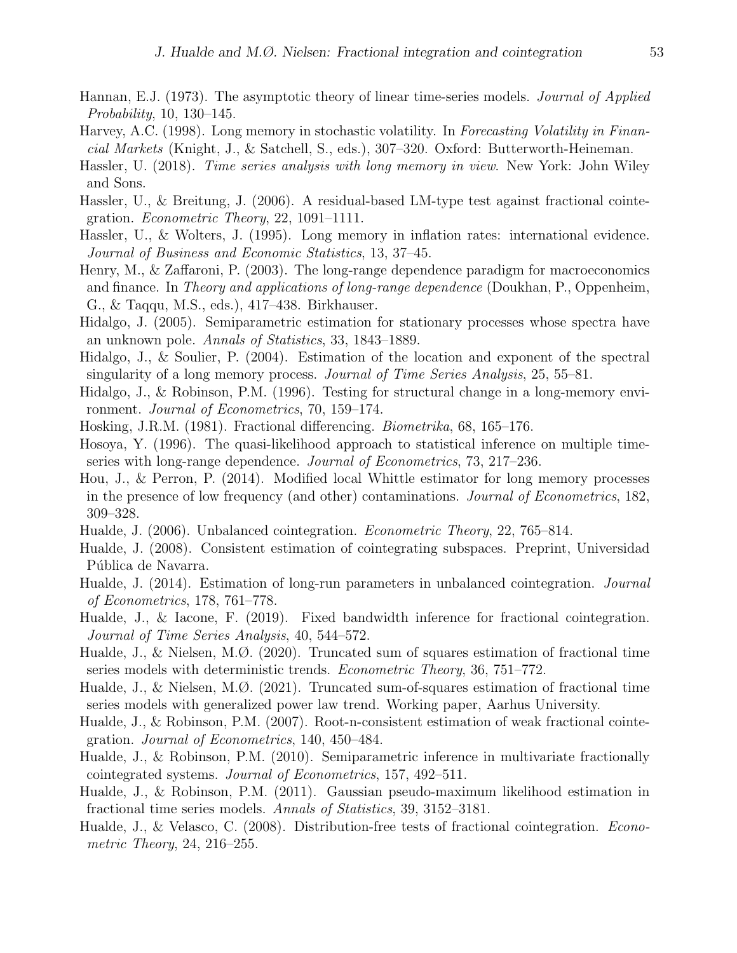- Hannan, E.J. (1973). The asymptotic theory of linear time-series models. *Journal of Applied* Probability, 10, 130–145.
- Harvey, A.C. (1998). Long memory in stochastic volatility. In Forecasting Volatility in Financial Markets (Knight, J., & Satchell, S., eds.), 307–320. Oxford: Butterworth-Heineman.
- Hassler, U. (2018). Time series analysis with long memory in view. New York: John Wiley and Sons.
- Hassler, U., & Breitung, J. (2006). A residual-based LM-type test against fractional cointegration. Econometric Theory, 22, 1091–1111.
- Hassler, U., & Wolters, J. (1995). Long memory in inflation rates: international evidence. Journal of Business and Economic Statistics, 13, 37–45.
- Henry, M., & Zaffaroni, P. (2003). The long-range dependence paradigm for macroeconomics and finance. In Theory and applications of long-range dependence (Doukhan, P., Oppenheim, G., & Taqqu, M.S., eds.), 417–438. Birkhauser.
- Hidalgo, J. (2005). Semiparametric estimation for stationary processes whose spectra have an unknown pole. Annals of Statistics, 33, 1843–1889.
- Hidalgo, J., & Soulier, P. (2004). Estimation of the location and exponent of the spectral singularity of a long memory process. Journal of Time Series Analysis, 25, 55–81.
- Hidalgo, J., & Robinson, P.M. (1996). Testing for structural change in a long-memory environment. Journal of Econometrics, 70, 159–174.
- Hosking, J.R.M. (1981). Fractional differencing. Biometrika, 68, 165–176.
- Hosoya, Y. (1996). The quasi-likelihood approach to statistical inference on multiple timeseries with long-range dependence. Journal of Econometrics, 73, 217–236.
- Hou, J., & Perron, P. (2014). Modified local Whittle estimator for long memory processes in the presence of low frequency (and other) contaminations. Journal of Econometrics, 182, 309–328.
- Hualde, J. (2006). Unbalanced cointegration. Econometric Theory, 22, 765–814.
- Hualde, J. (2008). Consistent estimation of cointegrating subspaces. Preprint, Universidad Pública de Navarra.
- Hualde, J. (2014). Estimation of long-run parameters in unbalanced cointegration. Journal of Econometrics, 178, 761–778.
- Hualde, J., & Iacone, F. (2019). Fixed bandwidth inference for fractional cointegration. Journal of Time Series Analysis, 40, 544–572.
- Hualde, J., & Nielsen, M.Ø. (2020). Truncated sum of squares estimation of fractional time series models with deterministic trends. Econometric Theory, 36, 751–772.
- Hualde, J., & Nielsen, M.Ø. (2021). Truncated sum-of-squares estimation of fractional time series models with generalized power law trend. Working paper, Aarhus University.
- Hualde, J., & Robinson, P.M. (2007). Root-n-consistent estimation of weak fractional cointegration. Journal of Econometrics, 140, 450–484.
- Hualde, J., & Robinson, P.M. (2010). Semiparametric inference in multivariate fractionally cointegrated systems. Journal of Econometrics, 157, 492–511.
- Hualde, J., & Robinson, P.M. (2011). Gaussian pseudo-maximum likelihood estimation in fractional time series models. Annals of Statistics, 39, 3152–3181.
- Hualde, J., & Velasco, C. (2008). Distribution-free tests of fractional cointegration. *Econo*metric Theory, 24, 216–255.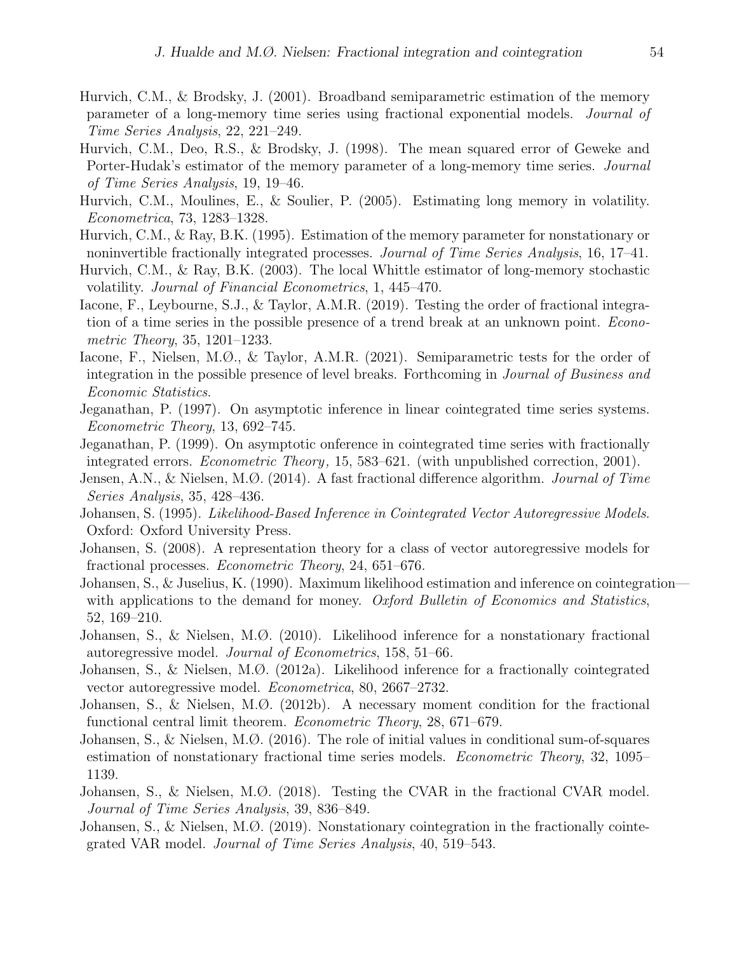- Hurvich, C.M., & Brodsky, J. (2001). Broadband semiparametric estimation of the memory parameter of a long-memory time series using fractional exponential models. Journal of Time Series Analysis, 22, 221–249.
- Hurvich, C.M., Deo, R.S., & Brodsky, J. (1998). The mean squared error of Geweke and Porter-Hudak's estimator of the memory parameter of a long-memory time series. Journal of Time Series Analysis, 19, 19–46.
- Hurvich, C.M., Moulines, E., & Soulier, P. (2005). Estimating long memory in volatility. Econometrica, 73, 1283–1328.
- Hurvich, C.M., & Ray, B.K. (1995). Estimation of the memory parameter for nonstationary or noninvertible fractionally integrated processes. Journal of Time Series Analysis, 16, 17–41.
- Hurvich, C.M., & Ray, B.K. (2003). The local Whittle estimator of long-memory stochastic volatility. Journal of Financial Econometrics, 1, 445–470.
- Iacone, F., Leybourne, S.J., & Taylor, A.M.R. (2019). Testing the order of fractional integration of a time series in the possible presence of a trend break at an unknown point. Econometric Theory, 35, 1201–1233.
- Iacone, F., Nielsen, M.Ø., & Taylor, A.M.R. (2021). Semiparametric tests for the order of integration in the possible presence of level breaks. Forthcoming in Journal of Business and Economic Statistics.
- Jeganathan, P. (1997). On asymptotic inference in linear cointegrated time series systems. Econometric Theory, 13, 692–745.
- Jeganathan, P. (1999). On asymptotic onference in cointegrated time series with fractionally integrated errors. *Econometric Theory*, 15, 583–621. (with unpublished correction, 2001).
- Jensen, A.N., & Nielsen, M.Ø. (2014). A fast fractional difference algorithm. *Journal of Time* Series Analysis, 35, 428–436.
- Johansen, S. (1995). Likelihood-Based Inference in Cointegrated Vector Autoregressive Models. Oxford: Oxford University Press.
- Johansen, S. (2008). A representation theory for a class of vector autoregressive models for fractional processes. Econometric Theory, 24, 651–676.
- Johansen, S., & Juselius, K. (1990). Maximum likelihood estimation and inference on cointegration with applications to the demand for money. Oxford Bulletin of Economics and Statistics, 52, 169–210.
- Johansen, S., & Nielsen, M.Ø. (2010). Likelihood inference for a nonstationary fractional autoregressive model. Journal of Econometrics, 158, 51–66.
- Johansen, S., & Nielsen, M.Ø. (2012a). Likelihood inference for a fractionally cointegrated vector autoregressive model. Econometrica, 80, 2667–2732.
- Johansen, S., & Nielsen, M.Ø. (2012b). A necessary moment condition for the fractional functional central limit theorem. Econometric Theory, 28, 671–679.
- Johansen, S., & Nielsen, M.Ø. (2016). The role of initial values in conditional sum-of-squares estimation of nonstationary fractional time series models. *Econometric Theory*, 32, 1095– 1139.
- Johansen, S., & Nielsen, M.Ø. (2018). Testing the CVAR in the fractional CVAR model. Journal of Time Series Analysis, 39, 836–849.
- Johansen, S., & Nielsen, M.Ø. (2019). Nonstationary cointegration in the fractionally cointegrated VAR model. Journal of Time Series Analysis, 40, 519–543.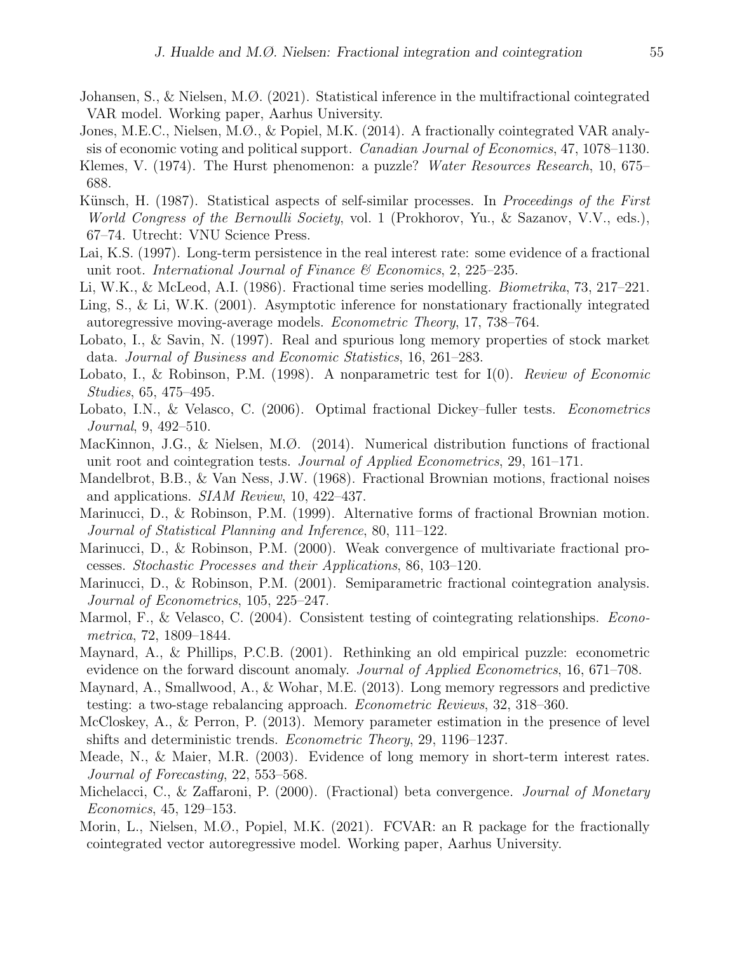- Johansen, S., & Nielsen, M.Ø. (2021). Statistical inference in the multifractional cointegrated VAR model. Working paper, Aarhus University.
- Jones, M.E.C., Nielsen, M.Ø., & Popiel, M.K. (2014). A fractionally cointegrated VAR analysis of economic voting and political support. Canadian Journal of Economics, 47, 1078–1130.
- Klemes, V. (1974). The Hurst phenomenon: a puzzle? Water Resources Research, 10, 675– 688.
- Künsch, H. (1987). Statistical aspects of self-similar processes. In Proceedings of the First World Congress of the Bernoulli Society, vol. 1 (Prokhorov, Yu., & Sazanov, V.V., eds.), 67–74. Utrecht: VNU Science Press.
- Lai, K.S. (1997). Long-term persistence in the real interest rate: some evidence of a fractional unit root. International Journal of Finance  $\mathcal C$  Economics, 2, 225–235.
- Li, W.K., & McLeod, A.I. (1986). Fractional time series modelling. Biometrika, 73, 217–221.
- Ling, S., & Li, W.K. (2001). Asymptotic inference for nonstationary fractionally integrated autoregressive moving-average models. Econometric Theory, 17, 738–764.
- Lobato, I., & Savin, N. (1997). Real and spurious long memory properties of stock market data. Journal of Business and Economic Statistics, 16, 261–283.
- Lobato, I., & Robinson, P.M. (1998). A nonparametric test for I(0). Review of Economic Studies, 65, 475–495.
- Lobato, I.N., & Velasco, C. (2006). Optimal fractional Dickey–fuller tests. Econometrics Journal, 9, 492–510.
- MacKinnon, J.G., & Nielsen, M.Ø. (2014). Numerical distribution functions of fractional unit root and cointegration tests. Journal of Applied Econometrics, 29, 161–171.
- Mandelbrot, B.B., & Van Ness, J.W. (1968). Fractional Brownian motions, fractional noises and applications. SIAM Review, 10, 422–437.
- Marinucci, D., & Robinson, P.M. (1999). Alternative forms of fractional Brownian motion. Journal of Statistical Planning and Inference, 80, 111–122.
- Marinucci, D., & Robinson, P.M. (2000). Weak convergence of multivariate fractional processes. Stochastic Processes and their Applications, 86, 103–120.
- Marinucci, D., & Robinson, P.M. (2001). Semiparametric fractional cointegration analysis. Journal of Econometrics, 105, 225–247.
- Marmol, F., & Velasco, C. (2004). Consistent testing of cointegrating relationships. *Econo*metrica, 72, 1809–1844.
- Maynard, A., & Phillips, P.C.B. (2001). Rethinking an old empirical puzzle: econometric evidence on the forward discount anomaly. *Journal of Applied Econometrics*, 16, 671–708.
- Maynard, A., Smallwood, A., & Wohar, M.E. (2013). Long memory regressors and predictive testing: a two-stage rebalancing approach. Econometric Reviews, 32, 318–360.
- McCloskey, A., & Perron, P. (2013). Memory parameter estimation in the presence of level shifts and deterministic trends. Econometric Theory, 29, 1196–1237.
- Meade, N., & Maier, M.R. (2003). Evidence of long memory in short-term interest rates. Journal of Forecasting, 22, 553–568.
- Michelacci, C., & Zaffaroni, P. (2000). (Fractional) beta convergence. Journal of Monetary Economics, 45, 129–153.
- Morin, L., Nielsen, M.Ø., Popiel, M.K. (2021). FCVAR: an R package for the fractionally cointegrated vector autoregressive model. Working paper, Aarhus University.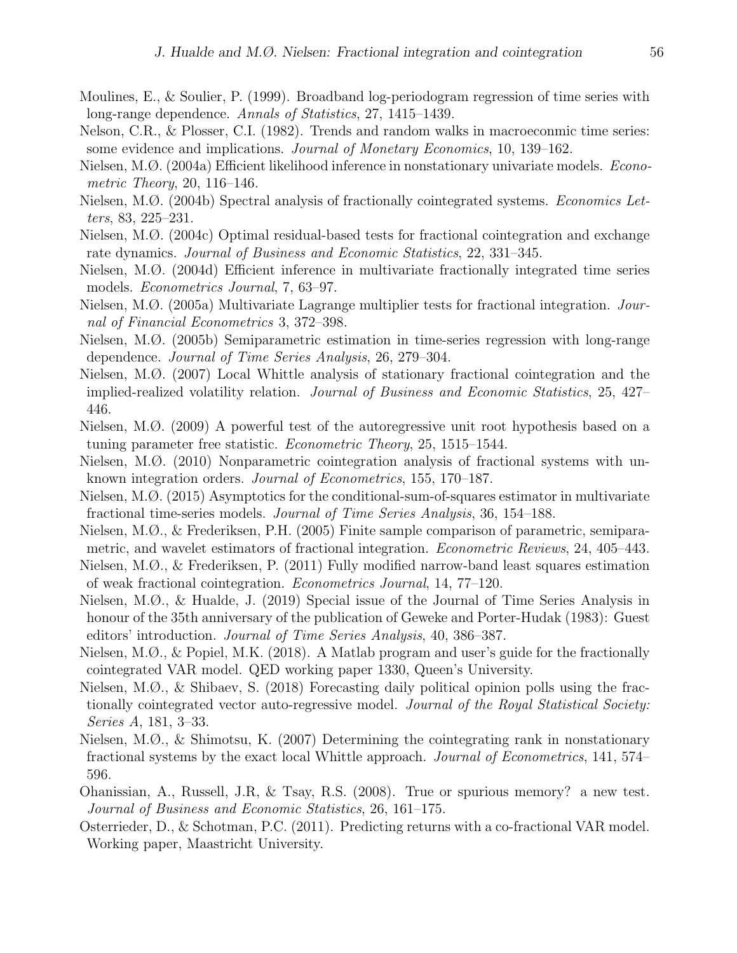- Moulines, E., & Soulier, P. (1999). Broadband log-periodogram regression of time series with long-range dependence. Annals of Statistics, 27, 1415–1439.
- Nelson, C.R., & Plosser, C.I. (1982). Trends and random walks in macroeconmic time series: some evidence and implications. Journal of Monetary Economics, 10, 139–162.
- Nielsen, M.Ø. (2004a) Efficient likelihood inference in nonstationary univariate models. Econometric Theory, 20, 116–146.
- Nielsen, M.Ø. (2004b) Spectral analysis of fractionally cointegrated systems. Economics Letters, 83, 225–231.
- Nielsen, M.Ø. (2004c) Optimal residual-based tests for fractional cointegration and exchange rate dynamics. Journal of Business and Economic Statistics, 22, 331–345.
- Nielsen, M.Ø. (2004d) Efficient inference in multivariate fractionally integrated time series models. Econometrics Journal, 7, 63–97.
- Nielsen, M.Ø. (2005a) Multivariate Lagrange multiplier tests for fractional integration. Journal of Financial Econometrics 3, 372–398.
- Nielsen, M.Ø. (2005b) Semiparametric estimation in time-series regression with long-range dependence. Journal of Time Series Analysis, 26, 279–304.
- Nielsen, M.Ø. (2007) Local Whittle analysis of stationary fractional cointegration and the implied-realized volatility relation. Journal of Business and Economic Statistics, 25, 427– 446.
- Nielsen, M.Ø. (2009) A powerful test of the autoregressive unit root hypothesis based on a tuning parameter free statistic. Econometric Theory, 25, 1515–1544.
- Nielsen, M.Ø. (2010) Nonparametric cointegration analysis of fractional systems with unknown integration orders. Journal of Econometrics, 155, 170–187.
- Nielsen, M.Ø. (2015) Asymptotics for the conditional-sum-of-squares estimator in multivariate fractional time-series models. Journal of Time Series Analysis, 36, 154–188.
- Nielsen, M.Ø., & Frederiksen, P.H. (2005) Finite sample comparison of parametric, semiparametric, and wavelet estimators of fractional integration. Econometric Reviews, 24, 405–443.
- Nielsen, M.Ø., & Frederiksen, P. (2011) Fully modified narrow-band least squares estimation of weak fractional cointegration. Econometrics Journal, 14, 77–120.
- Nielsen, M.Ø., & Hualde, J. (2019) Special issue of the Journal of Time Series Analysis in honour of the 35th anniversary of the publication of Geweke and Porter-Hudak (1983): Guest editors' introduction. Journal of Time Series Analysis, 40, 386–387.
- Nielsen, M.Ø., & Popiel, M.K. (2018). A Matlab program and user's guide for the fractionally cointegrated VAR model. QED working paper 1330, Queen's University.
- Nielsen, M.Ø., & Shibaev, S. (2018) Forecasting daily political opinion polls using the fractionally cointegrated vector auto-regressive model. Journal of the Royal Statistical Society: Series A, 181, 3–33.
- Nielsen, M.Ø., & Shimotsu, K. (2007) Determining the cointegrating rank in nonstationary fractional systems by the exact local Whittle approach. Journal of Econometrics, 141, 574– 596.
- Ohanissian, A., Russell, J.R, & Tsay, R.S. (2008). True or spurious memory? a new test. Journal of Business and Economic Statistics, 26, 161–175.
- Osterrieder, D., & Schotman, P.C. (2011). Predicting returns with a co-fractional VAR model. Working paper, Maastricht University.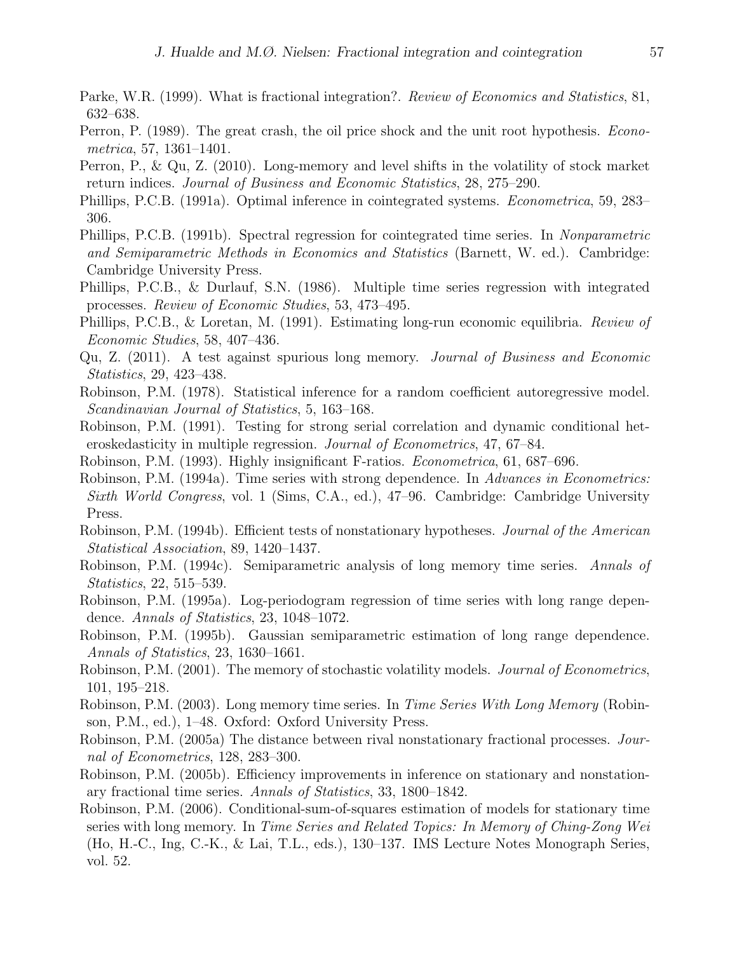- Parke, W.R. (1999). What is fractional integration?. Review of Economics and Statistics, 81, 632–638.
- Perron, P. (1989). The great crash, the oil price shock and the unit root hypothesis. Econometrica, 57, 1361–1401.
- Perron, P., & Qu, Z. (2010). Long-memory and level shifts in the volatility of stock market return indices. Journal of Business and Economic Statistics, 28, 275–290.
- Phillips, P.C.B. (1991a). Optimal inference in cointegrated systems. Econometrica, 59, 283– 306.
- Phillips, P.C.B. (1991b). Spectral regression for cointegrated time series. In Nonparametric and Semiparametric Methods in Economics and Statistics (Barnett, W. ed.). Cambridge: Cambridge University Press.
- Phillips, P.C.B., & Durlauf, S.N. (1986). Multiple time series regression with integrated processes. Review of Economic Studies, 53, 473–495.
- Phillips, P.C.B., & Loretan, M. (1991). Estimating long-run economic equilibria. Review of Economic Studies, 58, 407–436.
- Qu, Z. (2011). A test against spurious long memory. Journal of Business and Economic Statistics, 29, 423–438.
- Robinson, P.M. (1978). Statistical inference for a random coefficient autoregressive model. Scandinavian Journal of Statistics, 5, 163–168.
- Robinson, P.M. (1991). Testing for strong serial correlation and dynamic conditional heteroskedasticity in multiple regression. Journal of Econometrics, 47, 67–84.
- Robinson, P.M. (1993). Highly insignificant F-ratios. Econometrica, 61, 687–696.
- Robinson, P.M. (1994a). Time series with strong dependence. In Advances in Econometrics: Sixth World Congress, vol. 1 (Sims, C.A., ed.), 47–96. Cambridge: Cambridge University Press.
- Robinson, P.M. (1994b). Efficient tests of nonstationary hypotheses. *Journal of the American* Statistical Association, 89, 1420–1437.
- Robinson, P.M. (1994c). Semiparametric analysis of long memory time series. Annals of Statistics, 22, 515–539.
- Robinson, P.M. (1995a). Log-periodogram regression of time series with long range dependence. Annals of Statistics, 23, 1048–1072.
- Robinson, P.M. (1995b). Gaussian semiparametric estimation of long range dependence. Annals of Statistics, 23, 1630–1661.
- Robinson, P.M. (2001). The memory of stochastic volatility models. Journal of Econometrics, 101, 195–218.
- Robinson, P.M. (2003). Long memory time series. In *Time Series With Long Memory* (Robinson, P.M., ed.), 1–48. Oxford: Oxford University Press.
- Robinson, P.M. (2005a) The distance between rival nonstationary fractional processes. Journal of Econometrics, 128, 283–300.
- Robinson, P.M. (2005b). Efficiency improvements in inference on stationary and nonstationary fractional time series. Annals of Statistics, 33, 1800–1842.
- Robinson, P.M. (2006). Conditional-sum-of-squares estimation of models for stationary time series with long memory. In Time Series and Related Topics: In Memory of Ching-Zong Wei (Ho, H.-C., Ing, C.-K., & Lai, T.L., eds.), 130–137. IMS Lecture Notes Monograph Series, vol. 52.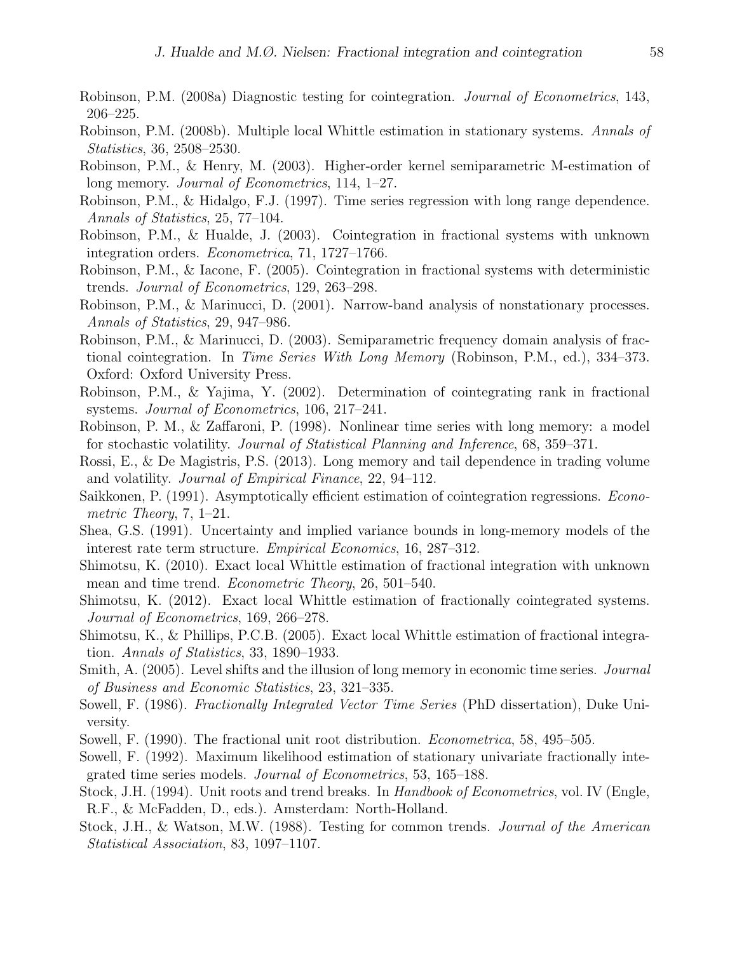- Robinson, P.M. (2008a) Diagnostic testing for cointegration. Journal of Econometrics, 143, 206–225.
- Robinson, P.M. (2008b). Multiple local Whittle estimation in stationary systems. Annals of Statistics, 36, 2508–2530.
- Robinson, P.M., & Henry, M. (2003). Higher-order kernel semiparametric M-estimation of long memory. Journal of Econometrics, 114, 1–27.
- Robinson, P.M., & Hidalgo, F.J. (1997). Time series regression with long range dependence. Annals of Statistics, 25, 77–104.
- Robinson, P.M., & Hualde, J. (2003). Cointegration in fractional systems with unknown integration orders. Econometrica, 71, 1727–1766.
- Robinson, P.M., & Iacone, F. (2005). Cointegration in fractional systems with deterministic trends. Journal of Econometrics, 129, 263–298.
- Robinson, P.M., & Marinucci, D. (2001). Narrow-band analysis of nonstationary processes. Annals of Statistics, 29, 947–986.
- Robinson, P.M., & Marinucci, D. (2003). Semiparametric frequency domain analysis of fractional cointegration. In Time Series With Long Memory (Robinson, P.M., ed.), 334–373. Oxford: Oxford University Press.
- Robinson, P.M., & Yajima, Y. (2002). Determination of cointegrating rank in fractional systems. Journal of Econometrics, 106, 217–241.
- Robinson, P. M., & Zaffaroni, P. (1998). Nonlinear time series with long memory: a model for stochastic volatility. Journal of Statistical Planning and Inference, 68, 359–371.
- Rossi, E., & De Magistris, P.S. (2013). Long memory and tail dependence in trading volume and volatility. Journal of Empirical Finance, 22, 94–112.
- Saikkonen, P. (1991). Asymptotically efficient estimation of cointegration regressions. Econometric Theory, 7, 1–21.
- Shea, G.S. (1991). Uncertainty and implied variance bounds in long-memory models of the interest rate term structure. Empirical Economics, 16, 287–312.
- Shimotsu, K. (2010). Exact local Whittle estimation of fractional integration with unknown mean and time trend. Econometric Theory, 26, 501–540.
- Shimotsu, K. (2012). Exact local Whittle estimation of fractionally cointegrated systems. Journal of Econometrics, 169, 266–278.
- Shimotsu, K., & Phillips, P.C.B. (2005). Exact local Whittle estimation of fractional integration. Annals of Statistics, 33, 1890–1933.
- Smith, A. (2005). Level shifts and the illusion of long memory in economic time series. *Journal* of Business and Economic Statistics, 23, 321–335.
- Sowell, F. (1986). Fractionally Integrated Vector Time Series (PhD dissertation), Duke University.
- Sowell, F. (1990). The fractional unit root distribution. *Econometrica*, 58, 495–505.
- Sowell, F. (1992). Maximum likelihood estimation of stationary univariate fractionally integrated time series models. Journal of Econometrics, 53, 165–188.
- Stock, J.H. (1994). Unit roots and trend breaks. In Handbook of Econometrics, vol. IV (Engle, R.F., & McFadden, D., eds.). Amsterdam: North-Holland.
- Stock, J.H., & Watson, M.W. (1988). Testing for common trends. Journal of the American Statistical Association, 83, 1097–1107.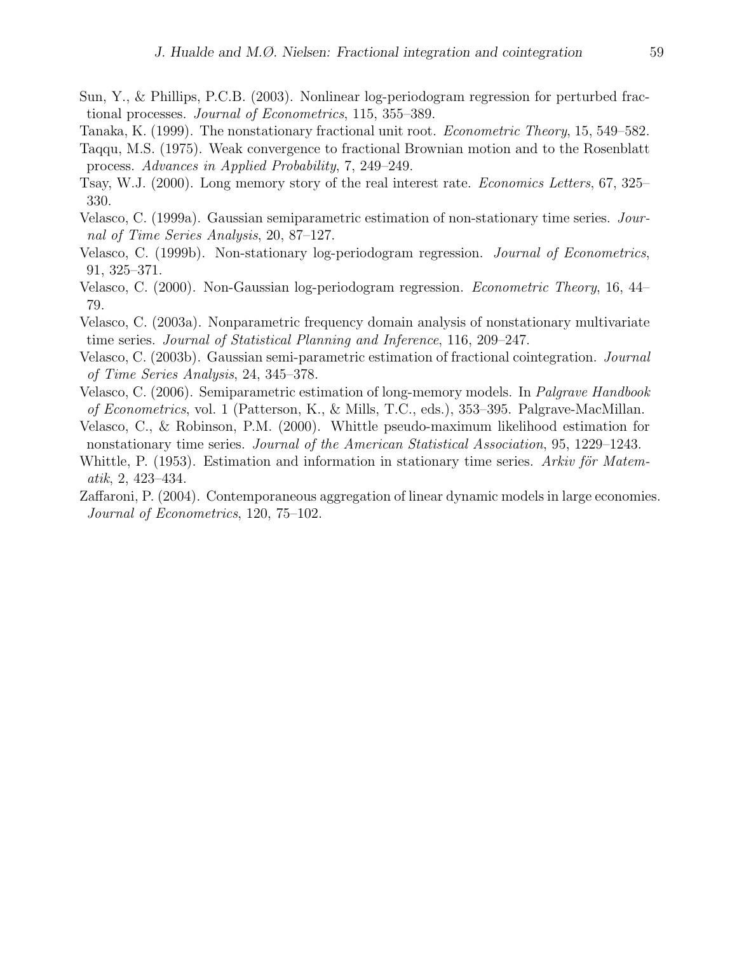- Sun, Y., & Phillips, P.C.B. (2003). Nonlinear log-periodogram regression for perturbed fractional processes. Journal of Econometrics, 115, 355–389.
- Tanaka, K. (1999). The nonstationary fractional unit root. Econometric Theory, 15, 549–582.
- Taqqu, M.S. (1975). Weak convergence to fractional Brownian motion and to the Rosenblatt process. Advances in Applied Probability, 7, 249–249.
- Tsay, W.J. (2000). Long memory story of the real interest rate. Economics Letters, 67, 325– 330.
- Velasco, C. (1999a). Gaussian semiparametric estimation of non-stationary time series. Journal of Time Series Analysis, 20, 87–127.
- Velasco, C. (1999b). Non-stationary log-periodogram regression. Journal of Econometrics, 91, 325–371.
- Velasco, C. (2000). Non-Gaussian log-periodogram regression. Econometric Theory, 16, 44– 79.
- Velasco, C. (2003a). Nonparametric frequency domain analysis of nonstationary multivariate time series. Journal of Statistical Planning and Inference, 116, 209–247.
- Velasco, C. (2003b). Gaussian semi-parametric estimation of fractional cointegration. Journal of Time Series Analysis, 24, 345–378.
- Velasco, C. (2006). Semiparametric estimation of long-memory models. In Palgrave Handbook of Econometrics, vol. 1 (Patterson, K., & Mills, T.C., eds.), 353–395. Palgrave-MacMillan.
- Velasco, C., & Robinson, P.M. (2000). Whittle pseudo-maximum likelihood estimation for nonstationary time series. Journal of the American Statistical Association, 95, 1229–1243.
- Whittle, P.  $(1953)$ . Estimation and information in stationary time series. Arkiv för Matematik, 2, 423–434.
- Zaffaroni, P. (2004). Contemporaneous aggregation of linear dynamic models in large economies. Journal of Econometrics, 120, 75–102.